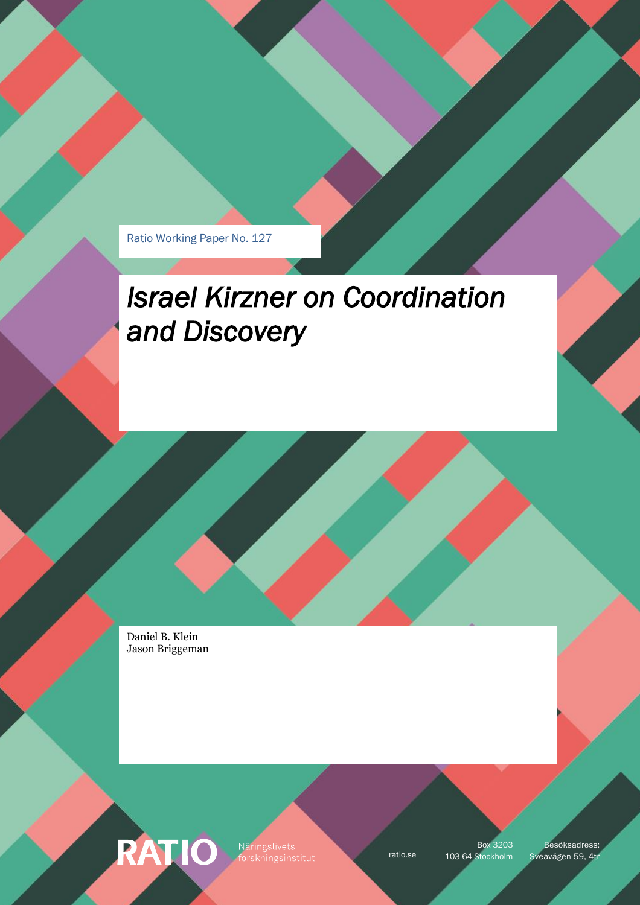Ratio Working Paper No. 127

# *Israel Kirzner on Coordination and Discovery*

Daniel B. Klein Jason Briggeman

RATIO

Näringslivets orskningsinstitut

Box 3203

ratio.se 103 64 Stockholm Sveavägen 59, 4tr Besöksadress: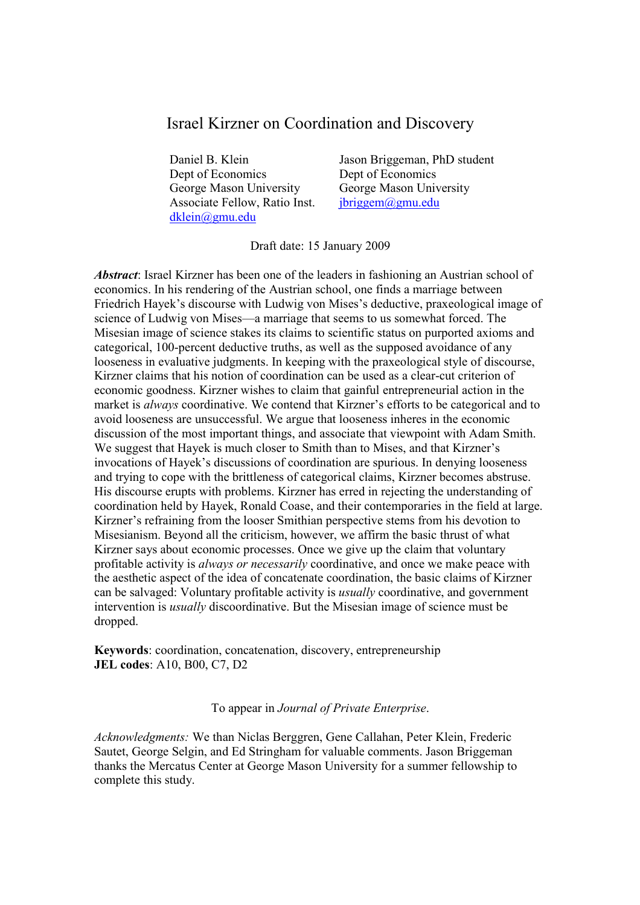### Israel Kirzner on Coordination and Discovery

Dept of Economics Dept of Economics George Mason University George Mason University Associate Fellow, Ratio Inst. *jbriggem@gmu.edu* dklein@gmu.edu

Daniel B. Klein Jason Briggeman, PhD student

Draft date: 15 January 2009

Abstract: Israel Kirzner has been one of the leaders in fashioning an Austrian school of economics. In his rendering of the Austrian school, one finds a marriage between Friedrich Hayek's discourse with Ludwig von Mises's deductive, praxeological image of science of Ludwig von Mises—a marriage that seems to us somewhat forced. The Misesian image of science stakes its claims to scientific status on purported axioms and categorical, 100-percent deductive truths, as well as the supposed avoidance of any looseness in evaluative judgments. In keeping with the praxeological style of discourse, Kirzner claims that his notion of coordination can be used as a clear-cut criterion of economic goodness. Kirzner wishes to claim that gainful entrepreneurial action in the market is always coordinative. We contend that Kirzner's efforts to be categorical and to avoid looseness are unsuccessful. We argue that looseness inheres in the economic discussion of the most important things, and associate that viewpoint with Adam Smith. We suggest that Hayek is much closer to Smith than to Mises, and that Kirzner's invocations of Hayek's discussions of coordination are spurious. In denying looseness and trying to cope with the brittleness of categorical claims, Kirzner becomes abstruse. His discourse erupts with problems. Kirzner has erred in rejecting the understanding of coordination held by Hayek, Ronald Coase, and their contemporaries in the field at large. Kirzner's refraining from the looser Smithian perspective stems from his devotion to Misesianism. Beyond all the criticism, however, we affirm the basic thrust of what Kirzner says about economic processes. Once we give up the claim that voluntary profitable activity is always or necessarily coordinative, and once we make peace with the aesthetic aspect of the idea of concatenate coordination, the basic claims of Kirzner can be salvaged: Voluntary profitable activity is usually coordinative, and government intervention is usually discoordinative. But the Misesian image of science must be dropped.

Keywords: coordination, concatenation, discovery, entrepreneurship JEL codes: A10, B00, C7, D2

#### To appear in Journal of Private Enterprise.

Acknowledgments: We than Niclas Berggren, Gene Callahan, Peter Klein, Frederic Sautet, George Selgin, and Ed Stringham for valuable comments. Jason Briggeman thanks the Mercatus Center at George Mason University for a summer fellowship to complete this study.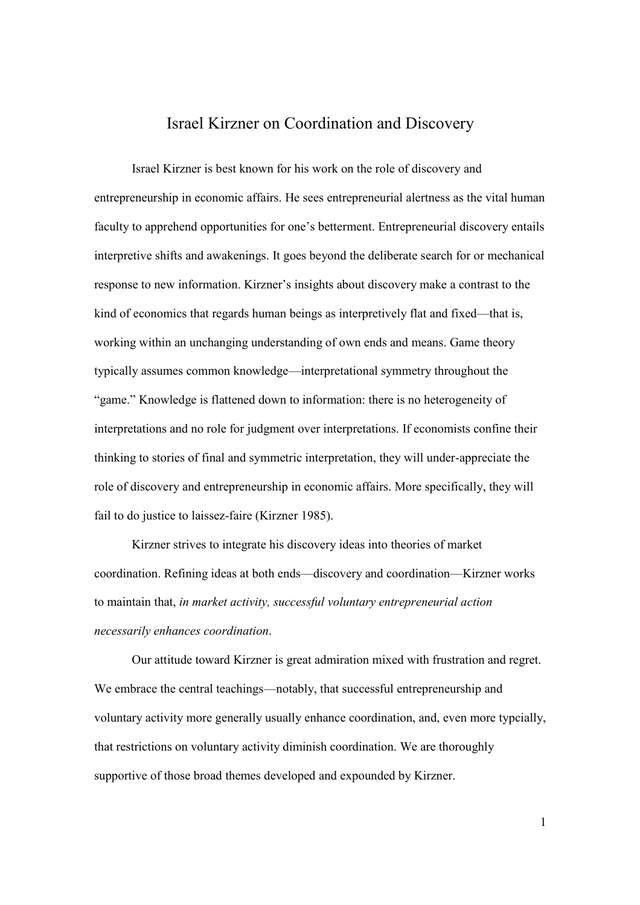#### Israel Kirzner on Coordination and Discovery

Israel Kirzner is best known for his work on the role of discovery and entrepreneurship in economic affairs. He sees entrepreneurial alertness as the vital human faculty to apprehend opportunities for one's betterment. Entrepreneurial discovery entails interpretive shifts and awakenings. It goes beyond the deliberate search for or mechanical response to new information. Kirzner's insights about discovery make a contrast to the kind of economics that regards human beings as interpretively flat and fixed—that is, working within an unchanging understanding of own ends and means. Game theory typically assumes common knowledge—interpretational symmetry throughout the "game." Knowledge is flattened down to information: there is no heterogeneity of interpretations and no role for judgment over interpretations. If economists confine their thinking to stories of final and symmetric interpretation, they will under-appreciate the role of discovery and entrepreneurship in economic affairs. More specifically, they will fail to do justice to laissez-faire (Kirzner 1985).

Kirzner strives to integrate his discovery ideas into theories of market coordination. Refining ideas at both ends—discovery and coordination—Kirzner works to maintain that, in market activity, successful voluntary entrepreneurial action necessarily enhances coordination.

Our attitude toward Kirzner is great admiration mixed with frustration and regret. We embrace the central teachings—notably, that successful entrepreneurship and voluntary activity more generally usually enhance coordination, and, even more typcially, that restrictions on voluntary activity diminish coordination. We are thoroughly supportive of those broad themes developed and expounded by Kirzner.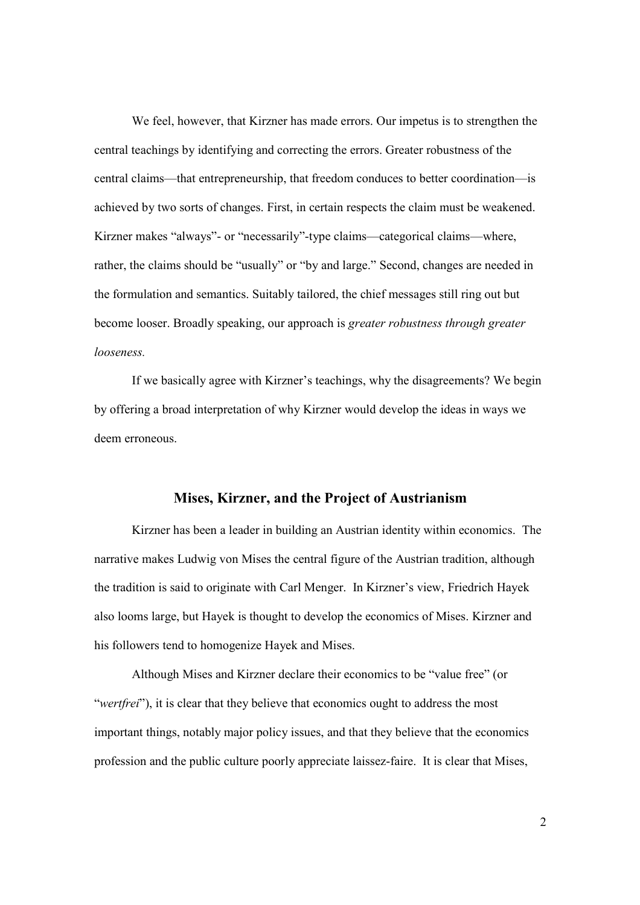We feel, however, that Kirzner has made errors. Our impetus is to strengthen the central teachings by identifying and correcting the errors. Greater robustness of the central claims—that entrepreneurship, that freedom conduces to better coordination—is achieved by two sorts of changes. First, in certain respects the claim must be weakened. Kirzner makes "always"- or "necessarily"-type claims—categorical claims—where, rather, the claims should be "usually" or "by and large." Second, changes are needed in the formulation and semantics. Suitably tailored, the chief messages still ring out but become looser. Broadly speaking, our approach is greater robustness through greater looseness.

If we basically agree with Kirzner's teachings, why the disagreements? We begin by offering a broad interpretation of why Kirzner would develop the ideas in ways we deem erroneous.

#### Mises, Kirzner, and the Project of Austrianism

Kirzner has been a leader in building an Austrian identity within economics. The narrative makes Ludwig von Mises the central figure of the Austrian tradition, although the tradition is said to originate with Carl Menger. In Kirzner's view, Friedrich Hayek also looms large, but Hayek is thought to develop the economics of Mises. Kirzner and his followers tend to homogenize Hayek and Mises.

Although Mises and Kirzner declare their economics to be "value free" (or "wertfrei"), it is clear that they believe that economics ought to address the most important things, notably major policy issues, and that they believe that the economics profession and the public culture poorly appreciate laissez-faire. It is clear that Mises,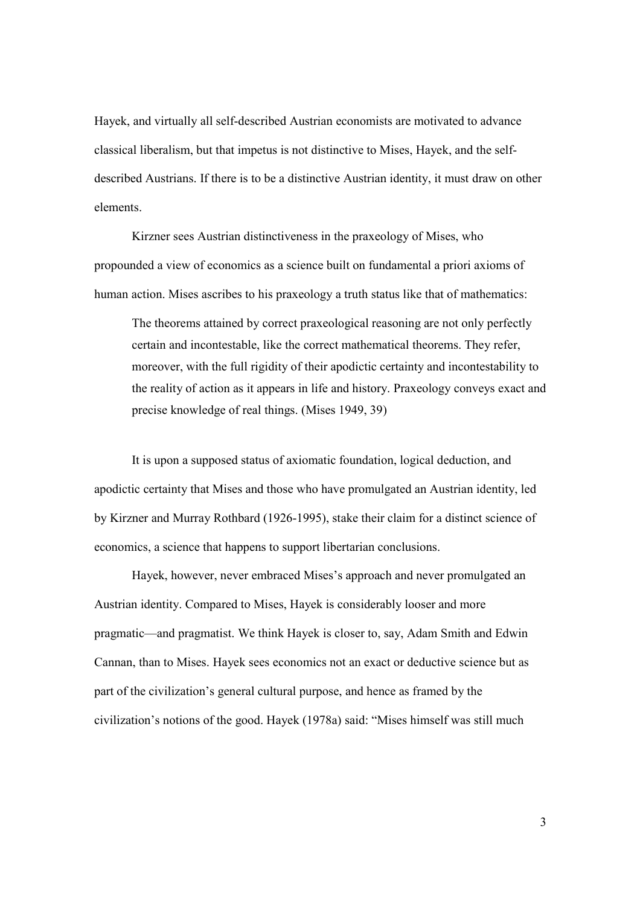Hayek, and virtually all self-described Austrian economists are motivated to advance classical liberalism, but that impetus is not distinctive to Mises, Hayek, and the selfdescribed Austrians. If there is to be a distinctive Austrian identity, it must draw on other elements.

Kirzner sees Austrian distinctiveness in the praxeology of Mises, who propounded a view of economics as a science built on fundamental a priori axioms of human action. Mises ascribes to his praxeology a truth status like that of mathematics:

The theorems attained by correct praxeological reasoning are not only perfectly certain and incontestable, like the correct mathematical theorems. They refer, moreover, with the full rigidity of their apodictic certainty and incontestability to the reality of action as it appears in life and history. Praxeology conveys exact and precise knowledge of real things. (Mises 1949, 39)

It is upon a supposed status of axiomatic foundation, logical deduction, and apodictic certainty that Mises and those who have promulgated an Austrian identity, led by Kirzner and Murray Rothbard (1926-1995), stake their claim for a distinct science of economics, a science that happens to support libertarian conclusions.

Hayek, however, never embraced Mises's approach and never promulgated an Austrian identity. Compared to Mises, Hayek is considerably looser and more pragmatic—and pragmatist. We think Hayek is closer to, say, Adam Smith and Edwin Cannan, than to Mises. Hayek sees economics not an exact or deductive science but as part of the civilization's general cultural purpose, and hence as framed by the civilization's notions of the good. Hayek (1978a) said: "Mises himself was still much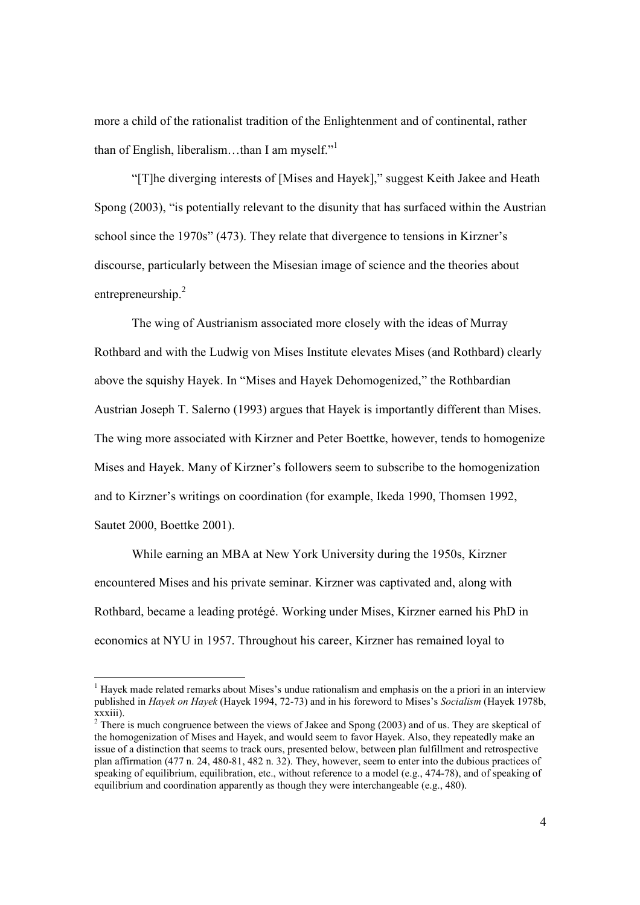more a child of the rationalist tradition of the Enlightenment and of continental, rather than of English, liberalism…than I am myself."<sup>1</sup>

"[T]he diverging interests of [Mises and Hayek]," suggest Keith Jakee and Heath Spong (2003), "is potentially relevant to the disunity that has surfaced within the Austrian school since the 1970s" (473). They relate that divergence to tensions in Kirzner's discourse, particularly between the Misesian image of science and the theories about entrepreneurship.<sup>2</sup>

The wing of Austrianism associated more closely with the ideas of Murray Rothbard and with the Ludwig von Mises Institute elevates Mises (and Rothbard) clearly above the squishy Hayek. In "Mises and Hayek Dehomogenized," the Rothbardian Austrian Joseph T. Salerno (1993) argues that Hayek is importantly different than Mises. The wing more associated with Kirzner and Peter Boettke, however, tends to homogenize Mises and Hayek. Many of Kirzner's followers seem to subscribe to the homogenization and to Kirzner's writings on coordination (for example, Ikeda 1990, Thomsen 1992, Sautet 2000, Boettke 2001).

While earning an MBA at New York University during the 1950s, Kirzner encountered Mises and his private seminar. Kirzner was captivated and, along with Rothbard, became a leading protégé. Working under Mises, Kirzner earned his PhD in economics at NYU in 1957. Throughout his career, Kirzner has remained loyal to

-

<sup>&</sup>lt;sup>1</sup> Hayek made related remarks about Mises's undue rationalism and emphasis on the a priori in an interview published in Hayek on Hayek (Hayek 1994, 72-73) and in his foreword to Mises's Socialism (Hayek 1978b, xxxiii).<br><sup>2</sup> There is much congruence between the views of Jakee and Spong (2003) and of us. They are skeptical of

the homogenization of Mises and Hayek, and would seem to favor Hayek. Also, they repeatedly make an issue of a distinction that seems to track ours, presented below, between plan fulfillment and retrospective plan affirmation (477 n. 24, 480-81, 482 n. 32). They, however, seem to enter into the dubious practices of speaking of equilibrium, equilibration, etc., without reference to a model (e.g., 474-78), and of speaking of equilibrium and coordination apparently as though they were interchangeable (e.g., 480).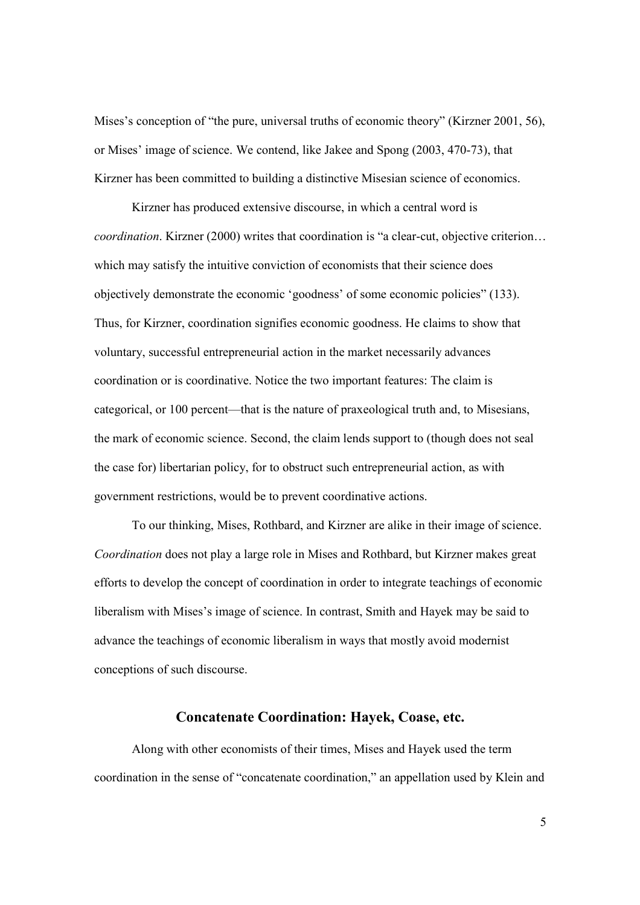Mises's conception of "the pure, universal truths of economic theory" (Kirzner 2001, 56), or Mises' image of science. We contend, like Jakee and Spong (2003, 470-73), that Kirzner has been committed to building a distinctive Misesian science of economics.

Kirzner has produced extensive discourse, in which a central word is coordination. Kirzner (2000) writes that coordination is "a clear-cut, objective criterion… which may satisfy the intuitive conviction of economists that their science does objectively demonstrate the economic 'goodness' of some economic policies" (133). Thus, for Kirzner, coordination signifies economic goodness. He claims to show that voluntary, successful entrepreneurial action in the market necessarily advances coordination or is coordinative. Notice the two important features: The claim is categorical, or 100 percent—that is the nature of praxeological truth and, to Misesians, the mark of economic science. Second, the claim lends support to (though does not seal the case for) libertarian policy, for to obstruct such entrepreneurial action, as with government restrictions, would be to prevent coordinative actions.

To our thinking, Mises, Rothbard, and Kirzner are alike in their image of science. Coordination does not play a large role in Mises and Rothbard, but Kirzner makes great efforts to develop the concept of coordination in order to integrate teachings of economic liberalism with Mises's image of science. In contrast, Smith and Hayek may be said to advance the teachings of economic liberalism in ways that mostly avoid modernist conceptions of such discourse.

#### Concatenate Coordination: Hayek, Coase, etc.

Along with other economists of their times, Mises and Hayek used the term coordination in the sense of "concatenate coordination," an appellation used by Klein and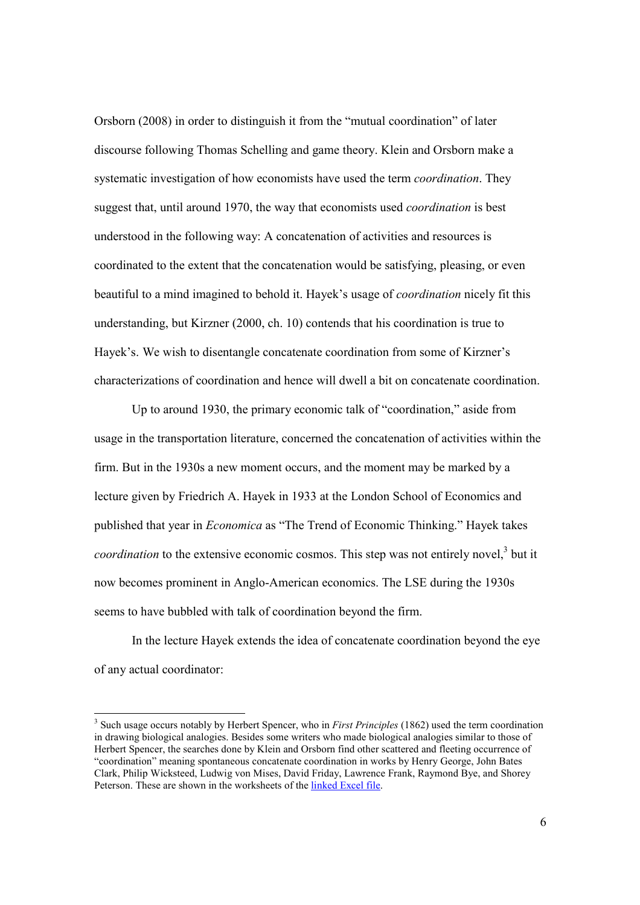Orsborn (2008) in order to distinguish it from the "mutual coordination" of later discourse following Thomas Schelling and game theory. Klein and Orsborn make a systematic investigation of how economists have used the term *coordination*. They suggest that, until around 1970, the way that economists used coordination is best understood in the following way: A concatenation of activities and resources is coordinated to the extent that the concatenation would be satisfying, pleasing, or even beautiful to a mind imagined to behold it. Hayek's usage of coordination nicely fit this understanding, but Kirzner (2000, ch. 10) contends that his coordination is true to Hayek's. We wish to disentangle concatenate coordination from some of Kirzner's characterizations of coordination and hence will dwell a bit on concatenate coordination.

Up to around 1930, the primary economic talk of "coordination," aside from usage in the transportation literature, concerned the concatenation of activities within the firm. But in the 1930s a new moment occurs, and the moment may be marked by a lecture given by Friedrich A. Hayek in 1933 at the London School of Economics and published that year in Economica as "The Trend of Economic Thinking." Hayek takes *coordination* to the extensive economic cosmos. This step was not entirely novel, $3$  but it now becomes prominent in Anglo-American economics. The LSE during the 1930s seems to have bubbled with talk of coordination beyond the firm.

In the lecture Hayek extends the idea of concatenate coordination beyond the eye of any actual coordinator:

<sup>&</sup>lt;sup>3</sup> Such usage occurs notably by Herbert Spencer, who in *First Principles* (1862) used the term coordination in drawing biological analogies. Besides some writers who made biological analogies similar to those of Herbert Spencer, the searches done by Klein and Orsborn find other scattered and fleeting occurrence of "coordination" meaning spontaneous concatenate coordination in works by Henry George, John Bates Clark, Philip Wicksteed, Ludwig von Mises, David Friday, Lawrence Frank, Raymond Bye, and Shorey Peterson. These are shown in the worksheets of the linked Excel file.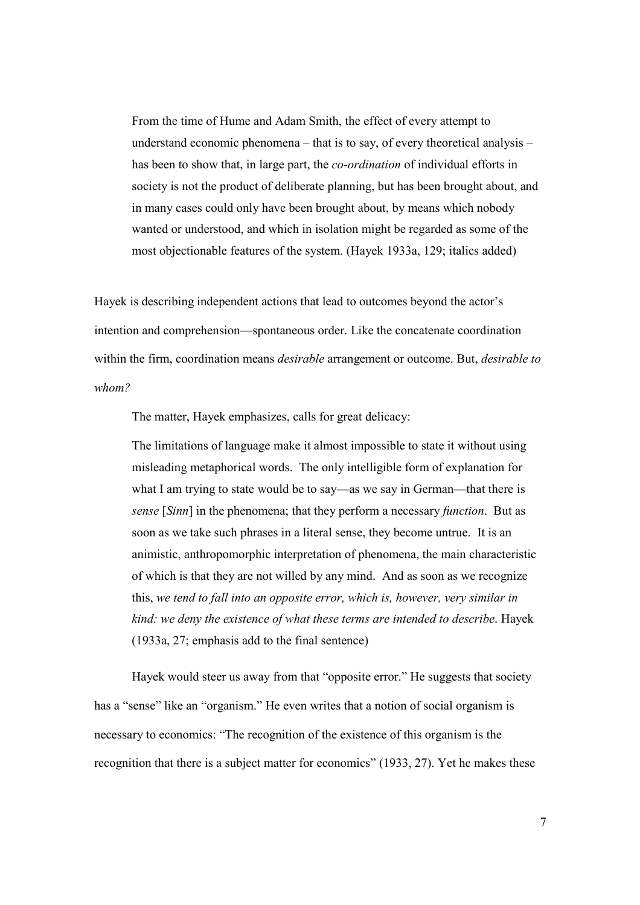From the time of Hume and Adam Smith, the effect of every attempt to understand economic phenomena – that is to say, of every theoretical analysis – has been to show that, in large part, the *co-ordination* of individual efforts in society is not the product of deliberate planning, but has been brought about, and in many cases could only have been brought about, by means which nobody wanted or understood, and which in isolation might be regarded as some of the most objectionable features of the system. (Hayek 1933a, 129; italics added)

Hayek is describing independent actions that lead to outcomes beyond the actor's intention and comprehension—spontaneous order. Like the concatenate coordination within the firm, coordination means *desirable* arrangement or outcome. But, *desirable to* whom?

The matter, Hayek emphasizes, calls for great delicacy:

The limitations of language make it almost impossible to state it without using misleading metaphorical words. The only intelligible form of explanation for what I am trying to state would be to say—as we say in German—that there is sense [Sinn] in the phenomena; that they perform a necessary function. But as soon as we take such phrases in a literal sense, they become untrue. It is an animistic, anthropomorphic interpretation of phenomena, the main characteristic of which is that they are not willed by any mind. And as soon as we recognize this, we tend to fall into an opposite error, which is, however, very similar in kind: we deny the existence of what these terms are intended to describe. Hayek (1933a, 27; emphasis add to the final sentence)

Hayek would steer us away from that "opposite error." He suggests that society has a "sense" like an "organism." He even writes that a notion of social organism is necessary to economics: "The recognition of the existence of this organism is the recognition that there is a subject matter for economics" (1933, 27). Yet he makes these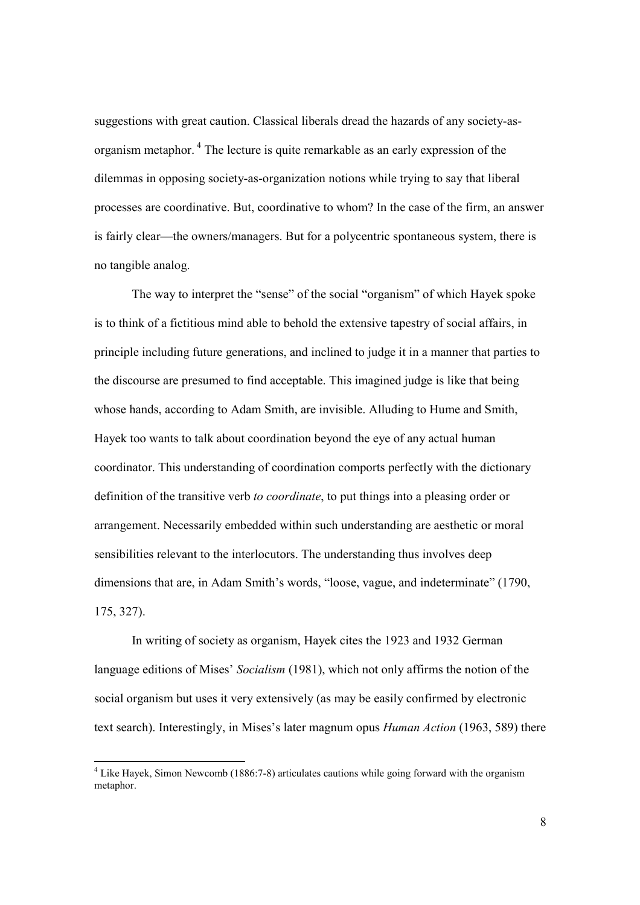suggestions with great caution. Classical liberals dread the hazards of any society-asorganism metaphor.<sup>4</sup> The lecture is quite remarkable as an early expression of the dilemmas in opposing society-as-organization notions while trying to say that liberal processes are coordinative. But, coordinative to whom? In the case of the firm, an answer is fairly clear—the owners/managers. But for a polycentric spontaneous system, there is no tangible analog.

The way to interpret the "sense" of the social "organism" of which Hayek spoke is to think of a fictitious mind able to behold the extensive tapestry of social affairs, in principle including future generations, and inclined to judge it in a manner that parties to the discourse are presumed to find acceptable. This imagined judge is like that being whose hands, according to Adam Smith, are invisible. Alluding to Hume and Smith, Hayek too wants to talk about coordination beyond the eye of any actual human coordinator. This understanding of coordination comports perfectly with the dictionary definition of the transitive verb to coordinate, to put things into a pleasing order or arrangement. Necessarily embedded within such understanding are aesthetic or moral sensibilities relevant to the interlocutors. The understanding thus involves deep dimensions that are, in Adam Smith's words, "loose, vague, and indeterminate" (1790, 175, 327).

In writing of society as organism, Hayek cites the 1923 and 1932 German language editions of Mises' Socialism (1981), which not only affirms the notion of the social organism but uses it very extensively (as may be easily confirmed by electronic text search). Interestingly, in Mises's later magnum opus Human Action (1963, 589) there

 4 Like Hayek, Simon Newcomb (1886:7-8) articulates cautions while going forward with the organism metaphor.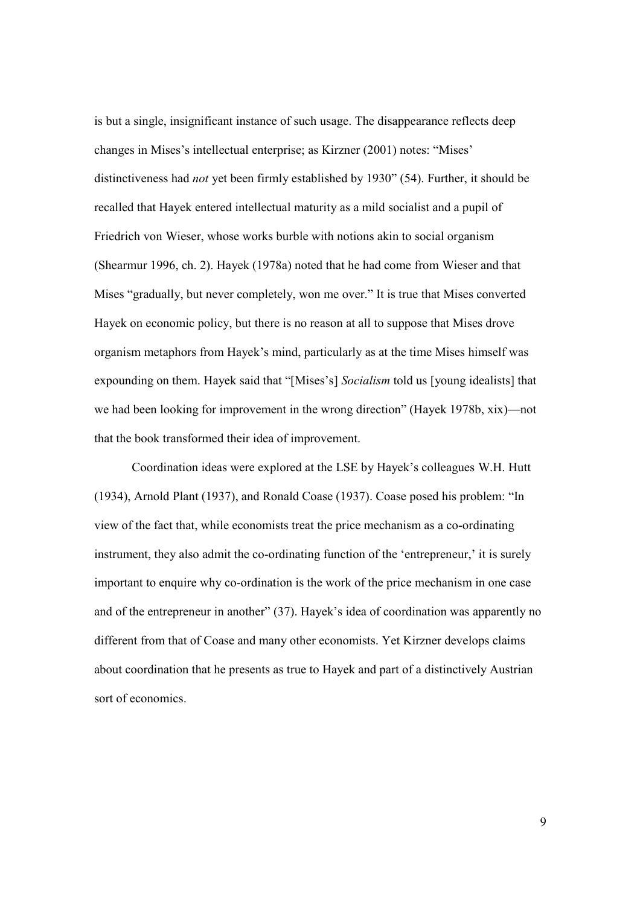is but a single, insignificant instance of such usage. The disappearance reflects deep changes in Mises's intellectual enterprise; as Kirzner (2001) notes: "Mises' distinctiveness had not yet been firmly established by 1930" (54). Further, it should be recalled that Hayek entered intellectual maturity as a mild socialist and a pupil of Friedrich von Wieser, whose works burble with notions akin to social organism (Shearmur 1996, ch. 2). Hayek (1978a) noted that he had come from Wieser and that Mises "gradually, but never completely, won me over." It is true that Mises converted Hayek on economic policy, but there is no reason at all to suppose that Mises drove organism metaphors from Hayek's mind, particularly as at the time Mises himself was expounding on them. Hayek said that "[Mises's] Socialism told us [young idealists] that we had been looking for improvement in the wrong direction" (Hayek 1978b, xix)—not that the book transformed their idea of improvement.

Coordination ideas were explored at the LSE by Hayek's colleagues W.H. Hutt (1934), Arnold Plant (1937), and Ronald Coase (1937). Coase posed his problem: "In view of the fact that, while economists treat the price mechanism as a co-ordinating instrument, they also admit the co-ordinating function of the 'entrepreneur,' it is surely important to enquire why co-ordination is the work of the price mechanism in one case and of the entrepreneur in another" (37). Hayek's idea of coordination was apparently no different from that of Coase and many other economists. Yet Kirzner develops claims about coordination that he presents as true to Hayek and part of a distinctively Austrian sort of economics.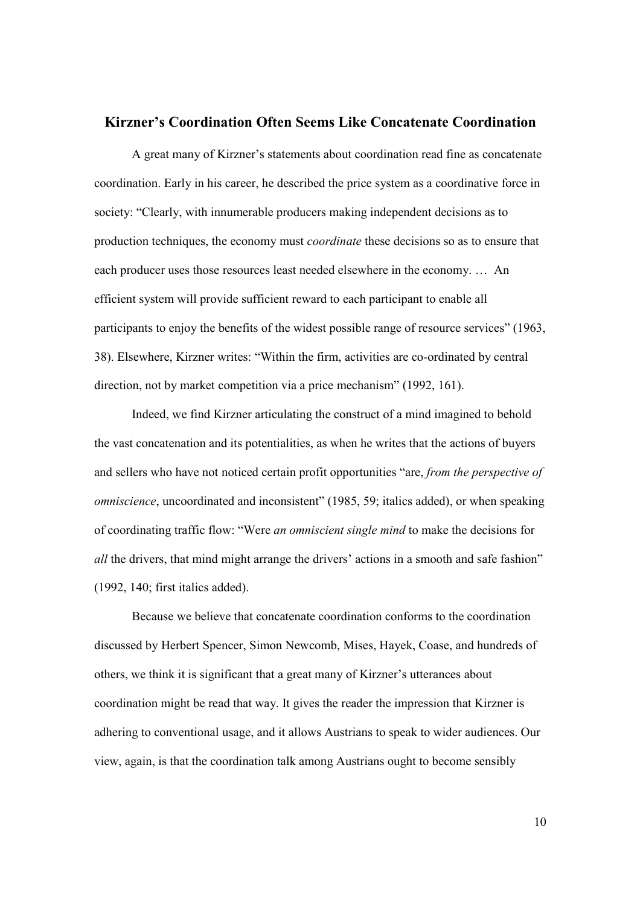#### Kirzner's Coordination Often Seems Like Concatenate Coordination

A great many of Kirzner's statements about coordination read fine as concatenate coordination. Early in his career, he described the price system as a coordinative force in society: "Clearly, with innumerable producers making independent decisions as to production techniques, the economy must coordinate these decisions so as to ensure that each producer uses those resources least needed elsewhere in the economy. … An efficient system will provide sufficient reward to each participant to enable all participants to enjoy the benefits of the widest possible range of resource services" (1963, 38). Elsewhere, Kirzner writes: "Within the firm, activities are co-ordinated by central direction, not by market competition via a price mechanism" (1992, 161).

Indeed, we find Kirzner articulating the construct of a mind imagined to behold the vast concatenation and its potentialities, as when he writes that the actions of buyers and sellers who have not noticed certain profit opportunities "are, from the perspective of omniscience, uncoordinated and inconsistent" (1985, 59; italics added), or when speaking of coordinating traffic flow: "Were an omniscient single mind to make the decisions for all the drivers, that mind might arrange the drivers' actions in a smooth and safe fashion" (1992, 140; first italics added).

Because we believe that concatenate coordination conforms to the coordination discussed by Herbert Spencer, Simon Newcomb, Mises, Hayek, Coase, and hundreds of others, we think it is significant that a great many of Kirzner's utterances about coordination might be read that way. It gives the reader the impression that Kirzner is adhering to conventional usage, and it allows Austrians to speak to wider audiences. Our view, again, is that the coordination talk among Austrians ought to become sensibly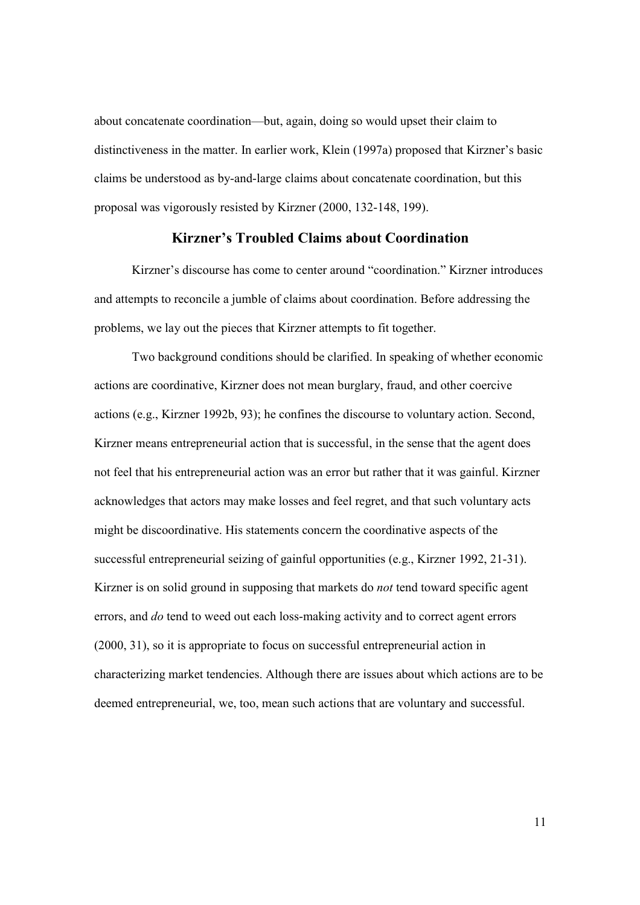about concatenate coordination—but, again, doing so would upset their claim to distinctiveness in the matter. In earlier work, Klein (1997a) proposed that Kirzner's basic claims be understood as by-and-large claims about concatenate coordination, but this proposal was vigorously resisted by Kirzner (2000, 132-148, 199).

#### Kirzner's Troubled Claims about Coordination

Kirzner's discourse has come to center around "coordination." Kirzner introduces and attempts to reconcile a jumble of claims about coordination. Before addressing the problems, we lay out the pieces that Kirzner attempts to fit together.

Two background conditions should be clarified. In speaking of whether economic actions are coordinative, Kirzner does not mean burglary, fraud, and other coercive actions (e.g., Kirzner 1992b, 93); he confines the discourse to voluntary action. Second, Kirzner means entrepreneurial action that is successful, in the sense that the agent does not feel that his entrepreneurial action was an error but rather that it was gainful. Kirzner acknowledges that actors may make losses and feel regret, and that such voluntary acts might be discoordinative. His statements concern the coordinative aspects of the successful entrepreneurial seizing of gainful opportunities (e.g., Kirzner 1992, 21-31). Kirzner is on solid ground in supposing that markets do *not* tend toward specific agent errors, and do tend to weed out each loss-making activity and to correct agent errors (2000, 31), so it is appropriate to focus on successful entrepreneurial action in characterizing market tendencies. Although there are issues about which actions are to be deemed entrepreneurial, we, too, mean such actions that are voluntary and successful.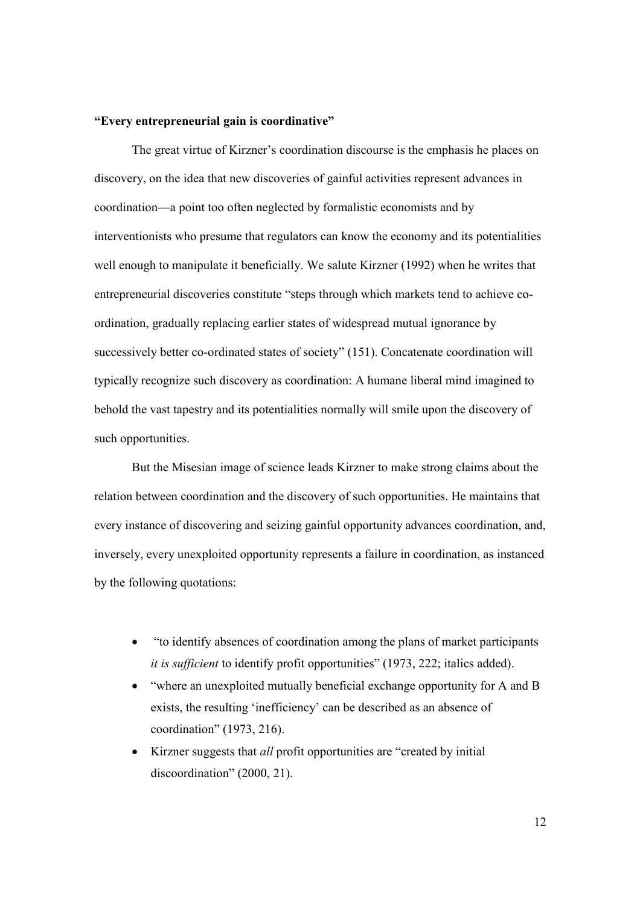#### "Every entrepreneurial gain is coordinative"

The great virtue of Kirzner's coordination discourse is the emphasis he places on discovery, on the idea that new discoveries of gainful activities represent advances in coordination—a point too often neglected by formalistic economists and by interventionists who presume that regulators can know the economy and its potentialities well enough to manipulate it beneficially. We salute Kirzner (1992) when he writes that entrepreneurial discoveries constitute "steps through which markets tend to achieve coordination, gradually replacing earlier states of widespread mutual ignorance by successively better co-ordinated states of society" (151). Concatenate coordination will typically recognize such discovery as coordination: A humane liberal mind imagined to behold the vast tapestry and its potentialities normally will smile upon the discovery of such opportunities.

But the Misesian image of science leads Kirzner to make strong claims about the relation between coordination and the discovery of such opportunities. He maintains that every instance of discovering and seizing gainful opportunity advances coordination, and, inversely, every unexploited opportunity represents a failure in coordination, as instanced by the following quotations:

- "to identify absences of coordination among the plans of market participants it is sufficient to identify profit opportunities" (1973, 222; italics added).
- "where an unexploited mutually beneficial exchange opportunity for A and B exists, the resulting 'inefficiency' can be described as an absence of coordination" (1973, 216).
- Kirzner suggests that *all* profit opportunities are "created by initial discoordination" (2000, 21).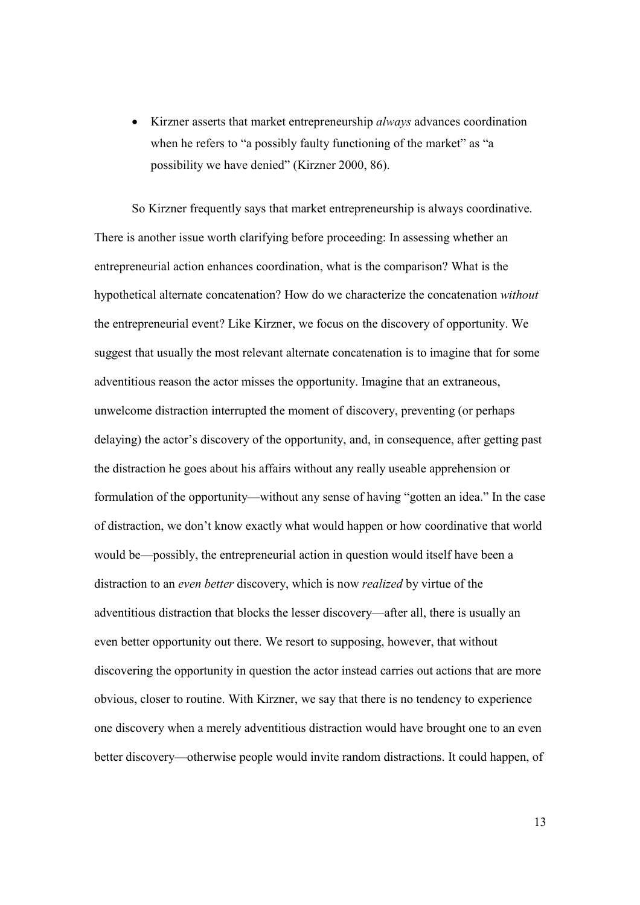Kirzner asserts that market entrepreneurship *always* advances coordination when he refers to "a possibly faulty functioning of the market" as "a possibility we have denied" (Kirzner 2000, 86).

So Kirzner frequently says that market entrepreneurship is always coordinative. There is another issue worth clarifying before proceeding: In assessing whether an entrepreneurial action enhances coordination, what is the comparison? What is the hypothetical alternate concatenation? How do we characterize the concatenation without the entrepreneurial event? Like Kirzner, we focus on the discovery of opportunity. We suggest that usually the most relevant alternate concatenation is to imagine that for some adventitious reason the actor misses the opportunity. Imagine that an extraneous, unwelcome distraction interrupted the moment of discovery, preventing (or perhaps delaying) the actor's discovery of the opportunity, and, in consequence, after getting past the distraction he goes about his affairs without any really useable apprehension or formulation of the opportunity—without any sense of having "gotten an idea." In the case of distraction, we don't know exactly what would happen or how coordinative that world would be—possibly, the entrepreneurial action in question would itself have been a distraction to an even better discovery, which is now realized by virtue of the adventitious distraction that blocks the lesser discovery—after all, there is usually an even better opportunity out there. We resort to supposing, however, that without discovering the opportunity in question the actor instead carries out actions that are more obvious, closer to routine. With Kirzner, we say that there is no tendency to experience one discovery when a merely adventitious distraction would have brought one to an even better discovery—otherwise people would invite random distractions. It could happen, of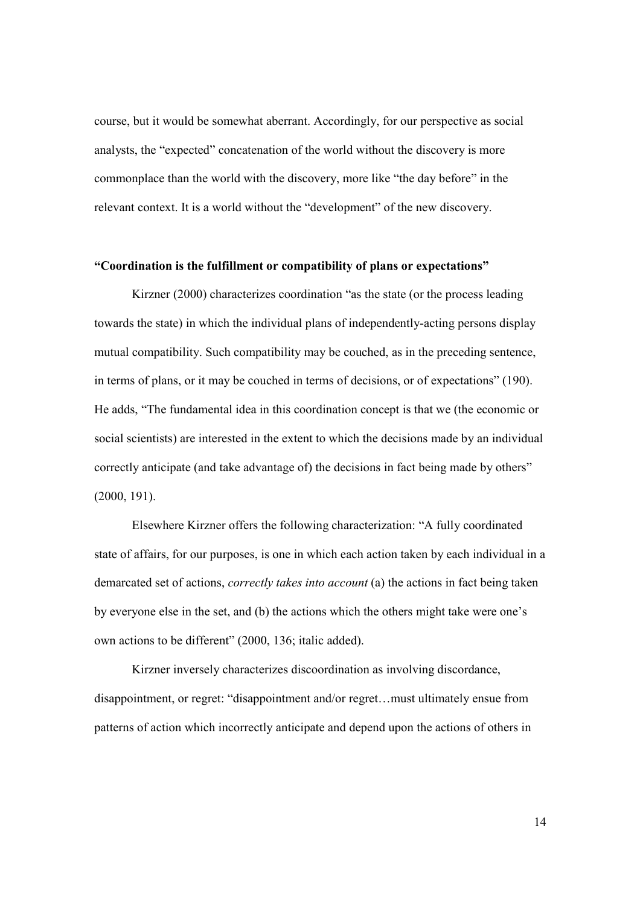course, but it would be somewhat aberrant. Accordingly, for our perspective as social analysts, the "expected" concatenation of the world without the discovery is more commonplace than the world with the discovery, more like "the day before" in the relevant context. It is a world without the "development" of the new discovery.

#### "Coordination is the fulfillment or compatibility of plans or expectations"

Kirzner (2000) characterizes coordination "as the state (or the process leading towards the state) in which the individual plans of independently-acting persons display mutual compatibility. Such compatibility may be couched, as in the preceding sentence, in terms of plans, or it may be couched in terms of decisions, or of expectations" (190). He adds, "The fundamental idea in this coordination concept is that we (the economic or social scientists) are interested in the extent to which the decisions made by an individual correctly anticipate (and take advantage of) the decisions in fact being made by others" (2000, 191).

Elsewhere Kirzner offers the following characterization: "A fully coordinated state of affairs, for our purposes, is one in which each action taken by each individual in a demarcated set of actions, *correctly takes into account* (a) the actions in fact being taken by everyone else in the set, and (b) the actions which the others might take were one's own actions to be different" (2000, 136; italic added).

Kirzner inversely characterizes discoordination as involving discordance, disappointment, or regret: "disappointment and/or regret…must ultimately ensue from patterns of action which incorrectly anticipate and depend upon the actions of others in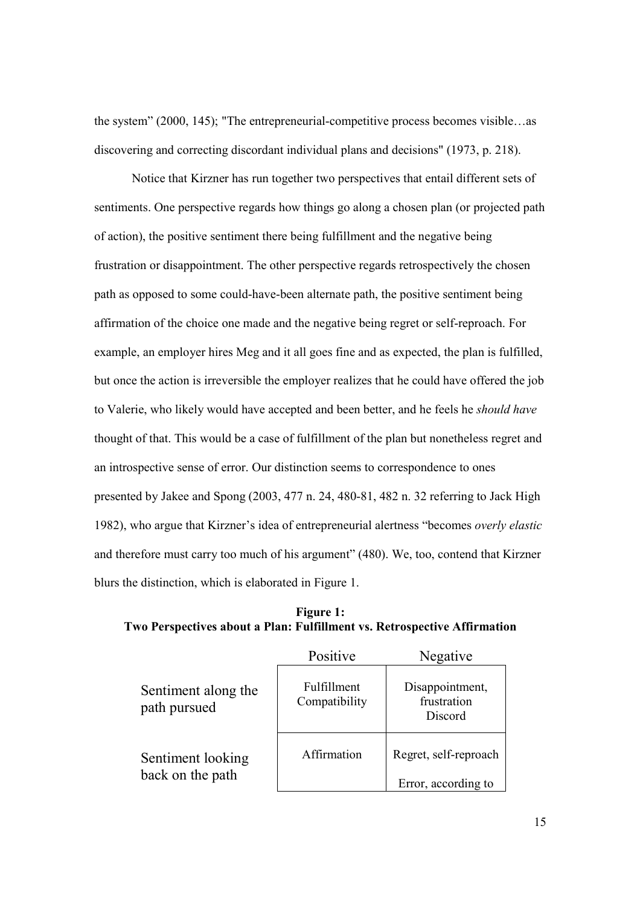the system" (2000, 145); "The entrepreneurial-competitive process becomes visible…as discovering and correcting discordant individual plans and decisions" (1973, p. 218).

Notice that Kirzner has run together two perspectives that entail different sets of sentiments. One perspective regards how things go along a chosen plan (or projected path of action), the positive sentiment there being fulfillment and the negative being frustration or disappointment. The other perspective regards retrospectively the chosen path as opposed to some could-have-been alternate path, the positive sentiment being affirmation of the choice one made and the negative being regret or self-reproach. For example, an employer hires Meg and it all goes fine and as expected, the plan is fulfilled, but once the action is irreversible the employer realizes that he could have offered the job to Valerie, who likely would have accepted and been better, and he feels he should have thought of that. This would be a case of fulfillment of the plan but nonetheless regret and an introspective sense of error. Our distinction seems to correspondence to ones presented by Jakee and Spong (2003, 477 n. 24, 480-81, 482 n. 32 referring to Jack High 1982), who argue that Kirzner's idea of entrepreneurial alertness "becomes overly elastic and therefore must carry too much of his argument" (480). We, too, contend that Kirzner blurs the distinction, which is elaborated in Figure 1.

Figure 1: Two Perspectives about a Plan: Fulfillment vs. Retrospective Affirmation

|                                       | Positive                     | Negative                                     |
|---------------------------------------|------------------------------|----------------------------------------------|
| Sentiment along the<br>path pursued   | Fulfillment<br>Compatibility | Disappointment,<br>frustration<br>Discord    |
| Sentiment looking<br>back on the path | Affirmation                  | Regret, self-reproach<br>Error, according to |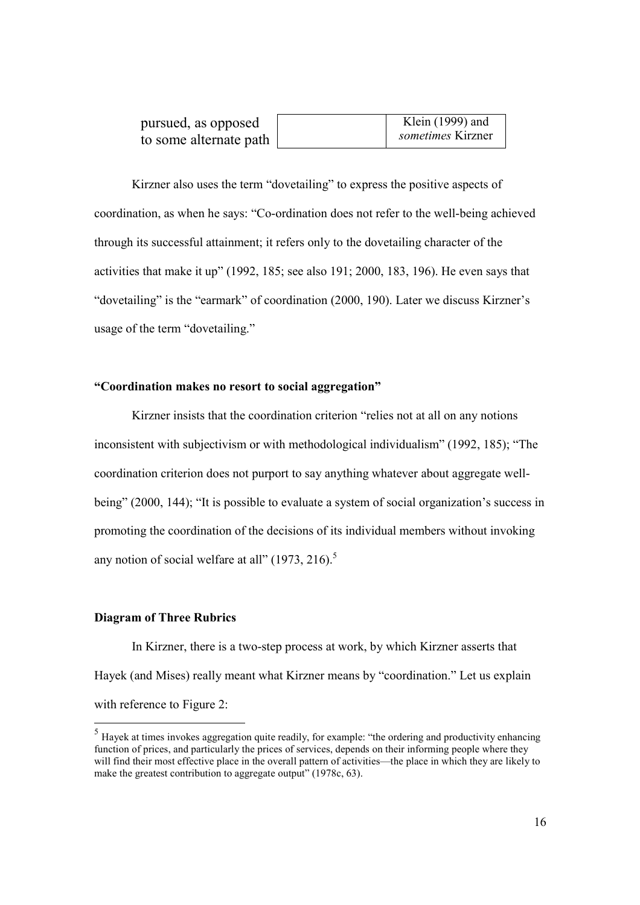| pursued, as opposed    | Klein $(1999)$ and |
|------------------------|--------------------|
| to some alternate path | sometimes Kirzner  |

Kirzner also uses the term "dovetailing" to express the positive aspects of coordination, as when he says: "Co-ordination does not refer to the well-being achieved through its successful attainment; it refers only to the dovetailing character of the activities that make it up" (1992, 185; see also 191; 2000, 183, 196). He even says that "dovetailing" is the "earmark" of coordination (2000, 190). Later we discuss Kirzner's usage of the term "dovetailing."

#### "Coordination makes no resort to social aggregation"

Kirzner insists that the coordination criterion "relies not at all on any notions inconsistent with subjectivism or with methodological individualism" (1992, 185); "The coordination criterion does not purport to say anything whatever about aggregate wellbeing" (2000, 144); "It is possible to evaluate a system of social organization's success in promoting the coordination of the decisions of its individual members without invoking any notion of social welfare at all"  $(1973, 216)$ .<sup>5</sup>

#### Diagram of Three Rubrics

 $\overline{\phantom{a}}$ 

In Kirzner, there is a two-step process at work, by which Kirzner asserts that Hayek (and Mises) really meant what Kirzner means by "coordination." Let us explain with reference to Figure 2:

 $<sup>5</sup>$  Hayek at times invokes aggregation quite readily, for example: "the ordering and productivity enhancing</sup> function of prices, and particularly the prices of services, depends on their informing people where they will find their most effective place in the overall pattern of activities—the place in which they are likely to make the greatest contribution to aggregate output" (1978c, 63).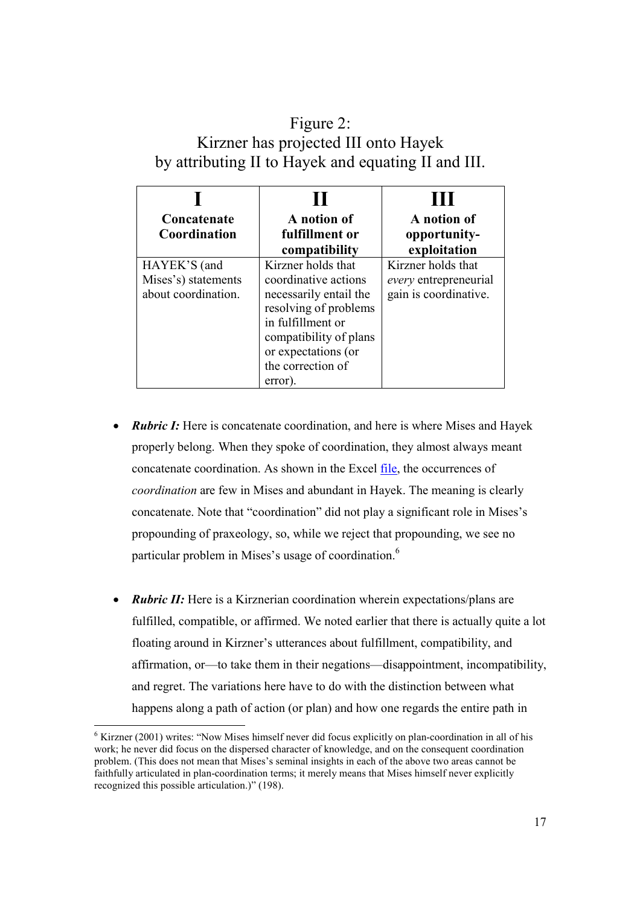## Figure 2: Kirzner has projected III onto Hayek by attributing II to Hayek and equating II and III.

|                     | Ш                      | Ш                            |
|---------------------|------------------------|------------------------------|
| Concatenate         | A notion of            | A notion of                  |
| Coordination        | fulfillment or         | opportunity-                 |
|                     | compatibility          | exploitation                 |
| HAYEK'S (and        | Kirzner holds that     | Kirzner holds that           |
| Mises's) statements | coordinative actions   | <i>every</i> entrepreneurial |
| about coordination. | necessarily entail the | gain is coordinative.        |
|                     | resolving of problems  |                              |
|                     | in fulfillment or      |                              |
|                     | compatibility of plans |                              |
|                     | or expectations (or    |                              |
|                     | the correction of      |                              |
|                     | error).                |                              |

- **Rubric I:** Here is concatenate coordination, and here is where Mises and Hayek properly belong. When they spoke of coordination, they almost always meant concatenate coordination. As shown in the Excel file, the occurrences of coordination are few in Mises and abundant in Hayek. The meaning is clearly concatenate. Note that "coordination" did not play a significant role in Mises's propounding of praxeology, so, while we reject that propounding, we see no particular problem in Mises's usage of coordination.<sup>6</sup>
- Rubric II: Here is a Kirznerian coordination wherein expectations/plans are fulfilled, compatible, or affirmed. We noted earlier that there is actually quite a lot floating around in Kirzner's utterances about fulfillment, compatibility, and affirmation, or—to take them in their negations—disappointment, incompatibility, and regret. The variations here have to do with the distinction between what happens along a path of action (or plan) and how one regards the entire path in

<sup>-</sup> $6$  Kirzner (2001) writes: "Now Mises himself never did focus explicitly on plan-coordination in all of his work; he never did focus on the dispersed character of knowledge, and on the consequent coordination problem. (This does not mean that Mises's seminal insights in each of the above two areas cannot be faithfully articulated in plan-coordination terms; it merely means that Mises himself never explicitly recognized this possible articulation.)" (198).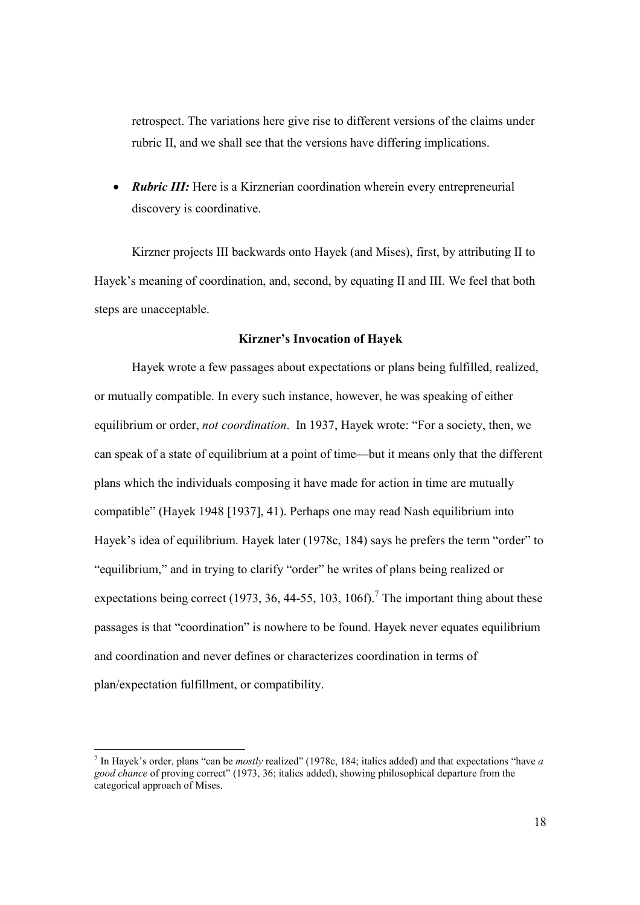retrospect. The variations here give rise to different versions of the claims under rubric II, and we shall see that the versions have differing implications.

• Rubric III: Here is a Kirznerian coordination wherein every entrepreneurial discovery is coordinative.

Kirzner projects III backwards onto Hayek (and Mises), first, by attributing II to Hayek's meaning of coordination, and, second, by equating II and III. We feel that both steps are unacceptable.

#### Kirzner's Invocation of Hayek

Hayek wrote a few passages about expectations or plans being fulfilled, realized, or mutually compatible. In every such instance, however, he was speaking of either equilibrium or order, not coordination. In 1937, Hayek wrote: "For a society, then, we can speak of a state of equilibrium at a point of time—but it means only that the different plans which the individuals composing it have made for action in time are mutually compatible" (Hayek 1948 [1937], 41). Perhaps one may read Nash equilibrium into Hayek's idea of equilibrium. Hayek later (1978c, 184) says he prefers the term "order" to "equilibrium," and in trying to clarify "order" he writes of plans being realized or expectations being correct (1973, 36, 44-55, 103, 106f).<sup>7</sup> The important thing about these passages is that "coordination" is nowhere to be found. Hayek never equates equilibrium and coordination and never defines or characterizes coordination in terms of plan/expectation fulfillment, or compatibility.

-

<sup>&</sup>lt;sup>7</sup> In Hayek's order, plans "can be *mostly* realized" (1978c, 184; italics added) and that expectations "have  $a$ good chance of proving correct" (1973, 36; italics added), showing philosophical departure from the categorical approach of Mises.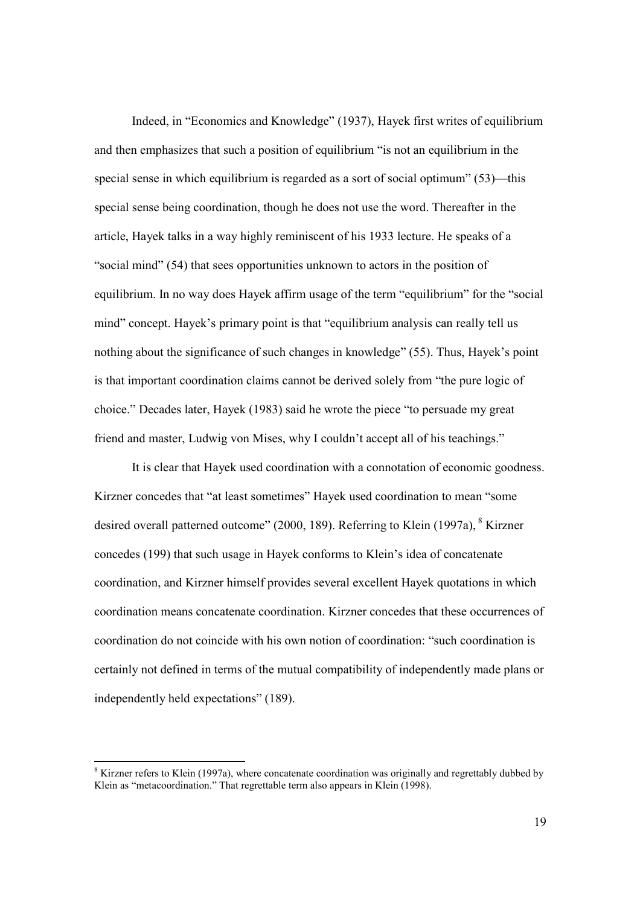Indeed, in "Economics and Knowledge" (1937), Hayek first writes of equilibrium and then emphasizes that such a position of equilibrium "is not an equilibrium in the special sense in which equilibrium is regarded as a sort of social optimum" (53)—this special sense being coordination, though he does not use the word. Thereafter in the article, Hayek talks in a way highly reminiscent of his 1933 lecture. He speaks of a "social mind" (54) that sees opportunities unknown to actors in the position of equilibrium. In no way does Hayek affirm usage of the term "equilibrium" for the "social mind" concept. Hayek's primary point is that "equilibrium analysis can really tell us nothing about the significance of such changes in knowledge" (55). Thus, Hayek's point is that important coordination claims cannot be derived solely from "the pure logic of choice." Decades later, Hayek (1983) said he wrote the piece "to persuade my great friend and master, Ludwig von Mises, why I couldn't accept all of his teachings."

It is clear that Hayek used coordination with a connotation of economic goodness. Kirzner concedes that "at least sometimes" Hayek used coordination to mean "some desired overall patterned outcome" (2000, 189). Referring to Klein (1997a), <sup>8</sup> Kirzner concedes (199) that such usage in Hayek conforms to Klein's idea of concatenate coordination, and Kirzner himself provides several excellent Hayek quotations in which coordination means concatenate coordination. Kirzner concedes that these occurrences of coordination do not coincide with his own notion of coordination: "such coordination is certainly not defined in terms of the mutual compatibility of independently made plans or independently held expectations" (189).

-

 $8$  Kirzner refers to Klein (1997a), where concatenate coordination was originally and regrettably dubbed by Klein as "metacoordination." That regrettable term also appears in Klein (1998).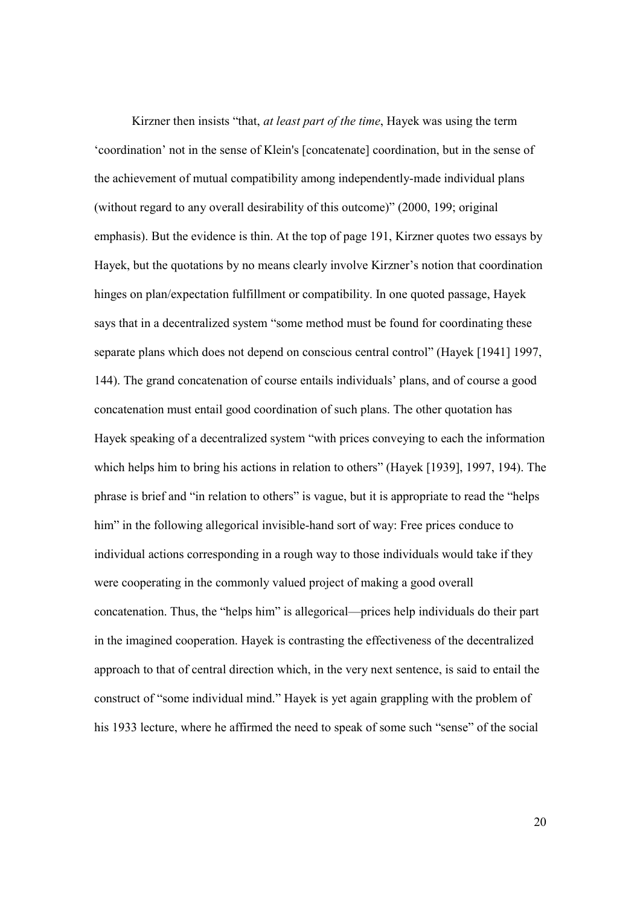Kirzner then insists "that, at least part of the time, Hayek was using the term 'coordination' not in the sense of Klein's [concatenate] coordination, but in the sense of the achievement of mutual compatibility among independently-made individual plans (without regard to any overall desirability of this outcome)" (2000, 199; original emphasis). But the evidence is thin. At the top of page 191, Kirzner quotes two essays by Hayek, but the quotations by no means clearly involve Kirzner's notion that coordination hinges on plan/expectation fulfillment or compatibility. In one quoted passage, Hayek says that in a decentralized system "some method must be found for coordinating these separate plans which does not depend on conscious central control" (Hayek [1941] 1997, 144). The grand concatenation of course entails individuals' plans, and of course a good concatenation must entail good coordination of such plans. The other quotation has Hayek speaking of a decentralized system "with prices conveying to each the information which helps him to bring his actions in relation to others" (Hayek [1939], 1997, 194). The phrase is brief and "in relation to others" is vague, but it is appropriate to read the "helps him" in the following allegorical invisible-hand sort of way: Free prices conduce to individual actions corresponding in a rough way to those individuals would take if they were cooperating in the commonly valued project of making a good overall concatenation. Thus, the "helps him" is allegorical—prices help individuals do their part in the imagined cooperation. Hayek is contrasting the effectiveness of the decentralized approach to that of central direction which, in the very next sentence, is said to entail the construct of "some individual mind." Hayek is yet again grappling with the problem of his 1933 lecture, where he affirmed the need to speak of some such "sense" of the social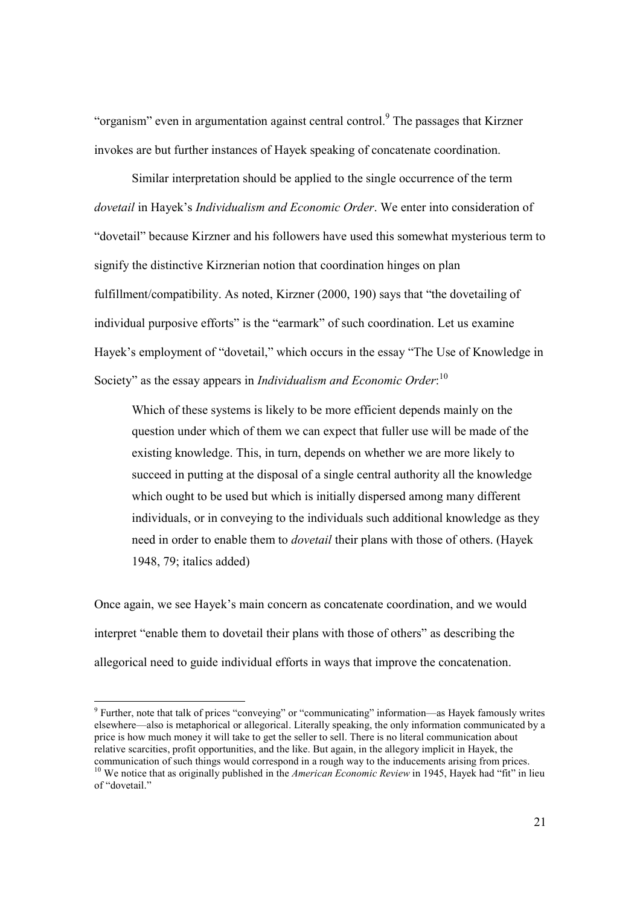"organism" even in argumentation against central control.<sup>9</sup> The passages that Kirzner invokes are but further instances of Hayek speaking of concatenate coordination.

Similar interpretation should be applied to the single occurrence of the term dovetail in Hayek's Individualism and Economic Order. We enter into consideration of "dovetail" because Kirzner and his followers have used this somewhat mysterious term to signify the distinctive Kirznerian notion that coordination hinges on plan fulfillment/compatibility. As noted, Kirzner (2000, 190) says that "the dovetailing of individual purposive efforts" is the "earmark" of such coordination. Let us examine Hayek's employment of "dovetail," which occurs in the essay "The Use of Knowledge in Society" as the essay appears in *Individualism and Economic Order*:<sup>10</sup>

Which of these systems is likely to be more efficient depends mainly on the question under which of them we can expect that fuller use will be made of the existing knowledge. This, in turn, depends on whether we are more likely to succeed in putting at the disposal of a single central authority all the knowledge which ought to be used but which is initially dispersed among many different individuals, or in conveying to the individuals such additional knowledge as they need in order to enable them to dovetail their plans with those of others. (Hayek 1948, 79; italics added)

Once again, we see Hayek's main concern as concatenate coordination, and we would interpret "enable them to dovetail their plans with those of others" as describing the allegorical need to guide individual efforts in ways that improve the concatenation.

The Territher, note that talk of prices "conveying" or "communicating" information—as Hayek famously writes elsewhere—also is metaphorical or allegorical. Literally speaking, the only information communicated by a price is how much money it will take to get the seller to sell. There is no literal communication about relative scarcities, profit opportunities, and the like. But again, in the allegory implicit in Hayek, the communication of such things would correspond in a rough way to the inducements arising from prices. <sup>10</sup> We notice that as originally published in the *American Economic Review* in 1945, Hayek had "fit" in lieu

of "dovetail"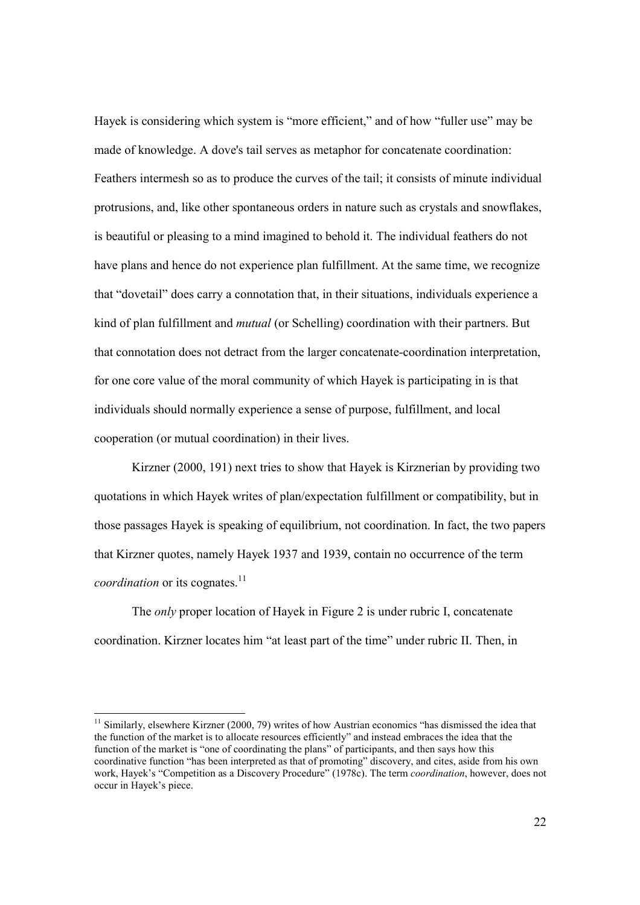Hayek is considering which system is "more efficient," and of how "fuller use" may be made of knowledge. A dove's tail serves as metaphor for concatenate coordination: Feathers intermesh so as to produce the curves of the tail; it consists of minute individual protrusions, and, like other spontaneous orders in nature such as crystals and snowflakes, is beautiful or pleasing to a mind imagined to behold it. The individual feathers do not have plans and hence do not experience plan fulfillment. At the same time, we recognize that "dovetail" does carry a connotation that, in their situations, individuals experience a kind of plan fulfillment and mutual (or Schelling) coordination with their partners. But that connotation does not detract from the larger concatenate-coordination interpretation, for one core value of the moral community of which Hayek is participating in is that individuals should normally experience a sense of purpose, fulfillment, and local cooperation (or mutual coordination) in their lives.

Kirzner (2000, 191) next tries to show that Hayek is Kirznerian by providing two quotations in which Hayek writes of plan/expectation fulfillment or compatibility, but in those passages Hayek is speaking of equilibrium, not coordination. In fact, the two papers that Kirzner quotes, namely Hayek 1937 and 1939, contain no occurrence of the term *coordination* or its cognates.<sup>11</sup>

The only proper location of Hayek in Figure 2 is under rubric I, concatenate coordination. Kirzner locates him "at least part of the time" under rubric II. Then, in

-

<sup>&</sup>lt;sup>11</sup> Similarly, elsewhere Kirzner (2000, 79) writes of how Austrian economics "has dismissed the idea that the function of the market is to allocate resources efficiently" and instead embraces the idea that the function of the market is "one of coordinating the plans" of participants, and then says how this coordinative function "has been interpreted as that of promoting" discovery, and cites, aside from his own work, Hayek's "Competition as a Discovery Procedure" (1978c). The term *coordination*, however, does not occur in Hayek's piece.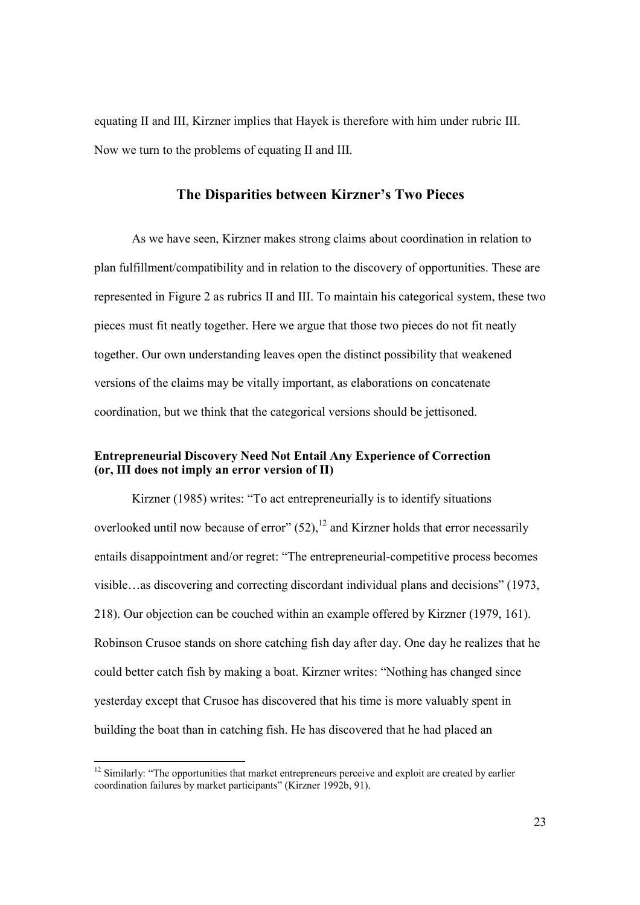equating II and III, Kirzner implies that Hayek is therefore with him under rubric III. Now we turn to the problems of equating II and III.

#### The Disparities between Kirzner's Two Pieces

As we have seen, Kirzner makes strong claims about coordination in relation to plan fulfillment/compatibility and in relation to the discovery of opportunities. These are represented in Figure 2 as rubrics II and III. To maintain his categorical system, these two pieces must fit neatly together. Here we argue that those two pieces do not fit neatly together. Our own understanding leaves open the distinct possibility that weakened versions of the claims may be vitally important, as elaborations on concatenate coordination, but we think that the categorical versions should be jettisoned.

#### Entrepreneurial Discovery Need Not Entail Any Experience of Correction (or, III does not imply an error version of II)

Kirzner (1985) writes: "To act entrepreneurially is to identify situations overlooked until now because of error"  $(52)$ ,<sup>12</sup> and Kirzner holds that error necessarily entails disappointment and/or regret: "The entrepreneurial-competitive process becomes visible…as discovering and correcting discordant individual plans and decisions" (1973, 218). Our objection can be couched within an example offered by Kirzner (1979, 161). Robinson Crusoe stands on shore catching fish day after day. One day he realizes that he could better catch fish by making a boat. Kirzner writes: "Nothing has changed since yesterday except that Crusoe has discovered that his time is more valuably spent in building the boat than in catching fish. He has discovered that he had placed an

-

<sup>&</sup>lt;sup>12</sup> Similarly: "The opportunities that market entrepreneurs perceive and exploit are created by earlier coordination failures by market participants" (Kirzner 1992b, 91).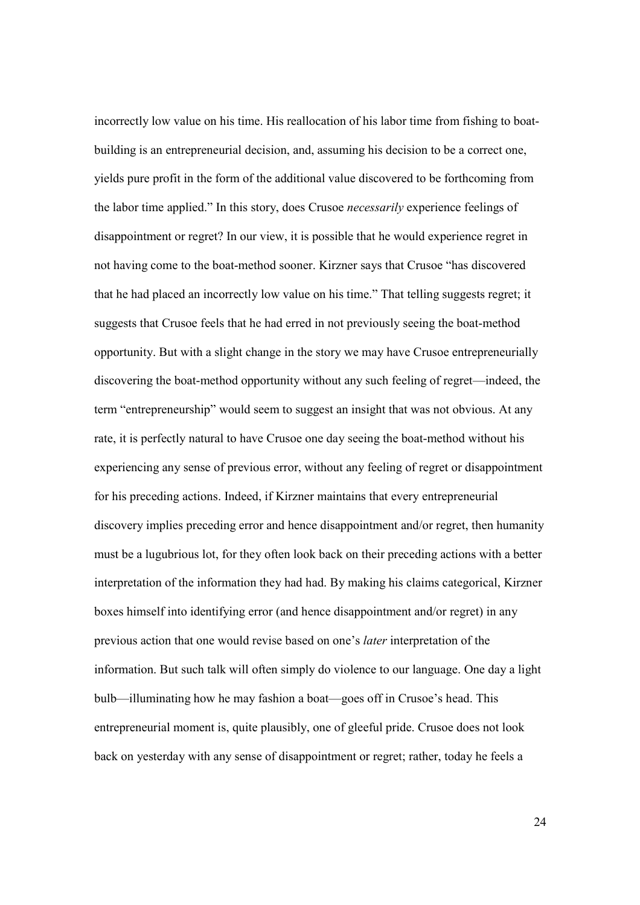incorrectly low value on his time. His reallocation of his labor time from fishing to boatbuilding is an entrepreneurial decision, and, assuming his decision to be a correct one, yields pure profit in the form of the additional value discovered to be forthcoming from the labor time applied." In this story, does Crusoe necessarily experience feelings of disappointment or regret? In our view, it is possible that he would experience regret in not having come to the boat-method sooner. Kirzner says that Crusoe "has discovered that he had placed an incorrectly low value on his time." That telling suggests regret; it suggests that Crusoe feels that he had erred in not previously seeing the boat-method opportunity. But with a slight change in the story we may have Crusoe entrepreneurially discovering the boat-method opportunity without any such feeling of regret—indeed, the term "entrepreneurship" would seem to suggest an insight that was not obvious. At any rate, it is perfectly natural to have Crusoe one day seeing the boat-method without his experiencing any sense of previous error, without any feeling of regret or disappointment for his preceding actions. Indeed, if Kirzner maintains that every entrepreneurial discovery implies preceding error and hence disappointment and/or regret, then humanity must be a lugubrious lot, for they often look back on their preceding actions with a better interpretation of the information they had had. By making his claims categorical, Kirzner boxes himself into identifying error (and hence disappointment and/or regret) in any previous action that one would revise based on one's later interpretation of the information. But such talk will often simply do violence to our language. One day a light bulb—illuminating how he may fashion a boat—goes off in Crusoe's head. This entrepreneurial moment is, quite plausibly, one of gleeful pride. Crusoe does not look back on yesterday with any sense of disappointment or regret; rather, today he feels a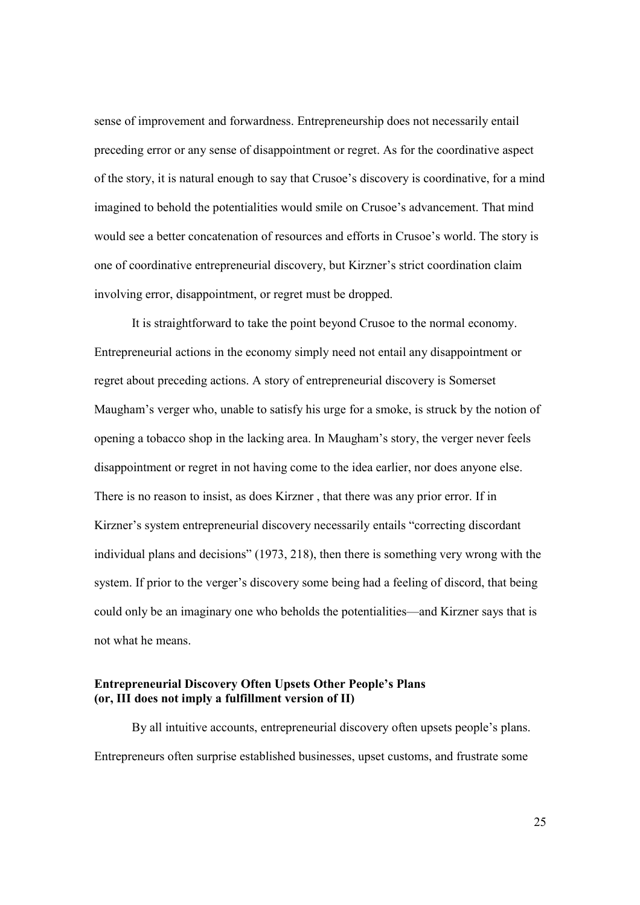sense of improvement and forwardness. Entrepreneurship does not necessarily entail preceding error or any sense of disappointment or regret. As for the coordinative aspect of the story, it is natural enough to say that Crusoe's discovery is coordinative, for a mind imagined to behold the potentialities would smile on Crusoe's advancement. That mind would see a better concatenation of resources and efforts in Crusoe's world. The story is one of coordinative entrepreneurial discovery, but Kirzner's strict coordination claim involving error, disappointment, or regret must be dropped.

It is straightforward to take the point beyond Crusoe to the normal economy. Entrepreneurial actions in the economy simply need not entail any disappointment or regret about preceding actions. A story of entrepreneurial discovery is Somerset Maugham's verger who, unable to satisfy his urge for a smoke, is struck by the notion of opening a tobacco shop in the lacking area. In Maugham's story, the verger never feels disappointment or regret in not having come to the idea earlier, nor does anyone else. There is no reason to insist, as does Kirzner , that there was any prior error. If in Kirzner's system entrepreneurial discovery necessarily entails "correcting discordant individual plans and decisions" (1973, 218), then there is something very wrong with the system. If prior to the verger's discovery some being had a feeling of discord, that being could only be an imaginary one who beholds the potentialities—and Kirzner says that is not what he means.

#### Entrepreneurial Discovery Often Upsets Other People's Plans (or, III does not imply a fulfillment version of II)

By all intuitive accounts, entrepreneurial discovery often upsets people's plans. Entrepreneurs often surprise established businesses, upset customs, and frustrate some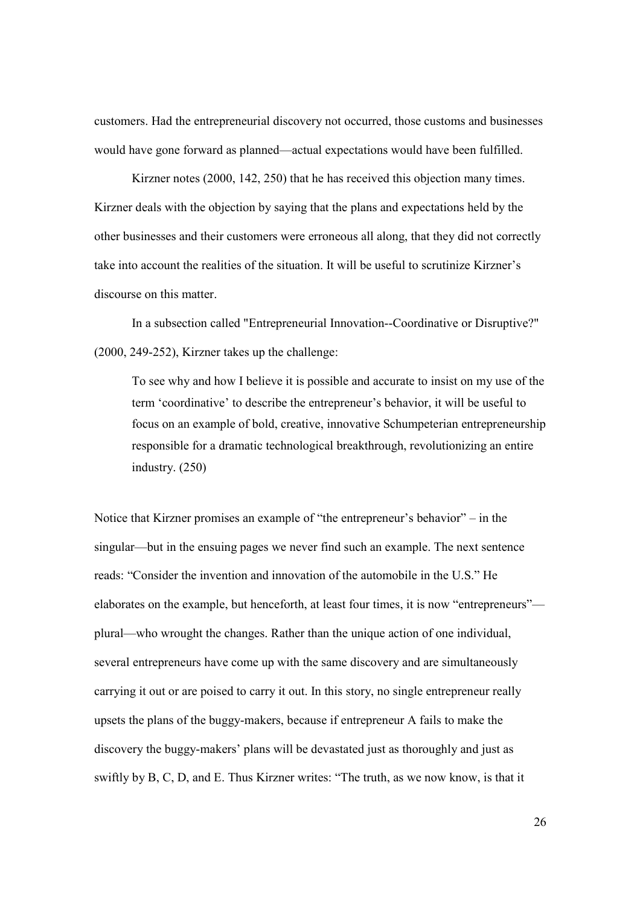customers. Had the entrepreneurial discovery not occurred, those customs and businesses would have gone forward as planned—actual expectations would have been fulfilled.

Kirzner notes (2000, 142, 250) that he has received this objection many times. Kirzner deals with the objection by saying that the plans and expectations held by the other businesses and their customers were erroneous all along, that they did not correctly take into account the realities of the situation. It will be useful to scrutinize Kirzner's discourse on this matter.

In a subsection called "Entrepreneurial Innovation--Coordinative or Disruptive?" (2000, 249-252), Kirzner takes up the challenge:

To see why and how I believe it is possible and accurate to insist on my use of the term 'coordinative' to describe the entrepreneur's behavior, it will be useful to focus on an example of bold, creative, innovative Schumpeterian entrepreneurship responsible for a dramatic technological breakthrough, revolutionizing an entire industry. (250)

Notice that Kirzner promises an example of "the entrepreneur's behavior" – in the singular—but in the ensuing pages we never find such an example. The next sentence reads: "Consider the invention and innovation of the automobile in the U.S." He elaborates on the example, but henceforth, at least four times, it is now "entrepreneurs" plural—who wrought the changes. Rather than the unique action of one individual, several entrepreneurs have come up with the same discovery and are simultaneously carrying it out or are poised to carry it out. In this story, no single entrepreneur really upsets the plans of the buggy-makers, because if entrepreneur A fails to make the discovery the buggy-makers' plans will be devastated just as thoroughly and just as swiftly by B, C, D, and E. Thus Kirzner writes: "The truth, as we now know, is that it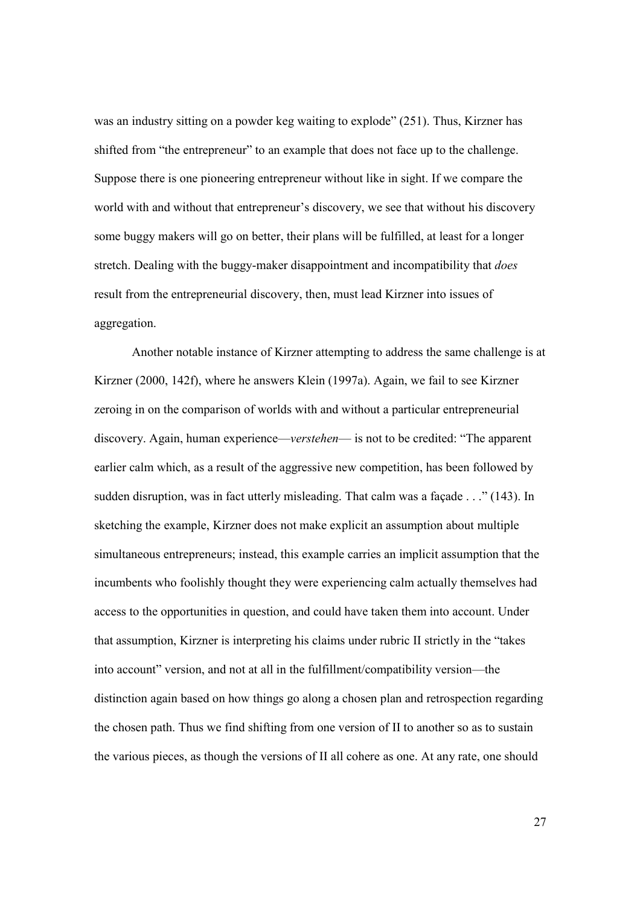was an industry sitting on a powder keg waiting to explode" (251). Thus, Kirzner has shifted from "the entrepreneur" to an example that does not face up to the challenge. Suppose there is one pioneering entrepreneur without like in sight. If we compare the world with and without that entrepreneur's discovery, we see that without his discovery some buggy makers will go on better, their plans will be fulfilled, at least for a longer stretch. Dealing with the buggy-maker disappointment and incompatibility that *does* result from the entrepreneurial discovery, then, must lead Kirzner into issues of aggregation.

Another notable instance of Kirzner attempting to address the same challenge is at Kirzner (2000, 142f), where he answers Klein (1997a). Again, we fail to see Kirzner zeroing in on the comparison of worlds with and without a particular entrepreneurial discovery. Again, human experience—verstehen— is not to be credited: "The apparent earlier calm which, as a result of the aggressive new competition, has been followed by sudden disruption, was in fact utterly misleading. That calm was a façade . . ." (143). In sketching the example, Kirzner does not make explicit an assumption about multiple simultaneous entrepreneurs; instead, this example carries an implicit assumption that the incumbents who foolishly thought they were experiencing calm actually themselves had access to the opportunities in question, and could have taken them into account. Under that assumption, Kirzner is interpreting his claims under rubric II strictly in the "takes into account" version, and not at all in the fulfillment/compatibility version—the distinction again based on how things go along a chosen plan and retrospection regarding the chosen path. Thus we find shifting from one version of II to another so as to sustain the various pieces, as though the versions of II all cohere as one. At any rate, one should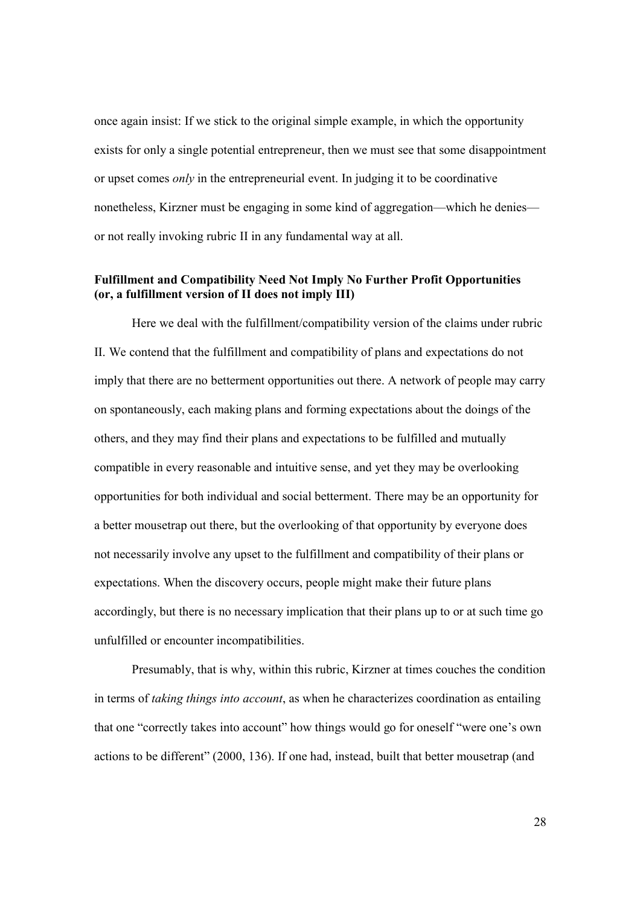once again insist: If we stick to the original simple example, in which the opportunity exists for only a single potential entrepreneur, then we must see that some disappointment or upset comes *only* in the entrepreneurial event. In judging it to be coordinative nonetheless, Kirzner must be engaging in some kind of aggregation—which he denies or not really invoking rubric II in any fundamental way at all.

#### Fulfillment and Compatibility Need Not Imply No Further Profit Opportunities (or, a fulfillment version of II does not imply III)

Here we deal with the fulfillment/compatibility version of the claims under rubric II. We contend that the fulfillment and compatibility of plans and expectations do not imply that there are no betterment opportunities out there. A network of people may carry on spontaneously, each making plans and forming expectations about the doings of the others, and they may find their plans and expectations to be fulfilled and mutually compatible in every reasonable and intuitive sense, and yet they may be overlooking opportunities for both individual and social betterment. There may be an opportunity for a better mousetrap out there, but the overlooking of that opportunity by everyone does not necessarily involve any upset to the fulfillment and compatibility of their plans or expectations. When the discovery occurs, people might make their future plans accordingly, but there is no necessary implication that their plans up to or at such time go unfulfilled or encounter incompatibilities.

Presumably, that is why, within this rubric, Kirzner at times couches the condition in terms of taking things into account, as when he characterizes coordination as entailing that one "correctly takes into account" how things would go for oneself "were one's own actions to be different" (2000, 136). If one had, instead, built that better mousetrap (and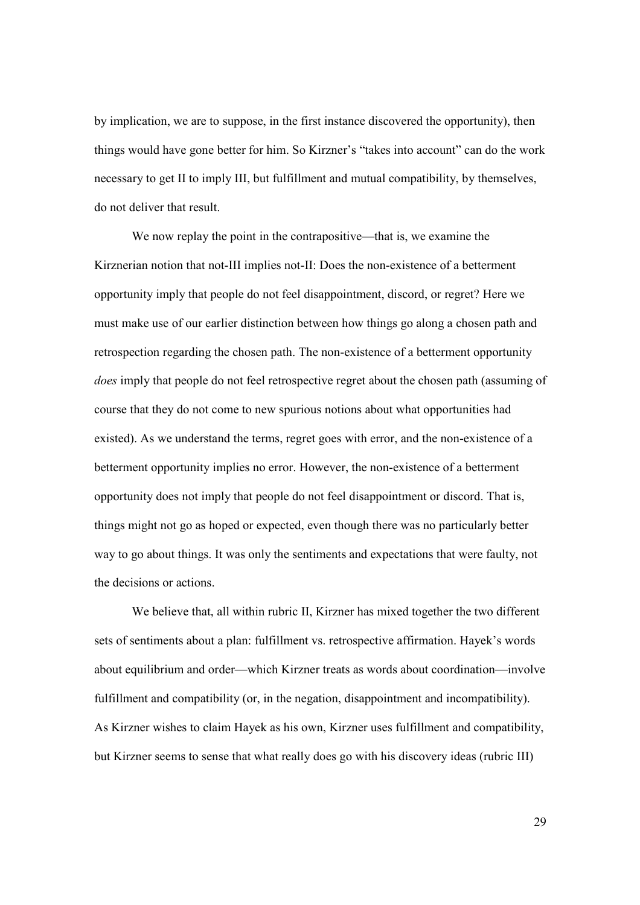by implication, we are to suppose, in the first instance discovered the opportunity), then things would have gone better for him. So Kirzner's "takes into account" can do the work necessary to get II to imply III, but fulfillment and mutual compatibility, by themselves, do not deliver that result.

We now replay the point in the contrapositive—that is, we examine the Kirznerian notion that not-III implies not-II: Does the non-existence of a betterment opportunity imply that people do not feel disappointment, discord, or regret? Here we must make use of our earlier distinction between how things go along a chosen path and retrospection regarding the chosen path. The non-existence of a betterment opportunity does imply that people do not feel retrospective regret about the chosen path (assuming of course that they do not come to new spurious notions about what opportunities had existed). As we understand the terms, regret goes with error, and the non-existence of a betterment opportunity implies no error. However, the non-existence of a betterment opportunity does not imply that people do not feel disappointment or discord. That is, things might not go as hoped or expected, even though there was no particularly better way to go about things. It was only the sentiments and expectations that were faulty, not the decisions or actions.

We believe that, all within rubric II, Kirzner has mixed together the two different sets of sentiments about a plan: fulfillment vs. retrospective affirmation. Hayek's words about equilibrium and order—which Kirzner treats as words about coordination—involve fulfillment and compatibility (or, in the negation, disappointment and incompatibility). As Kirzner wishes to claim Hayek as his own, Kirzner uses fulfillment and compatibility, but Kirzner seems to sense that what really does go with his discovery ideas (rubric III)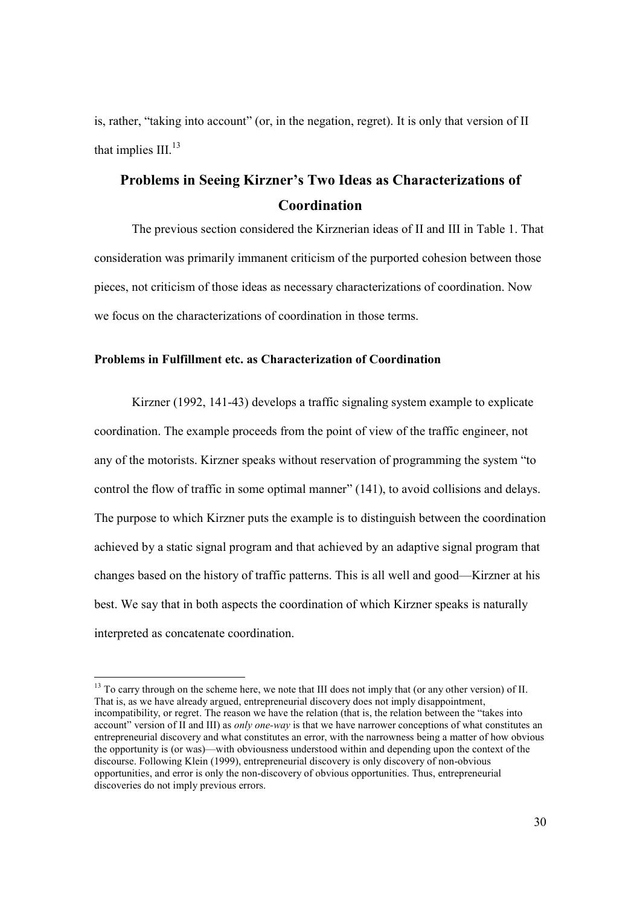is, rather, "taking into account" (or, in the negation, regret). It is only that version of II that implies  $III$ <sup>13</sup>

# Problems in Seeing Kirzner's Two Ideas as Characterizations of Coordination

The previous section considered the Kirznerian ideas of II and III in Table 1. That consideration was primarily immanent criticism of the purported cohesion between those pieces, not criticism of those ideas as necessary characterizations of coordination. Now we focus on the characterizations of coordination in those terms.

#### Problems in Fulfillment etc. as Characterization of Coordination

Kirzner (1992, 141-43) develops a traffic signaling system example to explicate coordination. The example proceeds from the point of view of the traffic engineer, not any of the motorists. Kirzner speaks without reservation of programming the system "to control the flow of traffic in some optimal manner" (141), to avoid collisions and delays. The purpose to which Kirzner puts the example is to distinguish between the coordination achieved by a static signal program and that achieved by an adaptive signal program that changes based on the history of traffic patterns. This is all well and good—Kirzner at his best. We say that in both aspects the coordination of which Kirzner speaks is naturally interpreted as concatenate coordination.

-

 $13$  To carry through on the scheme here, we note that III does not imply that (or any other version) of II. That is, as we have already argued, entrepreneurial discovery does not imply disappointment, incompatibility, or regret. The reason we have the relation (that is, the relation between the "takes into account" version of II and III) as *only one-way* is that we have narrower conceptions of what constitutes an entrepreneurial discovery and what constitutes an error, with the narrowness being a matter of how obvious the opportunity is (or was)—with obviousness understood within and depending upon the context of the discourse. Following Klein (1999), entrepreneurial discovery is only discovery of non-obvious opportunities, and error is only the non-discovery of obvious opportunities. Thus, entrepreneurial discoveries do not imply previous errors.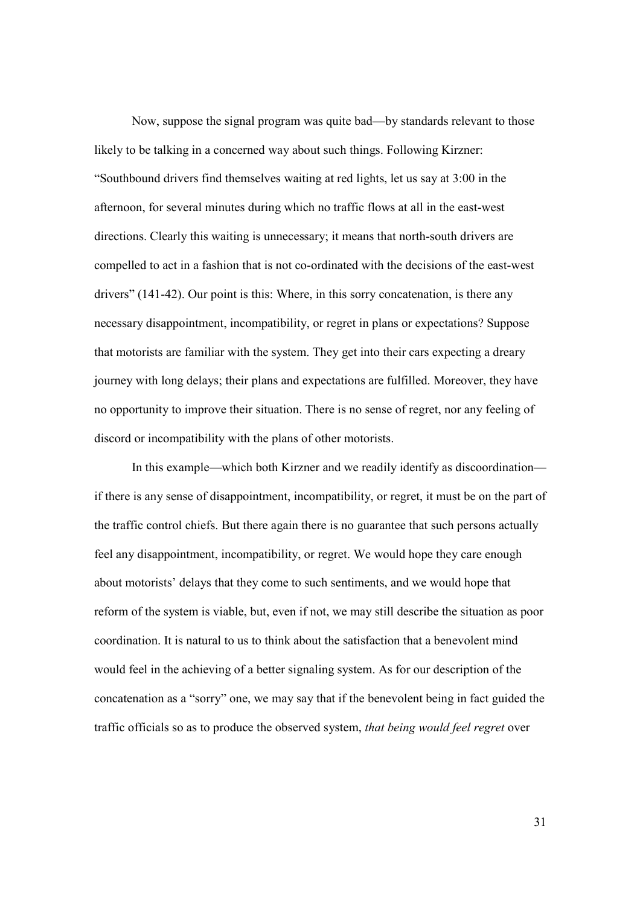Now, suppose the signal program was quite bad—by standards relevant to those likely to be talking in a concerned way about such things. Following Kirzner: "Southbound drivers find themselves waiting at red lights, let us say at 3:00 in the afternoon, for several minutes during which no traffic flows at all in the east-west directions. Clearly this waiting is unnecessary; it means that north-south drivers are compelled to act in a fashion that is not co-ordinated with the decisions of the east-west drivers" (141-42). Our point is this: Where, in this sorry concatenation, is there any necessary disappointment, incompatibility, or regret in plans or expectations? Suppose that motorists are familiar with the system. They get into their cars expecting a dreary journey with long delays; their plans and expectations are fulfilled. Moreover, they have no opportunity to improve their situation. There is no sense of regret, nor any feeling of discord or incompatibility with the plans of other motorists.

In this example—which both Kirzner and we readily identify as discoordination if there is any sense of disappointment, incompatibility, or regret, it must be on the part of the traffic control chiefs. But there again there is no guarantee that such persons actually feel any disappointment, incompatibility, or regret. We would hope they care enough about motorists' delays that they come to such sentiments, and we would hope that reform of the system is viable, but, even if not, we may still describe the situation as poor coordination. It is natural to us to think about the satisfaction that a benevolent mind would feel in the achieving of a better signaling system. As for our description of the concatenation as a "sorry" one, we may say that if the benevolent being in fact guided the traffic officials so as to produce the observed system, that being would feel regret over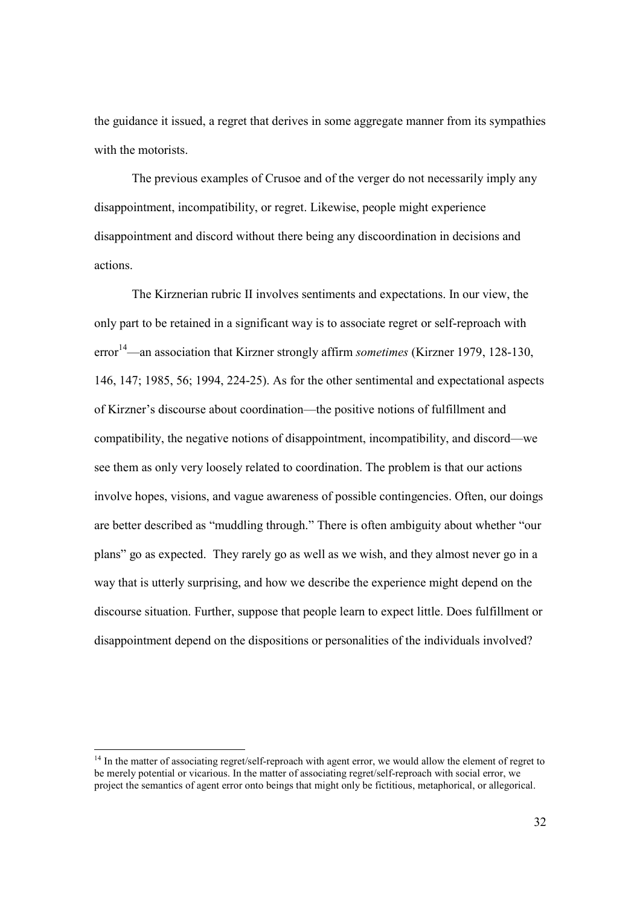the guidance it issued, a regret that derives in some aggregate manner from its sympathies with the motorists.

The previous examples of Crusoe and of the verger do not necessarily imply any disappointment, incompatibility, or regret. Likewise, people might experience disappointment and discord without there being any discoordination in decisions and actions.

The Kirznerian rubric II involves sentiments and expectations. In our view, the only part to be retained in a significant way is to associate regret or self-reproach with error<sup>14</sup>—an association that Kirzner strongly affirm sometimes (Kirzner 1979, 128-130, 146, 147; 1985, 56; 1994, 224-25). As for the other sentimental and expectational aspects of Kirzner's discourse about coordination—the positive notions of fulfillment and compatibility, the negative notions of disappointment, incompatibility, and discord—we see them as only very loosely related to coordination. The problem is that our actions involve hopes, visions, and vague awareness of possible contingencies. Often, our doings are better described as "muddling through." There is often ambiguity about whether "our plans" go as expected. They rarely go as well as we wish, and they almost never go in a way that is utterly surprising, and how we describe the experience might depend on the discourse situation. Further, suppose that people learn to expect little. Does fulfillment or disappointment depend on the dispositions or personalities of the individuals involved?

-

<sup>&</sup>lt;sup>14</sup> In the matter of associating regret/self-reproach with agent error, we would allow the element of regret to be merely potential or vicarious. In the matter of associating regret/self-reproach with social error, we project the semantics of agent error onto beings that might only be fictitious, metaphorical, or allegorical.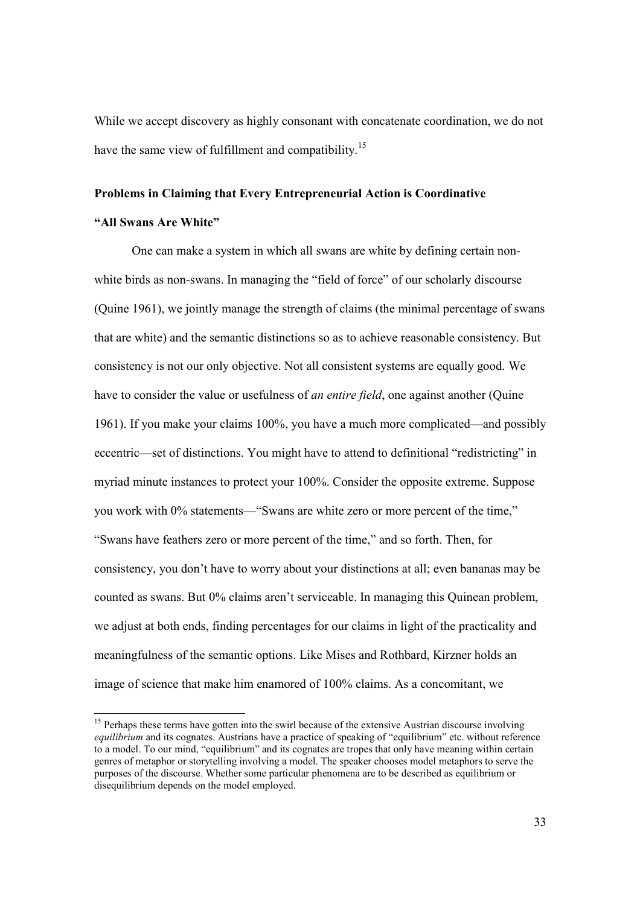While we accept discovery as highly consonant with concatenate coordination, we do not have the same view of fulfillment and compatibility.<sup>15</sup>

# Problems in Claiming that Every Entrepreneurial Action is Coordinative

#### "All Swans Are White"

-

One can make a system in which all swans are white by defining certain nonwhite birds as non-swans. In managing the "field of force" of our scholarly discourse (Quine 1961), we jointly manage the strength of claims (the minimal percentage of swans that are white) and the semantic distinctions so as to achieve reasonable consistency. But consistency is not our only objective. Not all consistent systems are equally good. We have to consider the value or usefulness of *an entire field*, one against another (Quine 1961). If you make your claims 100%, you have a much more complicated—and possibly eccentric—set of distinctions. You might have to attend to definitional "redistricting" in myriad minute instances to protect your 100%. Consider the opposite extreme. Suppose you work with 0% statements—"Swans are white zero or more percent of the time," "Swans have feathers zero or more percent of the time," and so forth. Then, for consistency, you don't have to worry about your distinctions at all; even bananas may be counted as swans. But 0% claims aren't serviceable. In managing this Quinean problem, we adjust at both ends, finding percentages for our claims in light of the practicality and meaningfulness of the semantic options. Like Mises and Rothbard, Kirzner holds an image of science that make him enamored of 100% claims. As a concomitant, we

<sup>&</sup>lt;sup>15</sup> Perhaps these terms have gotten into the swirl because of the extensive Austrian discourse involving equilibrium and its cognates. Austrians have a practice of speaking of "equilibrium" etc. without reference to a model. To our mind, "equilibrium" and its cognates are tropes that only have meaning within certain genres of metaphor or storytelling involving a model. The speaker chooses model metaphors to serve the purposes of the discourse. Whether some particular phenomena are to be described as equilibrium or disequilibrium depends on the model employed.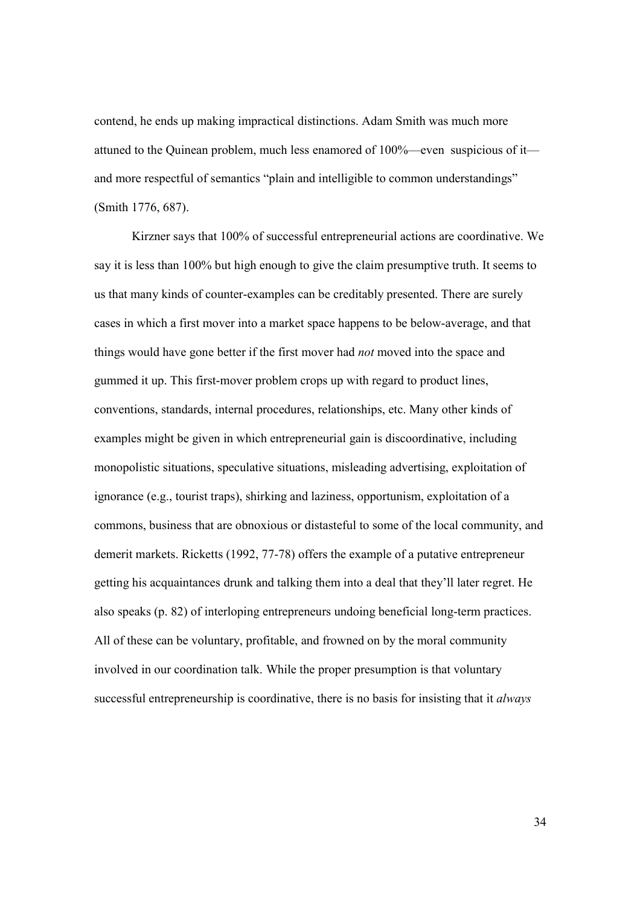contend, he ends up making impractical distinctions. Adam Smith was much more attuned to the Quinean problem, much less enamored of 100%—even suspicious of it and more respectful of semantics "plain and intelligible to common understandings" (Smith 1776, 687).

Kirzner says that 100% of successful entrepreneurial actions are coordinative. We say it is less than 100% but high enough to give the claim presumptive truth. It seems to us that many kinds of counter-examples can be creditably presented. There are surely cases in which a first mover into a market space happens to be below-average, and that things would have gone better if the first mover had *not* moved into the space and gummed it up. This first-mover problem crops up with regard to product lines, conventions, standards, internal procedures, relationships, etc. Many other kinds of examples might be given in which entrepreneurial gain is discoordinative, including monopolistic situations, speculative situations, misleading advertising, exploitation of ignorance (e.g., tourist traps), shirking and laziness, opportunism, exploitation of a commons, business that are obnoxious or distasteful to some of the local community, and demerit markets. Ricketts (1992, 77-78) offers the example of a putative entrepreneur getting his acquaintances drunk and talking them into a deal that they'll later regret. He also speaks (p. 82) of interloping entrepreneurs undoing beneficial long-term practices. All of these can be voluntary, profitable, and frowned on by the moral community involved in our coordination talk. While the proper presumption is that voluntary successful entrepreneurship is coordinative, there is no basis for insisting that it *always*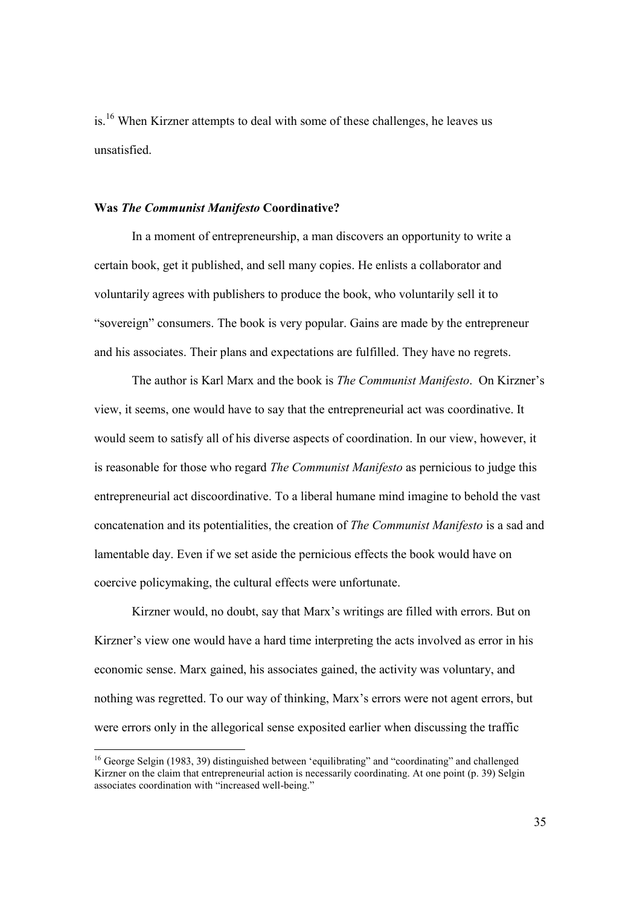is.<sup>16</sup> When Kirzner attempts to deal with some of these challenges, he leaves us unsatisfied.

#### Was The Communist Manifesto Coordinative?

In a moment of entrepreneurship, a man discovers an opportunity to write a certain book, get it published, and sell many copies. He enlists a collaborator and voluntarily agrees with publishers to produce the book, who voluntarily sell it to "sovereign" consumers. The book is very popular. Gains are made by the entrepreneur and his associates. Their plans and expectations are fulfilled. They have no regrets.

The author is Karl Marx and the book is The Communist Manifesto. On Kirzner's view, it seems, one would have to say that the entrepreneurial act was coordinative. It would seem to satisfy all of his diverse aspects of coordination. In our view, however, it is reasonable for those who regard The Communist Manifesto as pernicious to judge this entrepreneurial act discoordinative. To a liberal humane mind imagine to behold the vast concatenation and its potentialities, the creation of The Communist Manifesto is a sad and lamentable day. Even if we set aside the pernicious effects the book would have on coercive policymaking, the cultural effects were unfortunate.

Kirzner would, no doubt, say that Marx's writings are filled with errors. But on Kirzner's view one would have a hard time interpreting the acts involved as error in his economic sense. Marx gained, his associates gained, the activity was voluntary, and nothing was regretted. To our way of thinking, Marx's errors were not agent errors, but were errors only in the allegorical sense exposited earlier when discussing the traffic

-

<sup>&</sup>lt;sup>16</sup> George Selgin (1983, 39) distinguished between 'equilibrating" and "coordinating" and challenged Kirzner on the claim that entrepreneurial action is necessarily coordinating. At one point (p. 39) Selgin associates coordination with "increased well-being."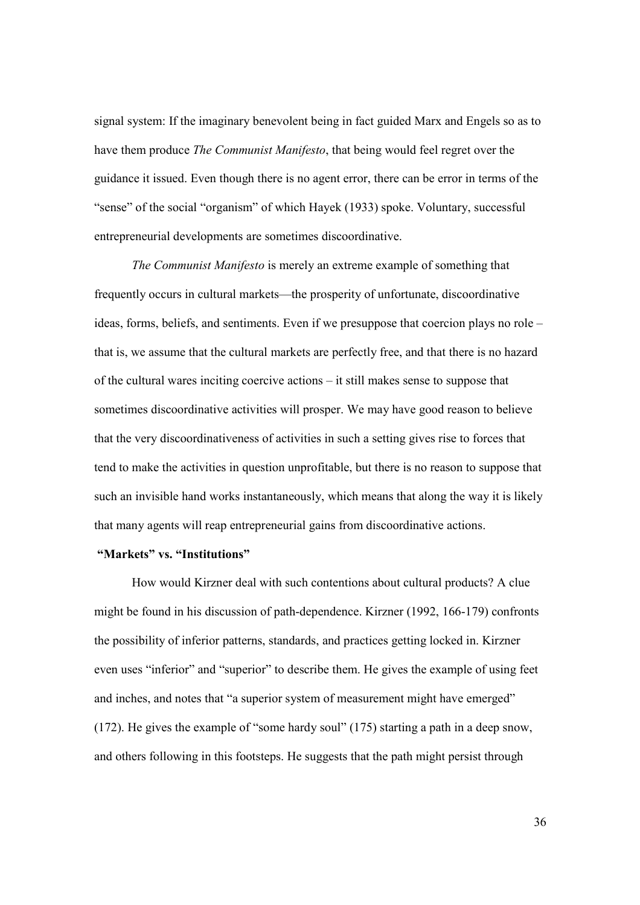signal system: If the imaginary benevolent being in fact guided Marx and Engels so as to have them produce *The Communist Manifesto*, that being would feel regret over the guidance it issued. Even though there is no agent error, there can be error in terms of the "sense" of the social "organism" of which Hayek (1933) spoke. Voluntary, successful entrepreneurial developments are sometimes discoordinative.

The Communist Manifesto is merely an extreme example of something that frequently occurs in cultural markets—the prosperity of unfortunate, discoordinative ideas, forms, beliefs, and sentiments. Even if we presuppose that coercion plays no role – that is, we assume that the cultural markets are perfectly free, and that there is no hazard of the cultural wares inciting coercive actions – it still makes sense to suppose that sometimes discoordinative activities will prosper. We may have good reason to believe that the very discoordinativeness of activities in such a setting gives rise to forces that tend to make the activities in question unprofitable, but there is no reason to suppose that such an invisible hand works instantaneously, which means that along the way it is likely that many agents will reap entrepreneurial gains from discoordinative actions.

#### "Markets" vs. "Institutions"

How would Kirzner deal with such contentions about cultural products? A clue might be found in his discussion of path-dependence. Kirzner (1992, 166-179) confronts the possibility of inferior patterns, standards, and practices getting locked in. Kirzner even uses "inferior" and "superior" to describe them. He gives the example of using feet and inches, and notes that "a superior system of measurement might have emerged" (172). He gives the example of "some hardy soul" (175) starting a path in a deep snow, and others following in this footsteps. He suggests that the path might persist through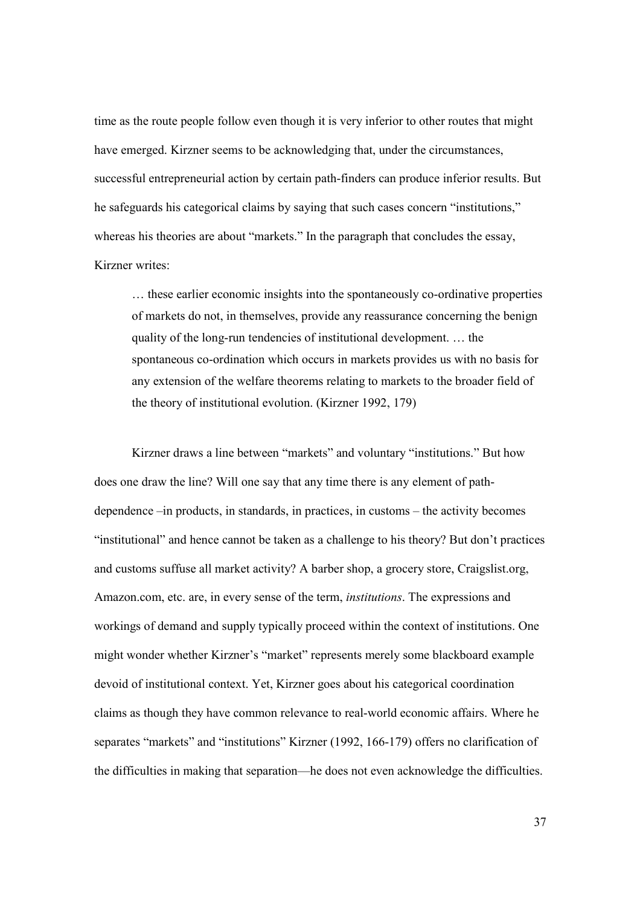time as the route people follow even though it is very inferior to other routes that might have emerged. Kirzner seems to be acknowledging that, under the circumstances, successful entrepreneurial action by certain path-finders can produce inferior results. But he safeguards his categorical claims by saying that such cases concern "institutions," whereas his theories are about "markets." In the paragraph that concludes the essay, Kirzner writes:

… these earlier economic insights into the spontaneously co-ordinative properties of markets do not, in themselves, provide any reassurance concerning the benign quality of the long-run tendencies of institutional development. … the spontaneous co-ordination which occurs in markets provides us with no basis for any extension of the welfare theorems relating to markets to the broader field of the theory of institutional evolution. (Kirzner 1992, 179)

Kirzner draws a line between "markets" and voluntary "institutions." But how does one draw the line? Will one say that any time there is any element of pathdependence –in products, in standards, in practices, in customs – the activity becomes "institutional" and hence cannot be taken as a challenge to his theory? But don't practices and customs suffuse all market activity? A barber shop, a grocery store, Craigslist.org, Amazon.com, etc. are, in every sense of the term, institutions. The expressions and workings of demand and supply typically proceed within the context of institutions. One might wonder whether Kirzner's "market" represents merely some blackboard example devoid of institutional context. Yet, Kirzner goes about his categorical coordination claims as though they have common relevance to real-world economic affairs. Where he separates "markets" and "institutions" Kirzner (1992, 166-179) offers no clarification of the difficulties in making that separation—he does not even acknowledge the difficulties.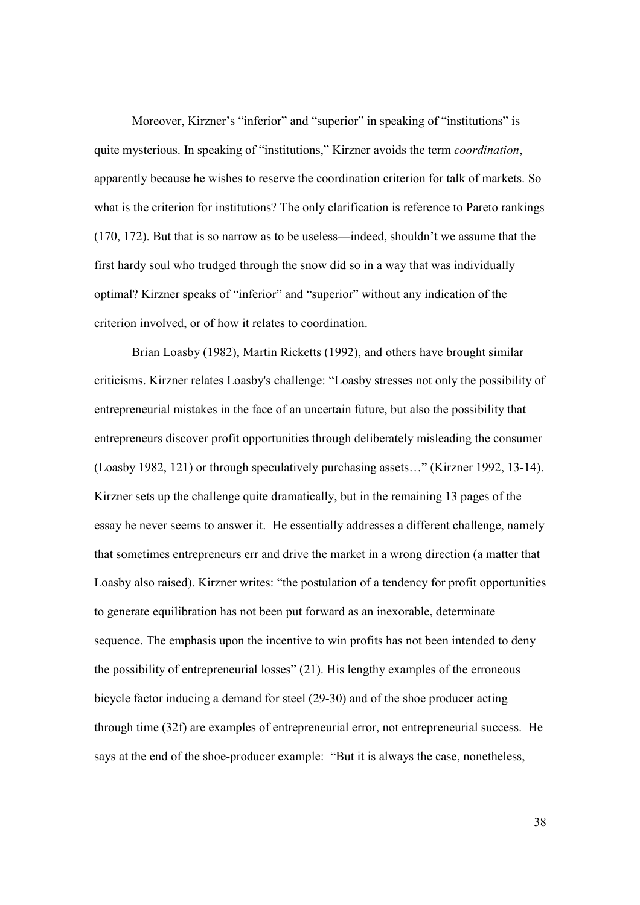Moreover, Kirzner's "inferior" and "superior" in speaking of "institutions" is quite mysterious. In speaking of "institutions," Kirzner avoids the term coordination, apparently because he wishes to reserve the coordination criterion for talk of markets. So what is the criterion for institutions? The only clarification is reference to Pareto rankings (170, 172). But that is so narrow as to be useless—indeed, shouldn't we assume that the first hardy soul who trudged through the snow did so in a way that was individually optimal? Kirzner speaks of "inferior" and "superior" without any indication of the criterion involved, or of how it relates to coordination.

Brian Loasby (1982), Martin Ricketts (1992), and others have brought similar criticisms. Kirzner relates Loasby's challenge: "Loasby stresses not only the possibility of entrepreneurial mistakes in the face of an uncertain future, but also the possibility that entrepreneurs discover profit opportunities through deliberately misleading the consumer (Loasby 1982, 121) or through speculatively purchasing assets…" (Kirzner 1992, 13-14). Kirzner sets up the challenge quite dramatically, but in the remaining 13 pages of the essay he never seems to answer it. He essentially addresses a different challenge, namely that sometimes entrepreneurs err and drive the market in a wrong direction (a matter that Loasby also raised). Kirzner writes: "the postulation of a tendency for profit opportunities to generate equilibration has not been put forward as an inexorable, determinate sequence. The emphasis upon the incentive to win profits has not been intended to deny the possibility of entrepreneurial losses" (21). His lengthy examples of the erroneous bicycle factor inducing a demand for steel (29-30) and of the shoe producer acting through time (32f) are examples of entrepreneurial error, not entrepreneurial success. He says at the end of the shoe-producer example: "But it is always the case, nonetheless,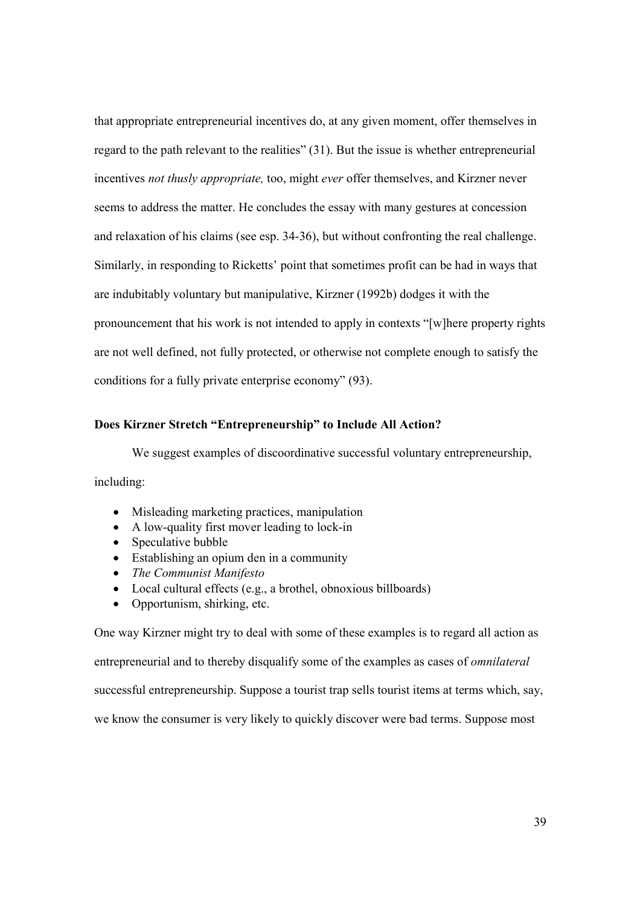that appropriate entrepreneurial incentives do, at any given moment, offer themselves in regard to the path relevant to the realities" (31). But the issue is whether entrepreneurial incentives not thusly appropriate, too, might ever offer themselves, and Kirzner never seems to address the matter. He concludes the essay with many gestures at concession and relaxation of his claims (see esp. 34-36), but without confronting the real challenge. Similarly, in responding to Ricketts' point that sometimes profit can be had in ways that are indubitably voluntary but manipulative, Kirzner (1992b) dodges it with the pronouncement that his work is not intended to apply in contexts "[w]here property rights are not well defined, not fully protected, or otherwise not complete enough to satisfy the conditions for a fully private enterprise economy" (93).

#### Does Kirzner Stretch "Entrepreneurship" to Include All Action?

We suggest examples of discoordinative successful voluntary entrepreneurship, including:

- Misleading marketing practices, manipulation
- A low-quality first mover leading to lock-in
- Speculative bubble
- Establishing an opium den in a community
- The Communist Manifesto
- Local cultural effects (e.g., a brothel, obnoxious billboards)
- Opportunism, shirking, etc.

One way Kirzner might try to deal with some of these examples is to regard all action as entrepreneurial and to thereby disqualify some of the examples as cases of omnilateral successful entrepreneurship. Suppose a tourist trap sells tourist items at terms which, say, we know the consumer is very likely to quickly discover were bad terms. Suppose most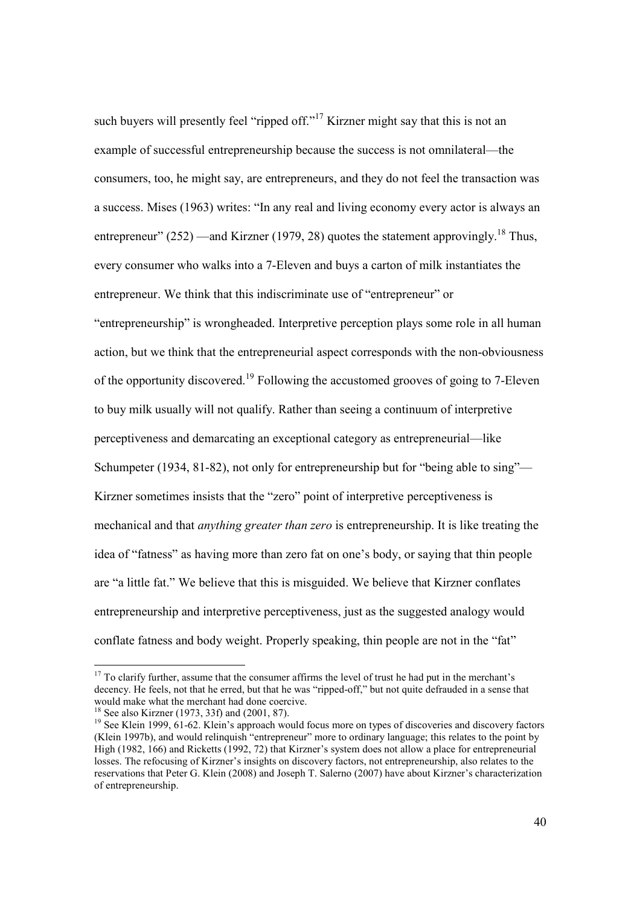such buyers will presently feel "ripped off."<sup>17</sup> Kirzner might say that this is not an example of successful entrepreneurship because the success is not omnilateral—the consumers, too, he might say, are entrepreneurs, and they do not feel the transaction was a success. Mises (1963) writes: "In any real and living economy every actor is always an entrepreneur" (252) —and Kirzner (1979, 28) quotes the statement approvingly.<sup>18</sup> Thus, every consumer who walks into a 7-Eleven and buys a carton of milk instantiates the entrepreneur. We think that this indiscriminate use of "entrepreneur" or "entrepreneurship" is wrongheaded. Interpretive perception plays some role in all human action, but we think that the entrepreneurial aspect corresponds with the non-obviousness of the opportunity discovered.<sup>19</sup> Following the accustomed grooves of going to 7-Eleven to buy milk usually will not qualify. Rather than seeing a continuum of interpretive perceptiveness and demarcating an exceptional category as entrepreneurial—like Schumpeter (1934, 81-82), not only for entrepreneurship but for "being able to sing"— Kirzner sometimes insists that the "zero" point of interpretive perceptiveness is mechanical and that *anything greater than zero* is entrepreneurship. It is like treating the idea of "fatness" as having more than zero fat on one's body, or saying that thin people are "a little fat." We believe that this is misguided. We believe that Kirzner conflates entrepreneurship and interpretive perceptiveness, just as the suggested analogy would conflate fatness and body weight. Properly speaking, thin people are not in the "fat"

-

 $17$  To clarify further, assume that the consumer affirms the level of trust he had put in the merchant's decency. He feels, not that he erred, but that he was "ripped-off," but not quite defrauded in a sense that would make what the merchant had done coercive.

<sup>&</sup>lt;sup>18</sup> See also Kirzner (1973, 33f) and (2001, 87).

<sup>&</sup>lt;sup>19</sup> See Klein 1999, 61-62. Klein's approach would focus more on types of discoveries and discovery factors (Klein 1997b), and would relinquish "entrepreneur" more to ordinary language; this relates to the point by High (1982, 166) and Ricketts (1992, 72) that Kirzner's system does not allow a place for entrepreneurial losses. The refocusing of Kirzner's insights on discovery factors, not entrepreneurship, also relates to the reservations that Peter G. Klein (2008) and Joseph T. Salerno (2007) have about Kirzner's characterization of entrepreneurship.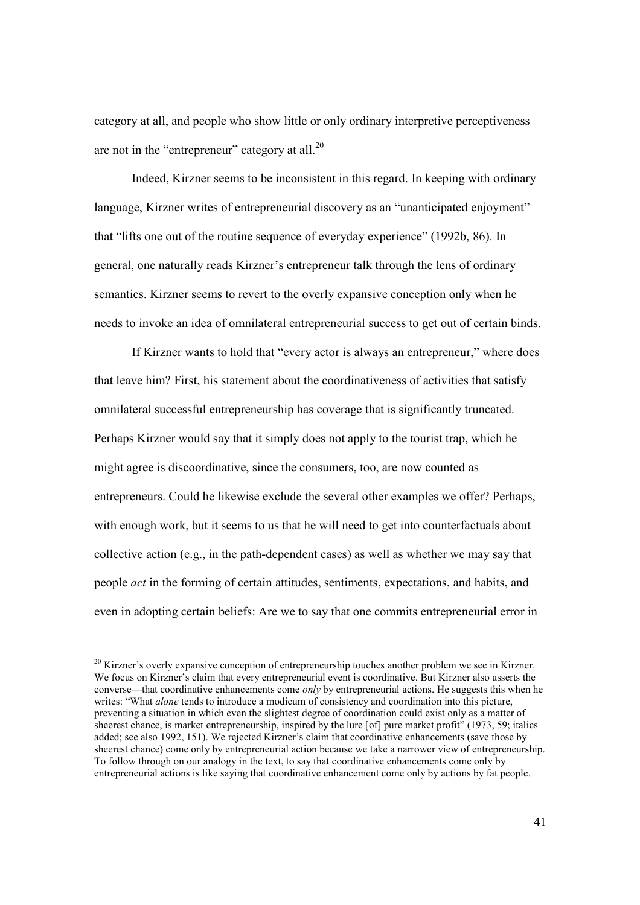category at all, and people who show little or only ordinary interpretive perceptiveness are not in the "entrepreneur" category at all.<sup>20</sup>

Indeed, Kirzner seems to be inconsistent in this regard. In keeping with ordinary language, Kirzner writes of entrepreneurial discovery as an "unanticipated enjoyment" that "lifts one out of the routine sequence of everyday experience" (1992b, 86). In general, one naturally reads Kirzner's entrepreneur talk through the lens of ordinary semantics. Kirzner seems to revert to the overly expansive conception only when he needs to invoke an idea of omnilateral entrepreneurial success to get out of certain binds.

If Kirzner wants to hold that "every actor is always an entrepreneur," where does that leave him? First, his statement about the coordinativeness of activities that satisfy omnilateral successful entrepreneurship has coverage that is significantly truncated. Perhaps Kirzner would say that it simply does not apply to the tourist trap, which he might agree is discoordinative, since the consumers, too, are now counted as entrepreneurs. Could he likewise exclude the several other examples we offer? Perhaps, with enough work, but it seems to us that he will need to get into counterfactuals about collective action (e.g., in the path-dependent cases) as well as whether we may say that people act in the forming of certain attitudes, sentiments, expectations, and habits, and even in adopting certain beliefs: Are we to say that one commits entrepreneurial error in

-

<sup>&</sup>lt;sup>20</sup> Kirzner's overly expansive conception of entrepreneurship touches another problem we see in Kirzner. We focus on Kirzner's claim that every entrepreneurial event is coordinative. But Kirzner also asserts the converse—that coordinative enhancements come *only* by entrepreneurial actions. He suggests this when he writes: "What *alone* tends to introduce a modicum of consistency and coordination into this picture, preventing a situation in which even the slightest degree of coordination could exist only as a matter of sheerest chance, is market entrepreneurship, inspired by the lure [of] pure market profit" (1973, 59; italics added; see also 1992, 151). We rejected Kirzner's claim that coordinative enhancements (save those by sheerest chance) come only by entrepreneurial action because we take a narrower view of entrepreneurship. To follow through on our analogy in the text, to say that coordinative enhancements come only by entrepreneurial actions is like saying that coordinative enhancement come only by actions by fat people.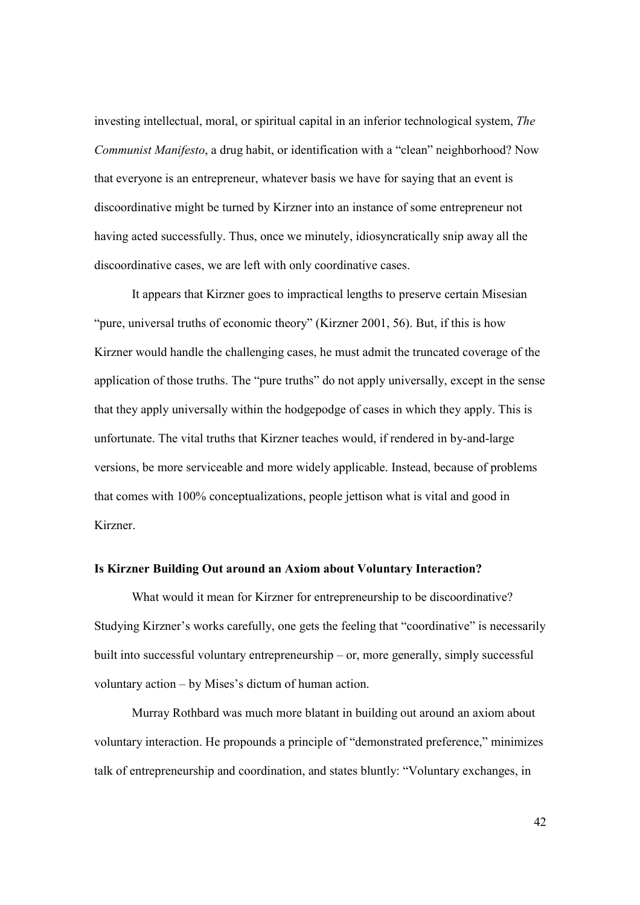investing intellectual, moral, or spiritual capital in an inferior technological system, The Communist Manifesto, a drug habit, or identification with a "clean" neighborhood? Now that everyone is an entrepreneur, whatever basis we have for saying that an event is discoordinative might be turned by Kirzner into an instance of some entrepreneur not having acted successfully. Thus, once we minutely, idiosyncratically snip away all the discoordinative cases, we are left with only coordinative cases.

It appears that Kirzner goes to impractical lengths to preserve certain Misesian "pure, universal truths of economic theory" (Kirzner 2001, 56). But, if this is how Kirzner would handle the challenging cases, he must admit the truncated coverage of the application of those truths. The "pure truths" do not apply universally, except in the sense that they apply universally within the hodgepodge of cases in which they apply. This is unfortunate. The vital truths that Kirzner teaches would, if rendered in by-and-large versions, be more serviceable and more widely applicable. Instead, because of problems that comes with 100% conceptualizations, people jettison what is vital and good in Kirzner.

#### Is Kirzner Building Out around an Axiom about Voluntary Interaction?

What would it mean for Kirzner for entrepreneurship to be discoordinative? Studying Kirzner's works carefully, one gets the feeling that "coordinative" is necessarily built into successful voluntary entrepreneurship – or, more generally, simply successful voluntary action – by Mises's dictum of human action.

Murray Rothbard was much more blatant in building out around an axiom about voluntary interaction. He propounds a principle of "demonstrated preference," minimizes talk of entrepreneurship and coordination, and states bluntly: "Voluntary exchanges, in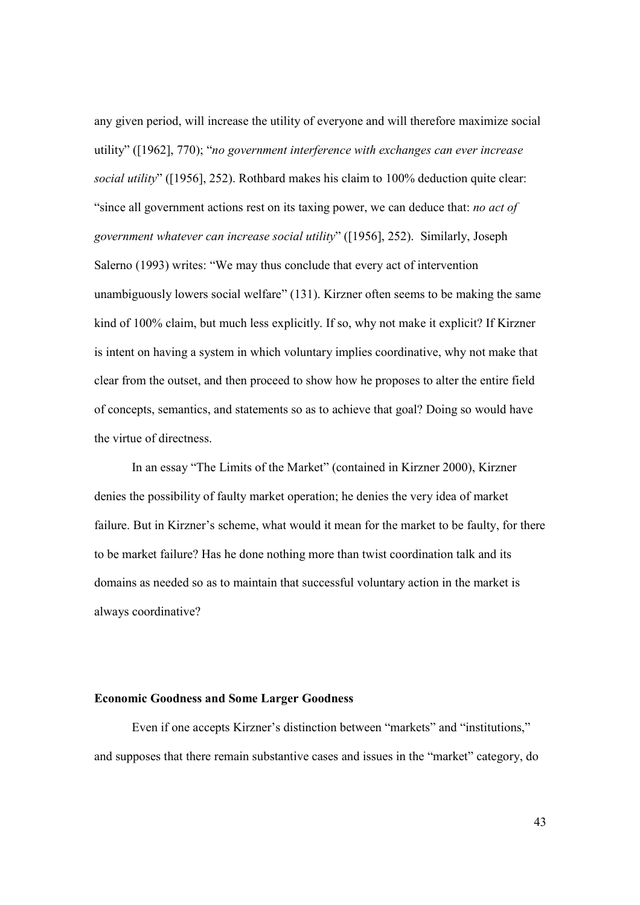any given period, will increase the utility of everyone and will therefore maximize social utility" ([1962], 770); "no government interference with exchanges can ever increase social utility" ([1956], 252). Rothbard makes his claim to 100% deduction quite clear: "since all government actions rest on its taxing power, we can deduce that: no act of government whatever can increase social utility" ([1956], 252). Similarly, Joseph Salerno (1993) writes: "We may thus conclude that every act of intervention unambiguously lowers social welfare" (131). Kirzner often seems to be making the same kind of 100% claim, but much less explicitly. If so, why not make it explicit? If Kirzner is intent on having a system in which voluntary implies coordinative, why not make that clear from the outset, and then proceed to show how he proposes to alter the entire field of concepts, semantics, and statements so as to achieve that goal? Doing so would have the virtue of directness.

In an essay "The Limits of the Market" (contained in Kirzner 2000), Kirzner denies the possibility of faulty market operation; he denies the very idea of market failure. But in Kirzner's scheme, what would it mean for the market to be faulty, for there to be market failure? Has he done nothing more than twist coordination talk and its domains as needed so as to maintain that successful voluntary action in the market is always coordinative?

#### Economic Goodness and Some Larger Goodness

Even if one accepts Kirzner's distinction between "markets" and "institutions," and supposes that there remain substantive cases and issues in the "market" category, do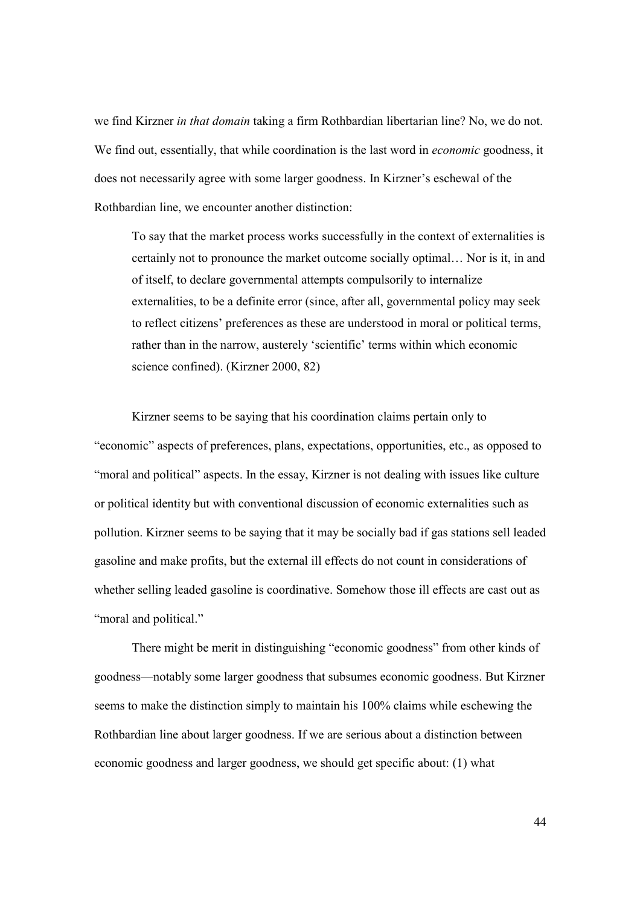we find Kirzner *in that domain* taking a firm Rothbardian libertarian line? No, we do not. We find out, essentially, that while coordination is the last word in *economic* goodness, it does not necessarily agree with some larger goodness. In Kirzner's eschewal of the Rothbardian line, we encounter another distinction:

To say that the market process works successfully in the context of externalities is certainly not to pronounce the market outcome socially optimal… Nor is it, in and of itself, to declare governmental attempts compulsorily to internalize externalities, to be a definite error (since, after all, governmental policy may seek to reflect citizens' preferences as these are understood in moral or political terms, rather than in the narrow, austerely 'scientific' terms within which economic science confined). (Kirzner 2000, 82)

Kirzner seems to be saying that his coordination claims pertain only to "economic" aspects of preferences, plans, expectations, opportunities, etc., as opposed to "moral and political" aspects. In the essay, Kirzner is not dealing with issues like culture or political identity but with conventional discussion of economic externalities such as pollution. Kirzner seems to be saying that it may be socially bad if gas stations sell leaded gasoline and make profits, but the external ill effects do not count in considerations of whether selling leaded gasoline is coordinative. Somehow those ill effects are cast out as "moral and political."

There might be merit in distinguishing "economic goodness" from other kinds of goodness—notably some larger goodness that subsumes economic goodness. But Kirzner seems to make the distinction simply to maintain his 100% claims while eschewing the Rothbardian line about larger goodness. If we are serious about a distinction between economic goodness and larger goodness, we should get specific about: (1) what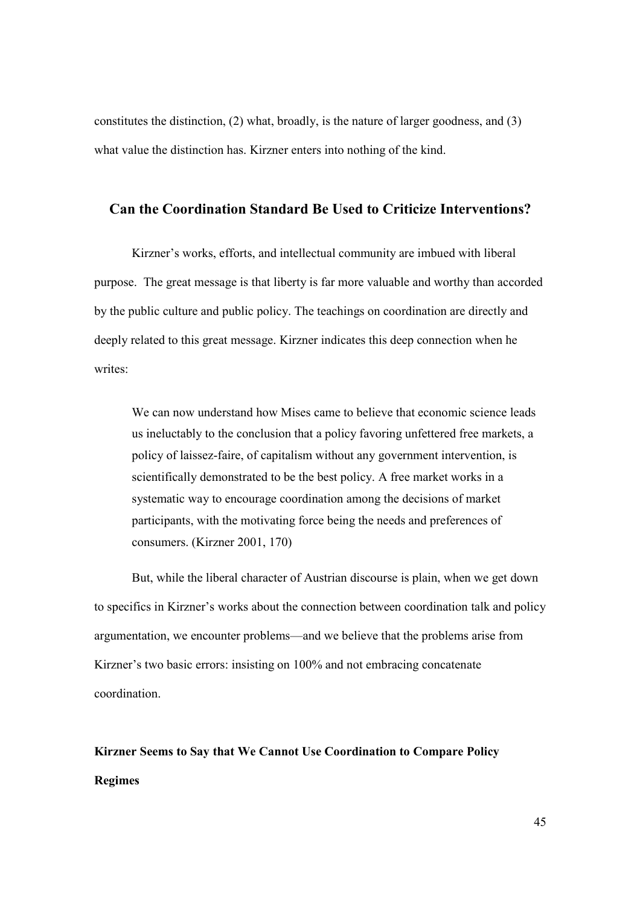constitutes the distinction, (2) what, broadly, is the nature of larger goodness, and (3) what value the distinction has. Kirzner enters into nothing of the kind.

#### Can the Coordination Standard Be Used to Criticize Interventions?

Kirzner's works, efforts, and intellectual community are imbued with liberal purpose. The great message is that liberty is far more valuable and worthy than accorded by the public culture and public policy. The teachings on coordination are directly and deeply related to this great message. Kirzner indicates this deep connection when he writes:

We can now understand how Mises came to believe that economic science leads us ineluctably to the conclusion that a policy favoring unfettered free markets, a policy of laissez-faire, of capitalism without any government intervention, is scientifically demonstrated to be the best policy. A free market works in a systematic way to encourage coordination among the decisions of market participants, with the motivating force being the needs and preferences of consumers. (Kirzner 2001, 170)

But, while the liberal character of Austrian discourse is plain, when we get down to specifics in Kirzner's works about the connection between coordination talk and policy argumentation, we encounter problems—and we believe that the problems arise from Kirzner's two basic errors: insisting on 100% and not embracing concatenate coordination.

Kirzner Seems to Say that We Cannot Use Coordination to Compare Policy Regimes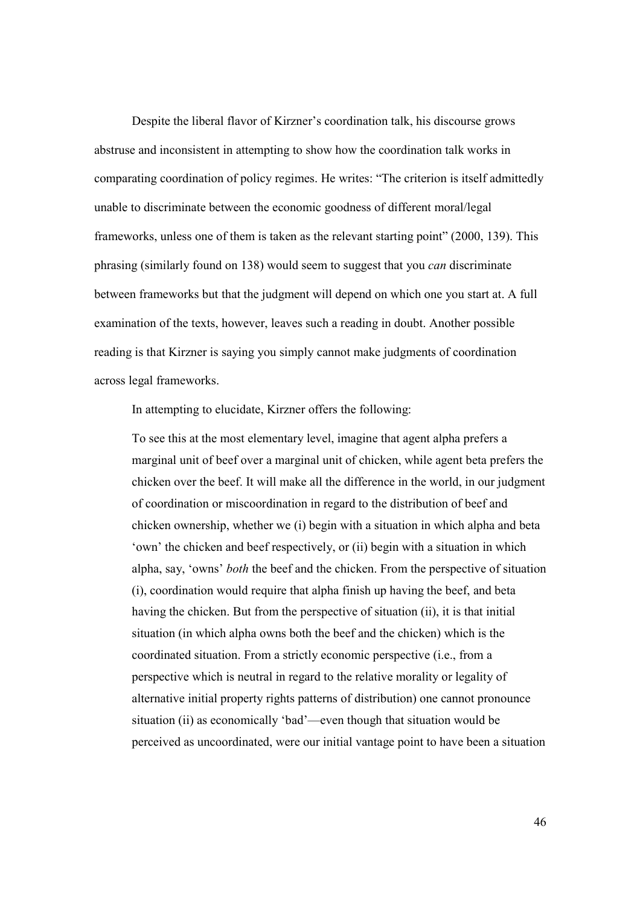Despite the liberal flavor of Kirzner's coordination talk, his discourse grows abstruse and inconsistent in attempting to show how the coordination talk works in comparating coordination of policy regimes. He writes: "The criterion is itself admittedly unable to discriminate between the economic goodness of different moral/legal frameworks, unless one of them is taken as the relevant starting point" (2000, 139). This phrasing (similarly found on 138) would seem to suggest that you can discriminate between frameworks but that the judgment will depend on which one you start at. A full examination of the texts, however, leaves such a reading in doubt. Another possible reading is that Kirzner is saying you simply cannot make judgments of coordination across legal frameworks.

In attempting to elucidate, Kirzner offers the following:

To see this at the most elementary level, imagine that agent alpha prefers a marginal unit of beef over a marginal unit of chicken, while agent beta prefers the chicken over the beef. It will make all the difference in the world, in our judgment of coordination or miscoordination in regard to the distribution of beef and chicken ownership, whether we (i) begin with a situation in which alpha and beta 'own' the chicken and beef respectively, or (ii) begin with a situation in which alpha, say, 'owns' both the beef and the chicken. From the perspective of situation (i), coordination would require that alpha finish up having the beef, and beta having the chicken. But from the perspective of situation (ii), it is that initial situation (in which alpha owns both the beef and the chicken) which is the coordinated situation. From a strictly economic perspective (i.e., from a perspective which is neutral in regard to the relative morality or legality of alternative initial property rights patterns of distribution) one cannot pronounce situation (ii) as economically 'bad'—even though that situation would be perceived as uncoordinated, were our initial vantage point to have been a situation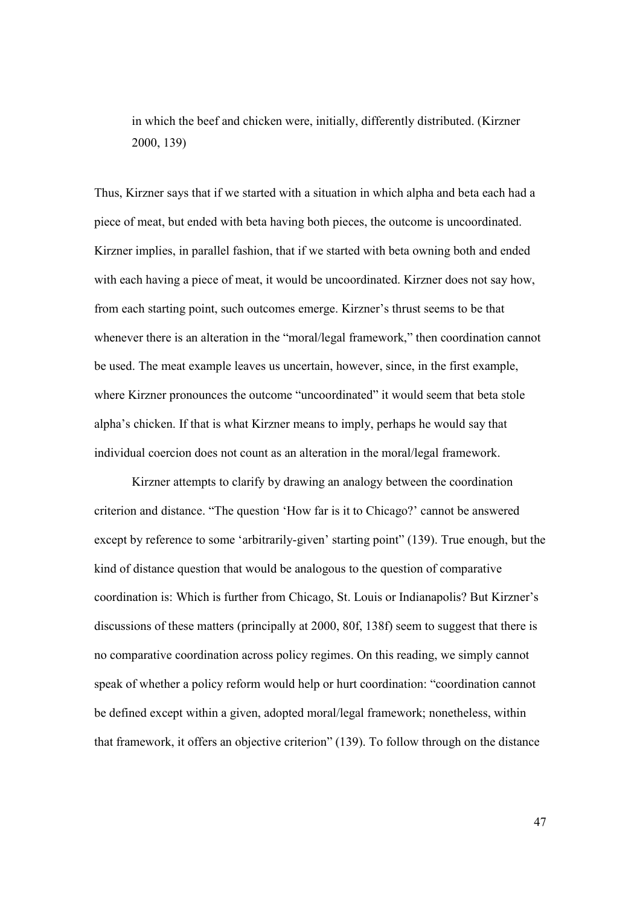in which the beef and chicken were, initially, differently distributed. (Kirzner 2000, 139)

Thus, Kirzner says that if we started with a situation in which alpha and beta each had a piece of meat, but ended with beta having both pieces, the outcome is uncoordinated. Kirzner implies, in parallel fashion, that if we started with beta owning both and ended with each having a piece of meat, it would be uncoordinated. Kirzner does not say how, from each starting point, such outcomes emerge. Kirzner's thrust seems to be that whenever there is an alteration in the "moral/legal framework," then coordination cannot be used. The meat example leaves us uncertain, however, since, in the first example, where Kirzner pronounces the outcome "uncoordinated" it would seem that beta stole alpha's chicken. If that is what Kirzner means to imply, perhaps he would say that individual coercion does not count as an alteration in the moral/legal framework.

Kirzner attempts to clarify by drawing an analogy between the coordination criterion and distance. "The question 'How far is it to Chicago?' cannot be answered except by reference to some 'arbitrarily-given' starting point" (139). True enough, but the kind of distance question that would be analogous to the question of comparative coordination is: Which is further from Chicago, St. Louis or Indianapolis? But Kirzner's discussions of these matters (principally at 2000, 80f, 138f) seem to suggest that there is no comparative coordination across policy regimes. On this reading, we simply cannot speak of whether a policy reform would help or hurt coordination: "coordination cannot be defined except within a given, adopted moral/legal framework; nonetheless, within that framework, it offers an objective criterion" (139). To follow through on the distance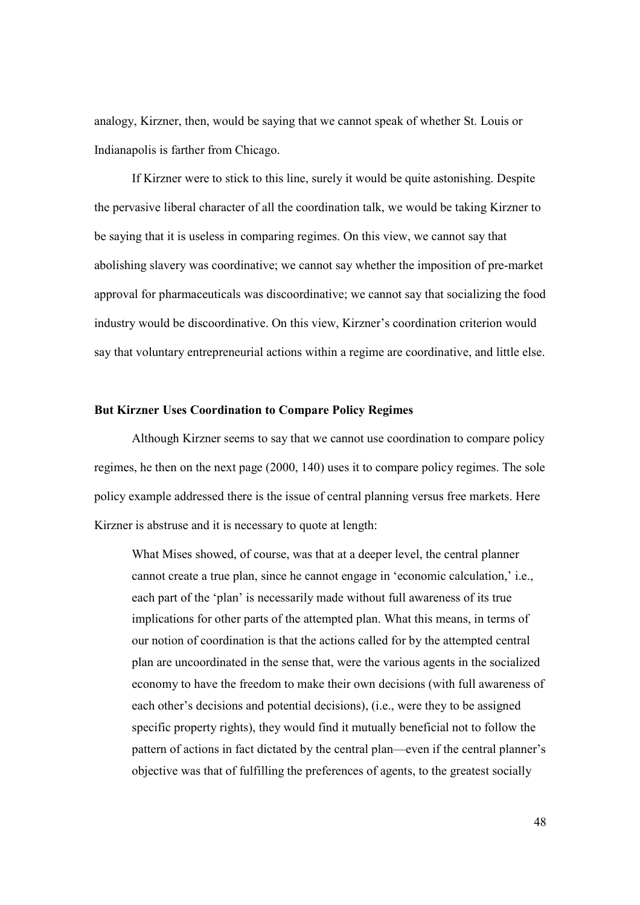analogy, Kirzner, then, would be saying that we cannot speak of whether St. Louis or Indianapolis is farther from Chicago.

If Kirzner were to stick to this line, surely it would be quite astonishing. Despite the pervasive liberal character of all the coordination talk, we would be taking Kirzner to be saying that it is useless in comparing regimes. On this view, we cannot say that abolishing slavery was coordinative; we cannot say whether the imposition of pre-market approval for pharmaceuticals was discoordinative; we cannot say that socializing the food industry would be discoordinative. On this view, Kirzner's coordination criterion would say that voluntary entrepreneurial actions within a regime are coordinative, and little else.

#### But Kirzner Uses Coordination to Compare Policy Regimes

Although Kirzner seems to say that we cannot use coordination to compare policy regimes, he then on the next page (2000, 140) uses it to compare policy regimes. The sole policy example addressed there is the issue of central planning versus free markets. Here Kirzner is abstruse and it is necessary to quote at length:

What Mises showed, of course, was that at a deeper level, the central planner cannot create a true plan, since he cannot engage in 'economic calculation,' i.e., each part of the 'plan' is necessarily made without full awareness of its true implications for other parts of the attempted plan. What this means, in terms of our notion of coordination is that the actions called for by the attempted central plan are uncoordinated in the sense that, were the various agents in the socialized economy to have the freedom to make their own decisions (with full awareness of each other's decisions and potential decisions), (i.e., were they to be assigned specific property rights), they would find it mutually beneficial not to follow the pattern of actions in fact dictated by the central plan—even if the central planner's objective was that of fulfilling the preferences of agents, to the greatest socially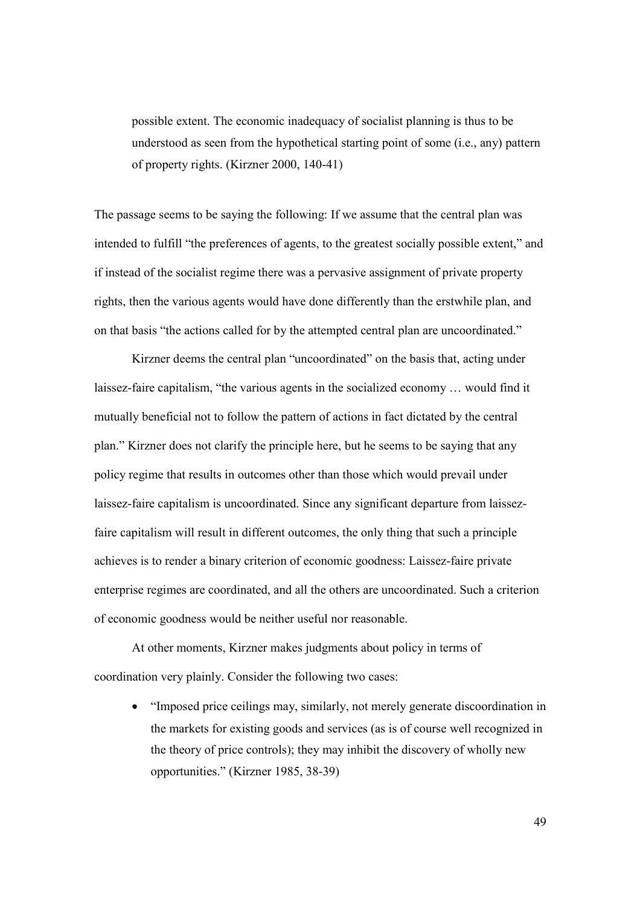possible extent. The economic inadequacy of socialist planning is thus to be understood as seen from the hypothetical starting point of some (i.e., any) pattern of property rights. (Kirzner 2000, 140-41)

The passage seems to be saying the following: If we assume that the central plan was intended to fulfill "the preferences of agents, to the greatest socially possible extent," and if instead of the socialist regime there was a pervasive assignment of private property rights, then the various agents would have done differently than the erstwhile plan, and on that basis "the actions called for by the attempted central plan are uncoordinated."

Kirzner deems the central plan "uncoordinated" on the basis that, acting under laissez-faire capitalism, "the various agents in the socialized economy … would find it mutually beneficial not to follow the pattern of actions in fact dictated by the central plan." Kirzner does not clarify the principle here, but he seems to be saying that any policy regime that results in outcomes other than those which would prevail under laissez-faire capitalism is uncoordinated. Since any significant departure from laissezfaire capitalism will result in different outcomes, the only thing that such a principle achieves is to render a binary criterion of economic goodness: Laissez-faire private enterprise regimes are coordinated, and all the others are uncoordinated. Such a criterion of economic goodness would be neither useful nor reasonable.

At other moments, Kirzner makes judgments about policy in terms of coordination very plainly. Consider the following two cases:

• "Imposed price ceilings may, similarly, not merely generate discoordination in the markets for existing goods and services (as is of course well recognized in the theory of price controls); they may inhibit the discovery of wholly new opportunities." (Kirzner 1985, 38-39)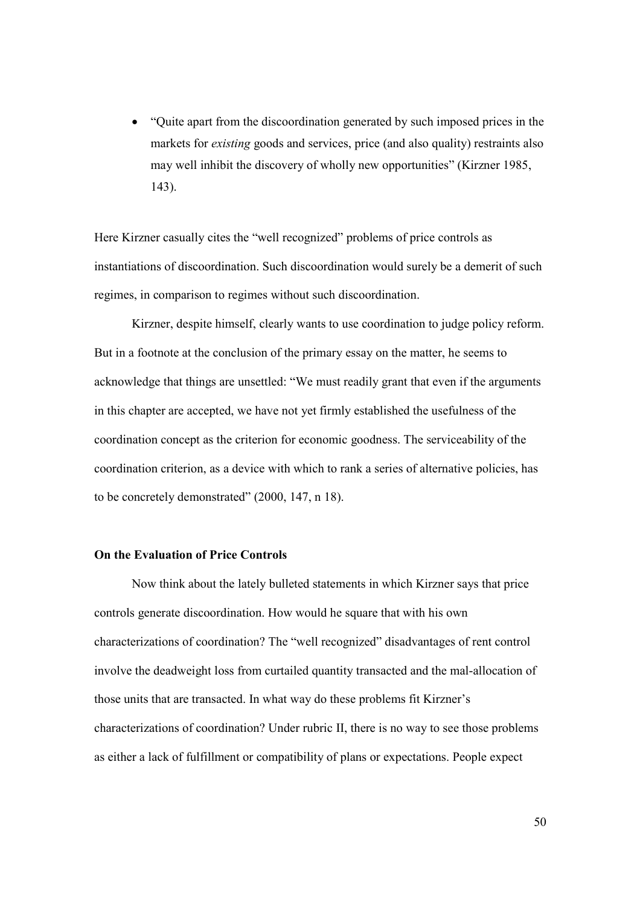• "Quite apart from the discoordination generated by such imposed prices in the markets for existing goods and services, price (and also quality) restraints also may well inhibit the discovery of wholly new opportunities" (Kirzner 1985, 143).

Here Kirzner casually cites the "well recognized" problems of price controls as instantiations of discoordination. Such discoordination would surely be a demerit of such regimes, in comparison to regimes without such discoordination.

Kirzner, despite himself, clearly wants to use coordination to judge policy reform. But in a footnote at the conclusion of the primary essay on the matter, he seems to acknowledge that things are unsettled: "We must readily grant that even if the arguments in this chapter are accepted, we have not yet firmly established the usefulness of the coordination concept as the criterion for economic goodness. The serviceability of the coordination criterion, as a device with which to rank a series of alternative policies, has to be concretely demonstrated" (2000, 147, n 18).

#### On the Evaluation of Price Controls

Now think about the lately bulleted statements in which Kirzner says that price controls generate discoordination. How would he square that with his own characterizations of coordination? The "well recognized" disadvantages of rent control involve the deadweight loss from curtailed quantity transacted and the mal-allocation of those units that are transacted. In what way do these problems fit Kirzner's characterizations of coordination? Under rubric II, there is no way to see those problems as either a lack of fulfillment or compatibility of plans or expectations. People expect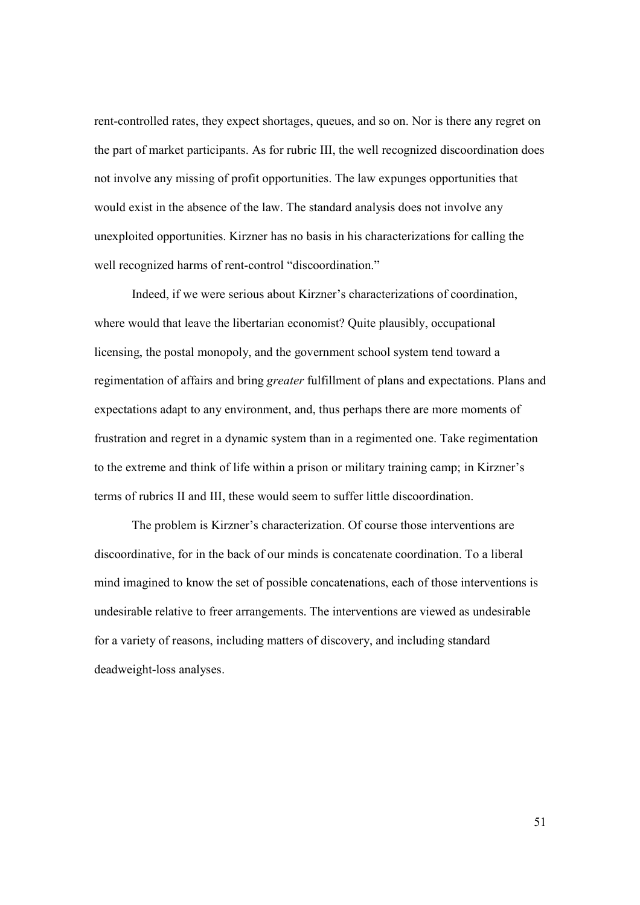rent-controlled rates, they expect shortages, queues, and so on. Nor is there any regret on the part of market participants. As for rubric III, the well recognized discoordination does not involve any missing of profit opportunities. The law expunges opportunities that would exist in the absence of the law. The standard analysis does not involve any unexploited opportunities. Kirzner has no basis in his characterizations for calling the well recognized harms of rent-control "discoordination."

Indeed, if we were serious about Kirzner's characterizations of coordination, where would that leave the libertarian economist? Quite plausibly, occupational licensing, the postal monopoly, and the government school system tend toward a regimentation of affairs and bring greater fulfillment of plans and expectations. Plans and expectations adapt to any environment, and, thus perhaps there are more moments of frustration and regret in a dynamic system than in a regimented one. Take regimentation to the extreme and think of life within a prison or military training camp; in Kirzner's terms of rubrics II and III, these would seem to suffer little discoordination.

The problem is Kirzner's characterization. Of course those interventions are discoordinative, for in the back of our minds is concatenate coordination. To a liberal mind imagined to know the set of possible concatenations, each of those interventions is undesirable relative to freer arrangements. The interventions are viewed as undesirable for a variety of reasons, including matters of discovery, and including standard deadweight-loss analyses.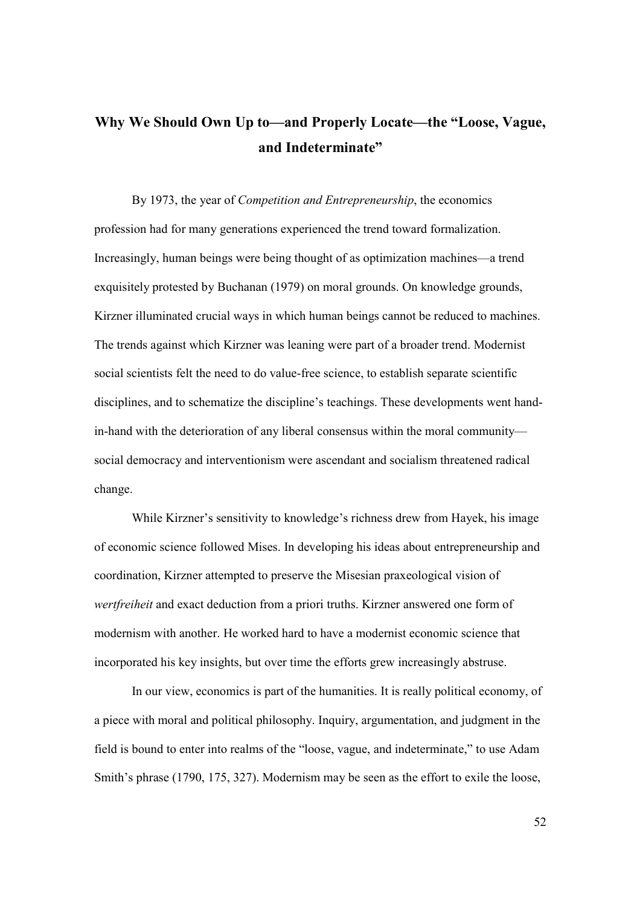# Why We Should Own Up to—and Properly Locate—the "Loose, Vague, and Indeterminate"

By 1973, the year of *Competition and Entrepreneurship*, the economics profession had for many generations experienced the trend toward formalization. Increasingly, human beings were being thought of as optimization machines—a trend exquisitely protested by Buchanan (1979) on moral grounds. On knowledge grounds, Kirzner illuminated crucial ways in which human beings cannot be reduced to machines. The trends against which Kirzner was leaning were part of a broader trend. Modernist social scientists felt the need to do value-free science, to establish separate scientific disciplines, and to schematize the discipline's teachings. These developments went handin-hand with the deterioration of any liberal consensus within the moral community social democracy and interventionism were ascendant and socialism threatened radical change.

While Kirzner's sensitivity to knowledge's richness drew from Hayek, his image of economic science followed Mises. In developing his ideas about entrepreneurship and coordination, Kirzner attempted to preserve the Misesian praxeological vision of wertfreiheit and exact deduction from a priori truths. Kirzner answered one form of modernism with another. He worked hard to have a modernist economic science that incorporated his key insights, but over time the efforts grew increasingly abstruse.

In our view, economics is part of the humanities. It is really political economy, of a piece with moral and political philosophy. Inquiry, argumentation, and judgment in the field is bound to enter into realms of the "loose, vague, and indeterminate," to use Adam Smith's phrase (1790, 175, 327). Modernism may be seen as the effort to exile the loose,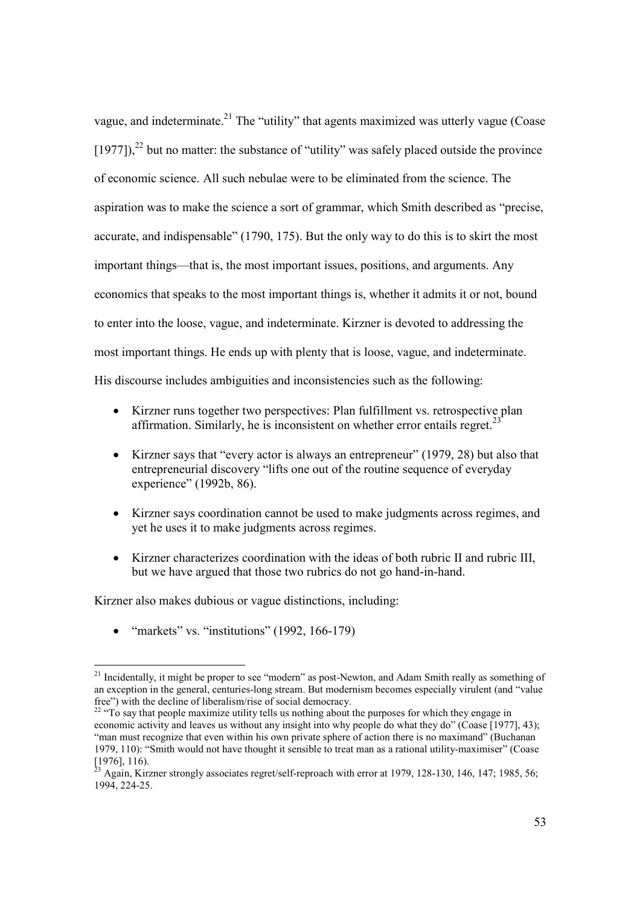vague, and indeterminate.<sup>21</sup> The "utility" that agents maximized was utterly vague (Coase  $[1977]$ ,<sup>22</sup> but no matter: the substance of "utility" was safely placed outside the province of economic science. All such nebulae were to be eliminated from the science. The aspiration was to make the science a sort of grammar, which Smith described as "precise, accurate, and indispensable" (1790, 175). But the only way to do this is to skirt the most important things—that is, the most important issues, positions, and arguments. Any economics that speaks to the most important things is, whether it admits it or not, bound to enter into the loose, vague, and indeterminate. Kirzner is devoted to addressing the most important things. He ends up with plenty that is loose, vague, and indeterminate. His discourse includes ambiguities and inconsistencies such as the following:

- Kirzner runs together two perspectives: Plan fulfillment vs. retrospective plan affirmation. Similarly, he is inconsistent on whether error entails regret.<sup>2</sup>
- Kirzner says that "every actor is always an entrepreneur" (1979, 28) but also that entrepreneurial discovery "lifts one out of the routine sequence of everyday experience" (1992b, 86).
- Kirzner says coordination cannot be used to make judgments across regimes, and yet he uses it to make judgments across regimes.
- Kirzner characterizes coordination with the ideas of both rubric II and rubric III, but we have argued that those two rubrics do not go hand-in-hand.

Kirzner also makes dubious or vague distinctions, including:

• "markets" vs. "institutions"  $(1992, 166-179)$ 

-

<sup>&</sup>lt;sup>21</sup> Incidentally, it might be proper to see "modern" as post-Newton, and Adam Smith really as something of an exception in the general, centuries-long stream. But modernism becomes especially virulent (and "value free") with the decline of liberalism/rise of social democracy.

<sup>&</sup>lt;sup>22</sup> "To say that people maximize utility tells us nothing about the purposes for which they engage in economic activity and leaves us without any insight into why people do what they do" (Coase [1977], 43); "man must recognize that even within his own private sphere of action there is no maximand" (Buchanan 1979, 110): "Smith would not have thought it sensible to treat man as a rational utility-maximiser" (Coase  $\left[1976\right], 116$ .

<sup>&</sup>lt;sup>3</sup> Again, Kirzner strongly associates regret/self-reproach with error at 1979, 128-130, 146, 147; 1985, 56; 1994, 224-25.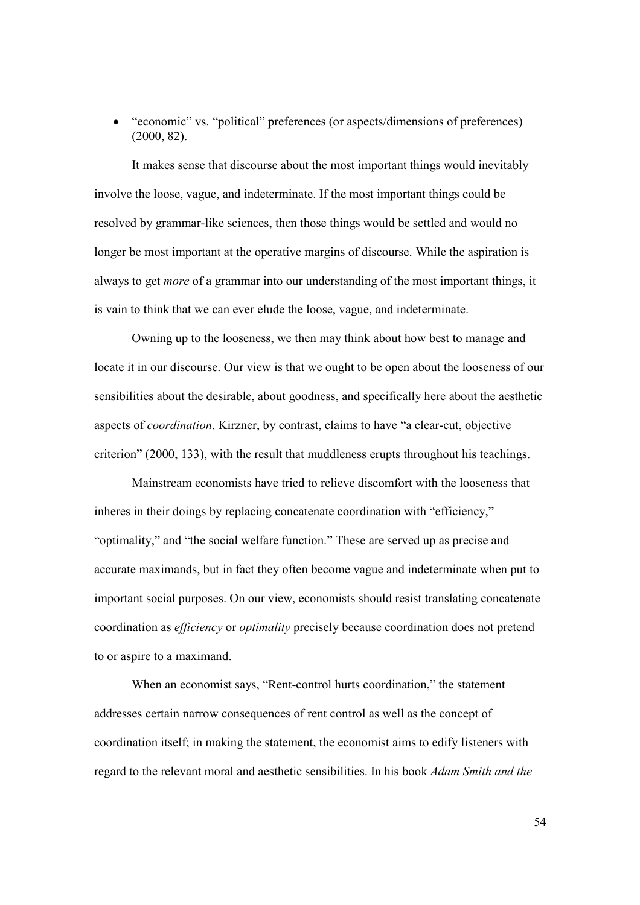• "economic" vs. "political" preferences (or aspects/dimensions of preferences) (2000, 82).

It makes sense that discourse about the most important things would inevitably involve the loose, vague, and indeterminate. If the most important things could be resolved by grammar-like sciences, then those things would be settled and would no longer be most important at the operative margins of discourse. While the aspiration is always to get more of a grammar into our understanding of the most important things, it is vain to think that we can ever elude the loose, vague, and indeterminate.

Owning up to the looseness, we then may think about how best to manage and locate it in our discourse. Our view is that we ought to be open about the looseness of our sensibilities about the desirable, about goodness, and specifically here about the aesthetic aspects of coordination. Kirzner, by contrast, claims to have "a clear-cut, objective criterion" (2000, 133), with the result that muddleness erupts throughout his teachings.

Mainstream economists have tried to relieve discomfort with the looseness that inheres in their doings by replacing concatenate coordination with "efficiency," "optimality," and "the social welfare function." These are served up as precise and accurate maximands, but in fact they often become vague and indeterminate when put to important social purposes. On our view, economists should resist translating concatenate coordination as efficiency or optimality precisely because coordination does not pretend to or aspire to a maximand.

When an economist says, "Rent-control hurts coordination," the statement addresses certain narrow consequences of rent control as well as the concept of coordination itself; in making the statement, the economist aims to edify listeners with regard to the relevant moral and aesthetic sensibilities. In his book Adam Smith and the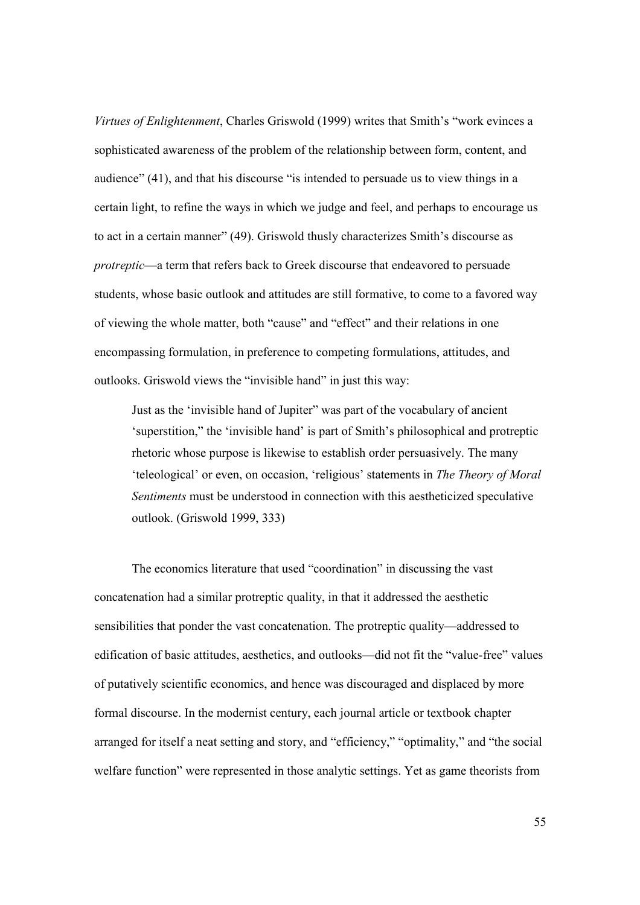Virtues of Enlightenment, Charles Griswold (1999) writes that Smith's "work evinces a sophisticated awareness of the problem of the relationship between form, content, and audience" (41), and that his discourse "is intended to persuade us to view things in a certain light, to refine the ways in which we judge and feel, and perhaps to encourage us to act in a certain manner" (49). Griswold thusly characterizes Smith's discourse as protreptic—a term that refers back to Greek discourse that endeavored to persuade students, whose basic outlook and attitudes are still formative, to come to a favored way of viewing the whole matter, both "cause" and "effect" and their relations in one encompassing formulation, in preference to competing formulations, attitudes, and outlooks. Griswold views the "invisible hand" in just this way:

Just as the 'invisible hand of Jupiter" was part of the vocabulary of ancient 'superstition," the 'invisible hand' is part of Smith's philosophical and protreptic rhetoric whose purpose is likewise to establish order persuasively. The many 'teleological' or even, on occasion, 'religious' statements in The Theory of Moral Sentiments must be understood in connection with this aestheticized speculative outlook. (Griswold 1999, 333)

The economics literature that used "coordination" in discussing the vast concatenation had a similar protreptic quality, in that it addressed the aesthetic sensibilities that ponder the vast concatenation. The protreptic quality—addressed to edification of basic attitudes, aesthetics, and outlooks—did not fit the "value-free" values of putatively scientific economics, and hence was discouraged and displaced by more formal discourse. In the modernist century, each journal article or textbook chapter arranged for itself a neat setting and story, and "efficiency," "optimality," and "the social welfare function" were represented in those analytic settings. Yet as game theorists from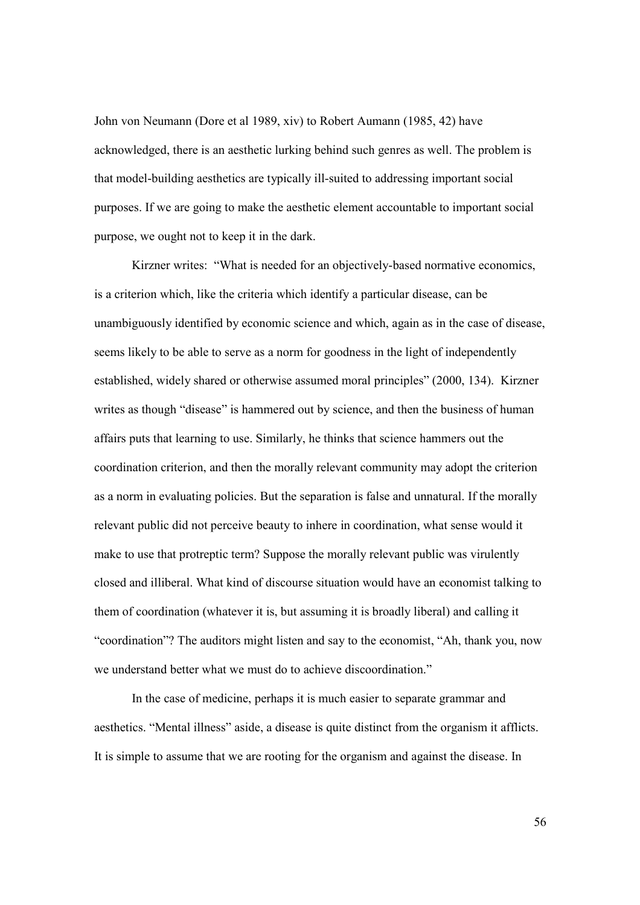John von Neumann (Dore et al 1989, xiv) to Robert Aumann (1985, 42) have acknowledged, there is an aesthetic lurking behind such genres as well. The problem is that model-building aesthetics are typically ill-suited to addressing important social purposes. If we are going to make the aesthetic element accountable to important social purpose, we ought not to keep it in the dark.

Kirzner writes: "What is needed for an objectively-based normative economics, is a criterion which, like the criteria which identify a particular disease, can be unambiguously identified by economic science and which, again as in the case of disease, seems likely to be able to serve as a norm for goodness in the light of independently established, widely shared or otherwise assumed moral principles" (2000, 134). Kirzner writes as though "disease" is hammered out by science, and then the business of human affairs puts that learning to use. Similarly, he thinks that science hammers out the coordination criterion, and then the morally relevant community may adopt the criterion as a norm in evaluating policies. But the separation is false and unnatural. If the morally relevant public did not perceive beauty to inhere in coordination, what sense would it make to use that protreptic term? Suppose the morally relevant public was virulently closed and illiberal. What kind of discourse situation would have an economist talking to them of coordination (whatever it is, but assuming it is broadly liberal) and calling it "coordination"? The auditors might listen and say to the economist, "Ah, thank you, now we understand better what we must do to achieve discoordination."

In the case of medicine, perhaps it is much easier to separate grammar and aesthetics. "Mental illness" aside, a disease is quite distinct from the organism it afflicts. It is simple to assume that we are rooting for the organism and against the disease. In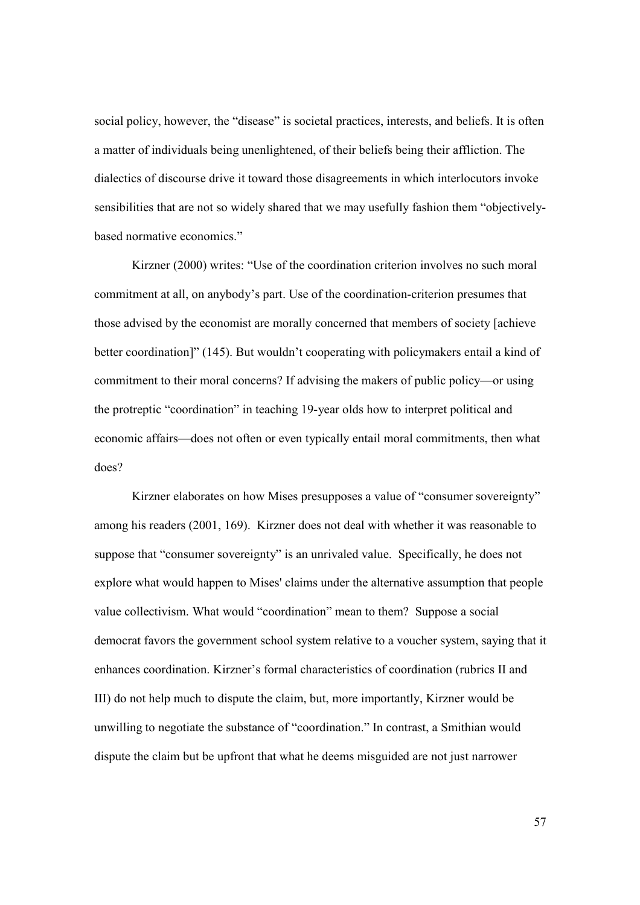social policy, however, the "disease" is societal practices, interests, and beliefs. It is often a matter of individuals being unenlightened, of their beliefs being their affliction. The dialectics of discourse drive it toward those disagreements in which interlocutors invoke sensibilities that are not so widely shared that we may usefully fashion them "objectivelybased normative economics."

Kirzner (2000) writes: "Use of the coordination criterion involves no such moral commitment at all, on anybody's part. Use of the coordination-criterion presumes that those advised by the economist are morally concerned that members of society [achieve better coordination]" (145). But wouldn't cooperating with policymakers entail a kind of commitment to their moral concerns? If advising the makers of public policy—or using the protreptic "coordination" in teaching 19-year olds how to interpret political and economic affairs—does not often or even typically entail moral commitments, then what does?

Kirzner elaborates on how Mises presupposes a value of "consumer sovereignty" among his readers (2001, 169). Kirzner does not deal with whether it was reasonable to suppose that "consumer sovereignty" is an unrivaled value. Specifically, he does not explore what would happen to Mises' claims under the alternative assumption that people value collectivism. What would "coordination" mean to them? Suppose a social democrat favors the government school system relative to a voucher system, saying that it enhances coordination. Kirzner's formal characteristics of coordination (rubrics II and III) do not help much to dispute the claim, but, more importantly, Kirzner would be unwilling to negotiate the substance of "coordination." In contrast, a Smithian would dispute the claim but be upfront that what he deems misguided are not just narrower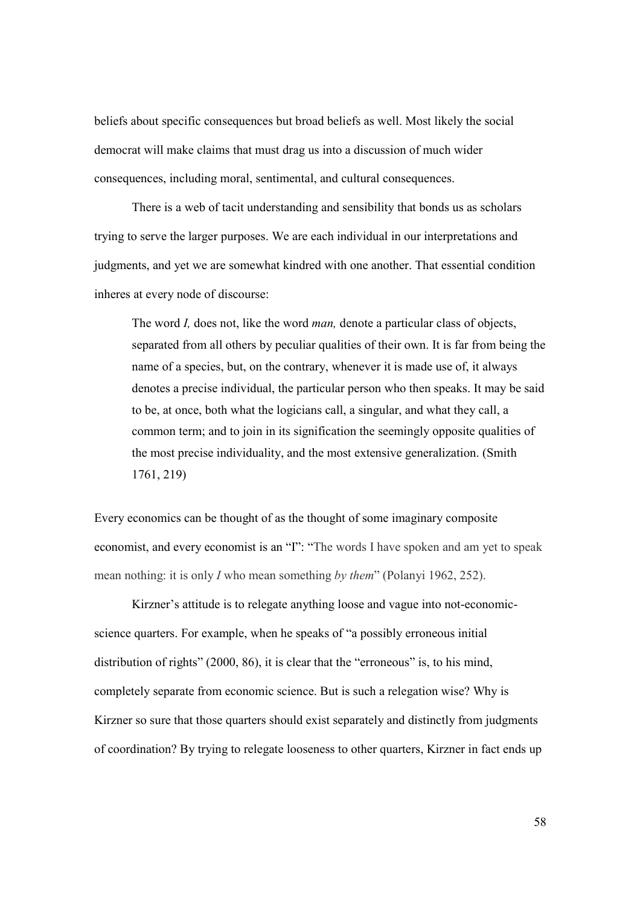beliefs about specific consequences but broad beliefs as well. Most likely the social democrat will make claims that must drag us into a discussion of much wider consequences, including moral, sentimental, and cultural consequences.

There is a web of tacit understanding and sensibility that bonds us as scholars trying to serve the larger purposes. We are each individual in our interpretations and judgments, and yet we are somewhat kindred with one another. That essential condition inheres at every node of discourse:

The word *I*, does not, like the word *man*, denote a particular class of objects, separated from all others by peculiar qualities of their own. It is far from being the name of a species, but, on the contrary, whenever it is made use of, it always denotes a precise individual, the particular person who then speaks. It may be said to be, at once, both what the logicians call, a singular, and what they call, a common term; and to join in its signification the seemingly opposite qualities of the most precise individuality, and the most extensive generalization. (Smith 1761, 219)

Every economics can be thought of as the thought of some imaginary composite economist, and every economist is an "I": "The words I have spoken and am yet to speak mean nothing: it is only *I* who mean something by them" (Polanyi 1962, 252).

Kirzner's attitude is to relegate anything loose and vague into not-economicscience quarters. For example, when he speaks of "a possibly erroneous initial distribution of rights" (2000, 86), it is clear that the "erroneous" is, to his mind, completely separate from economic science. But is such a relegation wise? Why is Kirzner so sure that those quarters should exist separately and distinctly from judgments of coordination? By trying to relegate looseness to other quarters, Kirzner in fact ends up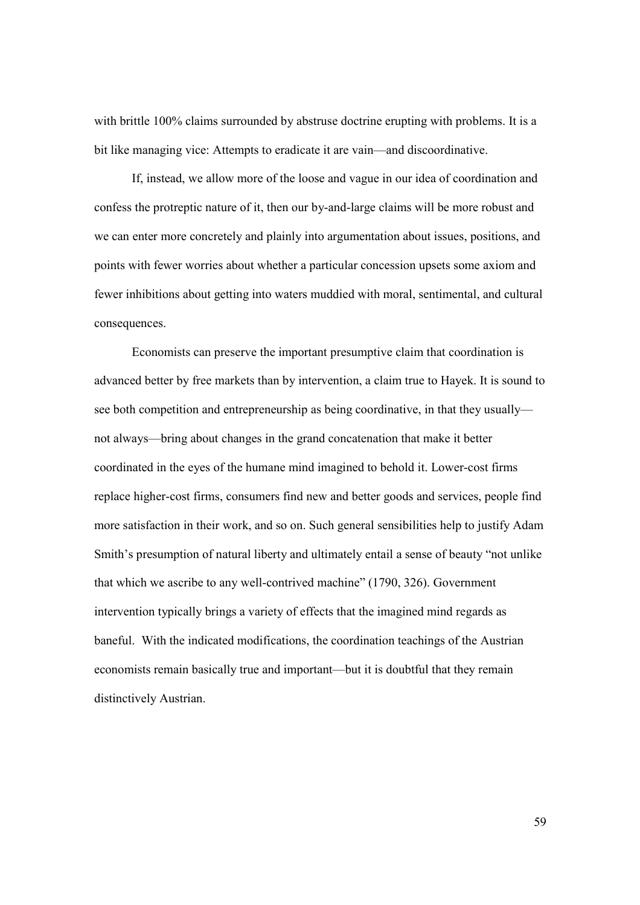with brittle 100% claims surrounded by abstruse doctrine erupting with problems. It is a bit like managing vice: Attempts to eradicate it are vain—and discoordinative.

If, instead, we allow more of the loose and vague in our idea of coordination and confess the protreptic nature of it, then our by-and-large claims will be more robust and we can enter more concretely and plainly into argumentation about issues, positions, and points with fewer worries about whether a particular concession upsets some axiom and fewer inhibitions about getting into waters muddied with moral, sentimental, and cultural consequences.

Economists can preserve the important presumptive claim that coordination is advanced better by free markets than by intervention, a claim true to Hayek. It is sound to see both competition and entrepreneurship as being coordinative, in that they usually not always—bring about changes in the grand concatenation that make it better coordinated in the eyes of the humane mind imagined to behold it. Lower-cost firms replace higher-cost firms, consumers find new and better goods and services, people find more satisfaction in their work, and so on. Such general sensibilities help to justify Adam Smith's presumption of natural liberty and ultimately entail a sense of beauty "not unlike that which we ascribe to any well-contrived machine" (1790, 326). Government intervention typically brings a variety of effects that the imagined mind regards as baneful. With the indicated modifications, the coordination teachings of the Austrian economists remain basically true and important—but it is doubtful that they remain distinctively Austrian.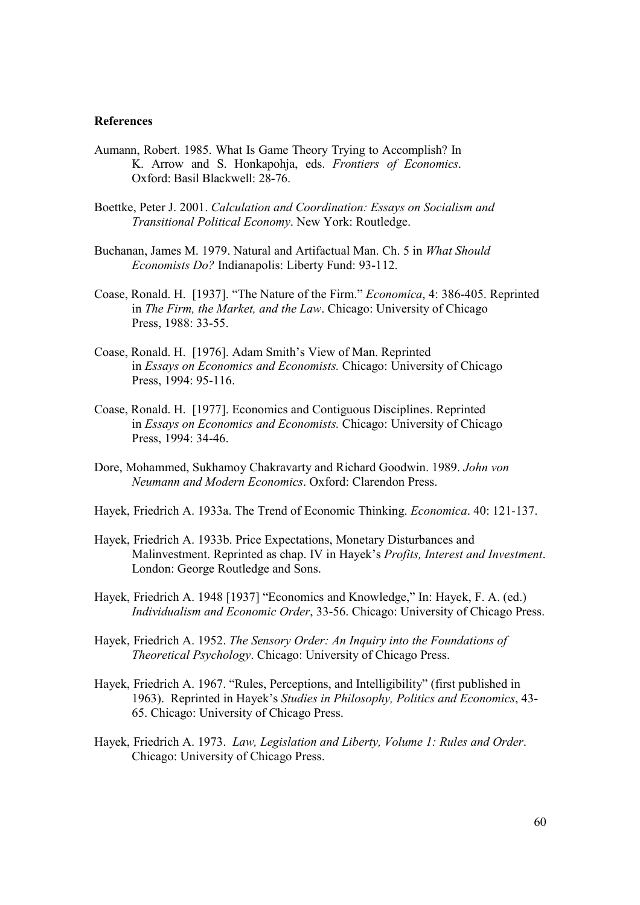#### References

- Aumann, Robert. 1985. What Is Game Theory Trying to Accomplish? In K. Arrow and S. Honkapohja, eds. Frontiers of Economics. Oxford: Basil Blackwell: 28-76.
- Boettke, Peter J. 2001. Calculation and Coordination: Essays on Socialism and Transitional Political Economy. New York: Routledge.
- Buchanan, James M. 1979. Natural and Artifactual Man. Ch. 5 in What Should Economists Do? Indianapolis: Liberty Fund: 93-112.
- Coase, Ronald. H. [1937]. "The Nature of the Firm." Economica, 4: 386-405. Reprinted in The Firm, the Market, and the Law. Chicago: University of Chicago Press, 1988: 33-55.
- Coase, Ronald. H. [1976]. Adam Smith's View of Man. Reprinted in Essays on Economics and Economists. Chicago: University of Chicago Press, 1994: 95-116.
- Coase, Ronald. H. [1977]. Economics and Contiguous Disciplines. Reprinted in Essays on Economics and Economists. Chicago: University of Chicago Press, 1994: 34-46.
- Dore, Mohammed, Sukhamoy Chakravarty and Richard Goodwin. 1989. John von Neumann and Modern Economics. Oxford: Clarendon Press.
- Hayek, Friedrich A. 1933a. The Trend of Economic Thinking. Economica. 40: 121-137.
- Hayek, Friedrich A. 1933b. Price Expectations, Monetary Disturbances and Malinvestment. Reprinted as chap. IV in Hayek's Profits, Interest and Investment. London: George Routledge and Sons.
- Hayek, Friedrich A. 1948 [1937] "Economics and Knowledge," In: Hayek, F. A. (ed.) Individualism and Economic Order, 33-56. Chicago: University of Chicago Press.
- Hayek, Friedrich A. 1952. The Sensory Order: An Inquiry into the Foundations of Theoretical Psychology. Chicago: University of Chicago Press.
- Hayek, Friedrich A. 1967. "Rules, Perceptions, and Intelligibility" (first published in 1963). Reprinted in Hayek's Studies in Philosophy, Politics and Economics, 43- 65. Chicago: University of Chicago Press.
- Hayek, Friedrich A. 1973. Law, Legislation and Liberty, Volume 1: Rules and Order. Chicago: University of Chicago Press.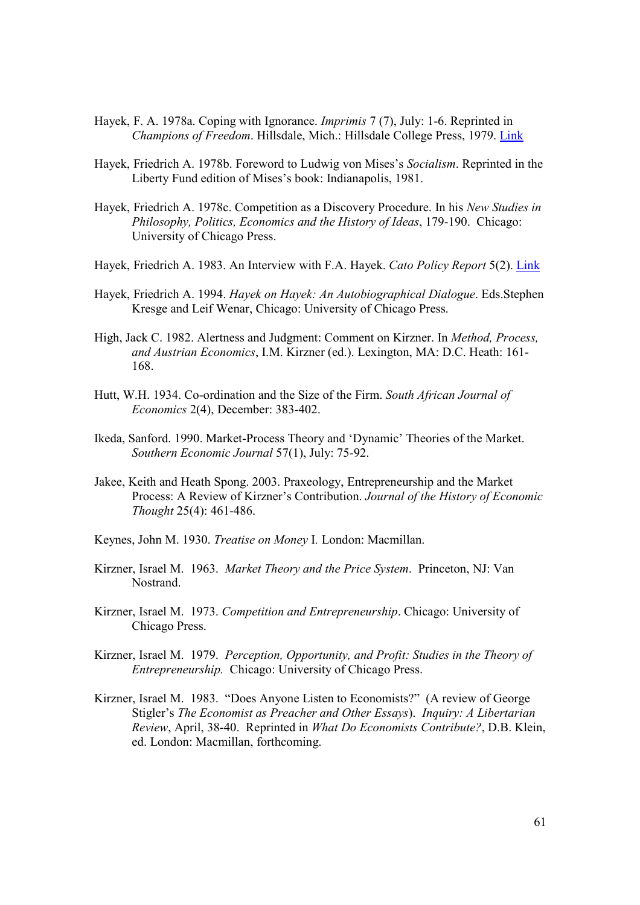- Hayek, F. A. 1978a. Coping with Ignorance. Imprimis 7 (7), July: 1-6. Reprinted in Champions of Freedom. Hillsdale, Mich.: Hillsdale College Press, 1979. Link
- Hayek, Friedrich A. 1978b. Foreword to Ludwig von Mises's Socialism. Reprinted in the Liberty Fund edition of Mises's book: Indianapolis, 1981.
- Hayek, Friedrich A. 1978c. Competition as a Discovery Procedure. In his New Studies in Philosophy, Politics, Economics and the History of Ideas, 179-190. Chicago: University of Chicago Press.
- Hayek, Friedrich A. 1983. An Interview with F.A. Hayek. Cato Policy Report 5(2). Link
- Hayek, Friedrich A. 1994. Hayek on Hayek: An Autobiographical Dialogue. Eds.Stephen Kresge and Leif Wenar, Chicago: University of Chicago Press.
- High, Jack C. 1982. Alertness and Judgment: Comment on Kirzner. In Method, Process, and Austrian Economics, I.M. Kirzner (ed.). Lexington, MA: D.C. Heath: 161- 168.
- Hutt, W.H. 1934. Co-ordination and the Size of the Firm. South African Journal of Economics 2(4), December: 383-402.
- Ikeda, Sanford. 1990. Market-Process Theory and 'Dynamic' Theories of the Market. Southern Economic Journal 57(1), July: 75-92.
- Jakee, Keith and Heath Spong. 2003. Praxeology, Entrepreneurship and the Market Process: A Review of Kirzner's Contribution. Journal of the History of Economic Thought 25(4): 461-486.
- Keynes, John M. 1930. Treatise on Money I. London: Macmillan.
- Kirzner, Israel M. 1963. Market Theory and the Price System. Princeton, NJ: Van **Nostrand**
- Kirzner, Israel M. 1973. Competition and Entrepreneurship. Chicago: University of Chicago Press.
- Kirzner, Israel M. 1979. Perception, Opportunity, and Profit: Studies in the Theory of Entrepreneurship. Chicago: University of Chicago Press.
- Kirzner, Israel M. 1983. "Does Anyone Listen to Economists?" (A review of George Stigler's The Economist as Preacher and Other Essays). Inquiry: A Libertarian Review, April, 38-40. Reprinted in What Do Economists Contribute?, D.B. Klein, ed. London: Macmillan, forthcoming.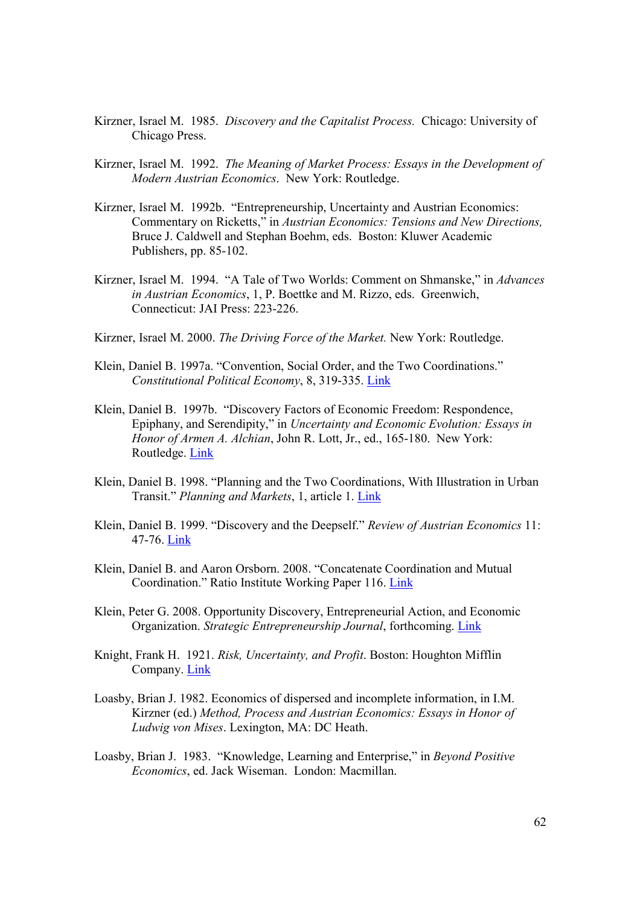- Kirzner, Israel M. 1985. Discovery and the Capitalist Process. Chicago: University of Chicago Press.
- Kirzner, Israel M. 1992. The Meaning of Market Process: Essays in the Development of Modern Austrian Economics. New York: Routledge.
- Kirzner, Israel M. 1992b. "Entrepreneurship, Uncertainty and Austrian Economics: Commentary on Ricketts," in Austrian Economics: Tensions and New Directions, Bruce J. Caldwell and Stephan Boehm, eds. Boston: Kluwer Academic Publishers, pp. 85-102.
- Kirzner, Israel M. 1994. "A Tale of Two Worlds: Comment on Shmanske," in Advances in Austrian Economics, 1, P. Boettke and M. Rizzo, eds. Greenwich, Connecticut: JAI Press: 223-226.
- Kirzner, Israel M. 2000. The Driving Force of the Market. New York: Routledge.
- Klein, Daniel B. 1997a. "Convention, Social Order, and the Two Coordinations." Constitutional Political Economy, 8, 319-335. Link
- Klein, Daniel B. 1997b. "Discovery Factors of Economic Freedom: Respondence, Epiphany, and Serendipity," in Uncertainty and Economic Evolution: Essays in Honor of Armen A. Alchian, John R. Lott, Jr., ed., 165-180. New York: Routledge. Link
- Klein, Daniel B. 1998. "Planning and the Two Coordinations, With Illustration in Urban Transit." Planning and Markets, 1, article 1. Link
- Klein, Daniel B. 1999. "Discovery and the Deepself." Review of Austrian Economics 11: 47-76. Link
- Klein, Daniel B. and Aaron Orsborn. 2008. "Concatenate Coordination and Mutual Coordination." Ratio Institute Working Paper 116. Link
- Klein, Peter G. 2008. Opportunity Discovery, Entrepreneurial Action, and Economic Organization. Strategic Entrepreneurship Journal, forthcoming. Link
- Knight, Frank H. 1921. Risk, Uncertainty, and Profit. Boston: Houghton Mifflin Company. Link
- Loasby, Brian J. 1982. Economics of dispersed and incomplete information, in I.M. Kirzner (ed.) Method, Process and Austrian Economics: Essays in Honor of Ludwig von Mises. Lexington, MA: DC Heath.
- Loasby, Brian J. 1983. "Knowledge, Learning and Enterprise," in Beyond Positive Economics, ed. Jack Wiseman. London: Macmillan.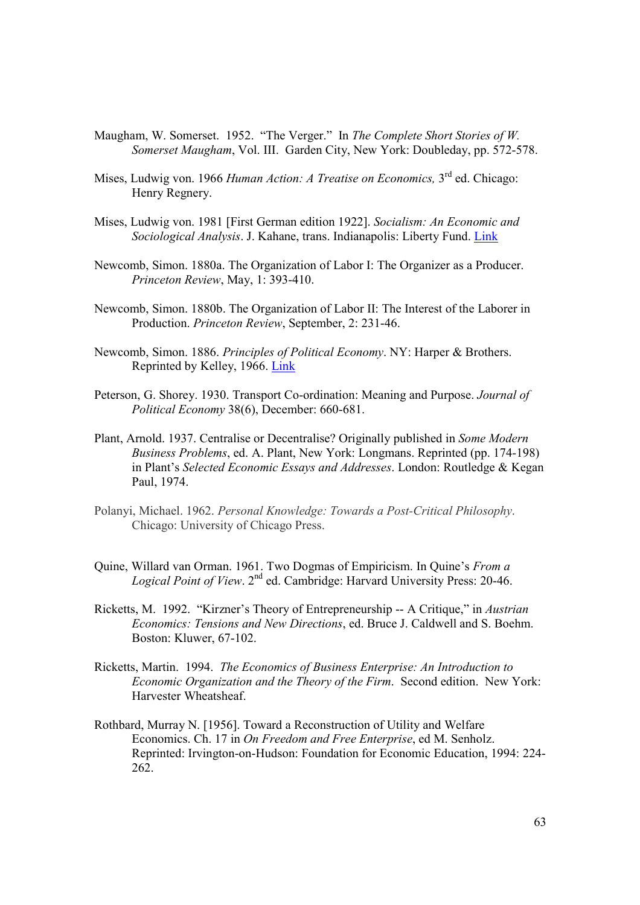- Maugham, W. Somerset. 1952. "The Verger." In The Complete Short Stories of W. Somerset Maugham, Vol. III. Garden City, New York: Doubleday, pp. 572-578.
- Mises, Ludwig von. 1966 Human Action: A Treatise on Economics, 3<sup>rd</sup> ed. Chicago: Henry Regnery.
- Mises, Ludwig von. 1981 [First German edition 1922]. Socialism: An Economic and Sociological Analysis. J. Kahane, trans. Indianapolis: Liberty Fund. Link
- Newcomb, Simon. 1880a. The Organization of Labor I: The Organizer as a Producer. Princeton Review, May, 1: 393-410.
- Newcomb, Simon. 1880b. The Organization of Labor II: The Interest of the Laborer in Production. Princeton Review, September, 2: 231-46.
- Newcomb, Simon. 1886. Principles of Political Economy. NY: Harper & Brothers. Reprinted by Kelley, 1966. Link
- Peterson, G. Shorey. 1930. Transport Co-ordination: Meaning and Purpose. Journal of Political Economy 38(6), December: 660-681.
- Plant, Arnold. 1937. Centralise or Decentralise? Originally published in Some Modern Business Problems, ed. A. Plant, New York: Longmans. Reprinted (pp. 174-198) in Plant's Selected Economic Essays and Addresses. London: Routledge & Kegan Paul, 1974.
- Polanyi, Michael. 1962. Personal Knowledge: Towards a Post-Critical Philosophy. Chicago: University of Chicago Press.
- Quine, Willard van Orman. 1961. Two Dogmas of Empiricism. In Quine's From a Logical Point of View. 2<sup>nd</sup> ed. Cambridge: Harvard University Press: 20-46.
- Ricketts, M. 1992. "Kirzner's Theory of Entrepreneurship -- A Critique," in Austrian Economics: Tensions and New Directions, ed. Bruce J. Caldwell and S. Boehm. Boston: Kluwer, 67-102.
- Ricketts, Martin. 1994. The Economics of Business Enterprise: An Introduction to Economic Organization and the Theory of the Firm. Second edition. New York: Harvester Wheatsheaf.
- Rothbard, Murray N. [1956]. Toward a Reconstruction of Utility and Welfare Economics. Ch. 17 in On Freedom and Free Enterprise, ed M. Senholz. Reprinted: Irvington-on-Hudson: Foundation for Economic Education, 1994: 224- 262.